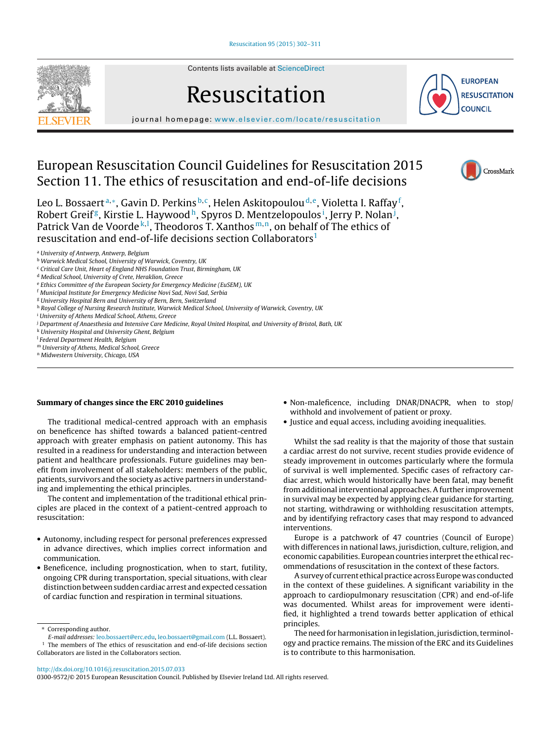

Contents lists available at [ScienceDirect](http://www.sciencedirect.com/science/journal/03009572)

# Resuscitation



iournal homepage: [www.elsevier.com/locate/resuscitation](http://www.elsevier.com/locate/resuscitation)

## European Resuscitation Council Guidelines for Resuscitation 2015 Section 11. The ethics of resuscitation and end-of-life decisions

Leo L. Bossaert<sup>a,</sup>\*, Gavin D. Perkins<sup>b,c</sup>, Helen Askitopoulou<sup>d,e</sup>, Violetta I. Raffay<sup>f</sup>, Robert Greif<sup>g</sup>, Kirstie L. Haywood <sup>h</sup>, Spyros D. Mentzelopoulos <sup>i</sup>, Jerry P. Nolan <sup>j</sup>, Patrick Van de Voorde k, I, Theodoros T. Xanthos m,n, on behalf of The ethics of resuscitation and end-of-life decisions section Collaborators<sup>1</sup>

- <sup>i</sup> University of Athens Medical School, Athens, Greece
- <sup>j</sup> Department of Anaesthesia and Intensive Care Medicine, Royal United Hospital, and University of Bristol, Bath, UK
- <sup>k</sup> University Hospital and University Ghent, Belgium
- <sup>l</sup> Federal Department Health, Belgium
- <sup>m</sup> University of Athens, Medical School, Greece
- <sup>n</sup> Midwestern University, Chicago, USA

## **Summary of changes since the ERC 2010 guidelines**

The traditional medical-centred approach with an emphasis on beneficence has shifted towards a balanced patient-centred approach with greater emphasis on patient autonomy. This has resulted in a readiness for understanding and interaction between patient and healthcare professionals. Future guidelines may benefit from involvement of all stakeholders: members of the public, patients, survivors and the society as active partners in understanding and implementing the ethical principles.

The content and implementation of the traditional ethical principles are placed in the context of a patient-centred approach to resuscitation:

- Autonomy, including respect for personal preferences expressed in advance directives, which implies correct information and communication.
- Beneficence, including prognostication, when to start, futility, ongoing CPR during transportation, special situations, with clear distinction between sudden cardiac arrest and expected cessation of cardiac function and respiration in terminal situations.
- Non-maleficence, including DNAR/DNACPR, when to stop/ withhold and involvement of patient or proxy.
- Justice and equal access, including avoiding inequalities.

Whilst the sad reality is that the majority of those that sustain a cardiac arrest do not survive, recent studies provide evidence of steady improvement in outcomes particularly where the formula of survival is well implemented. Specific cases of refractory cardiac arrest, which would historically have been fatal, may benefit from additional interventional approaches. A further improvement in survival may be expected by applying clear guidance for starting, not starting, withdrawing or withholding resuscitation attempts, and by identifying refractory cases that may respond to advanced interventions.

Europe is a patchwork of 47 countries (Council of Europe) with differences in national laws, jurisdiction, culture, religion, and economic capabilities. European countries interpretthe ethical recommendations of resuscitation in the context of these factors.

A survey of current ethical practice across Europe was conducted in the context of these guidelines. A significant variability in the approach to cardiopulmonary resuscitation (CPR) and end-of-life was documented. Whilst areas for improvement were identified, it highlighted a trend towards better application of ethical principles.

The need for harmonisation in legislation, jurisdiction, terminology and practice remains. The mission of the ERC and its Guidelines is to contribute to this harmonisation.

[http://dx.doi.org/10.1016/j.resuscitation.2015.07.033](dx.doi.org/10.1016/j.resuscitation.2015.07.033)



<sup>a</sup> University of Antwerp, Antwerp, Belgium

<sup>b</sup> Warwick Medical School, University of Warwick, Coventry, UK

<sup>c</sup> Critical Care Unit, Heart of England NHS Foundation Trust, Birmingham, UK

<sup>d</sup> Medical School, University of Crete, Heraklion, Greece

e Ethics Committee of the European Society for Emergency Medicine (EuSEM), UK

<sup>f</sup> Municipal Institute for Emergency Medicine Novi Sad, Novi Sad, Serbia

<sup>g</sup> University Hospital Bern and University of Bern, Bern, Switzerland

h Royal College of Nursing Research Institute, Warwick Medical School, University of Warwick, Coventry, UK

<sup>∗</sup> Corresponding author.

E-mail addresses: [leo.bossaert@erc.edu,](mailto:leo.bossaert@erc.edu) [leo.bossaert@gmail.com](mailto:leo.bossaert@gmail.com) (L.L. Bossaert). <sup>1</sup> The members of The ethics of resuscitation and end-of-life decisions section Collaborators are listed in the Collaborators section.

<sup>0300-9572/©</sup> 2015 European Resuscitation Council. Published by Elsevier Ireland Ltd. All rights reserved.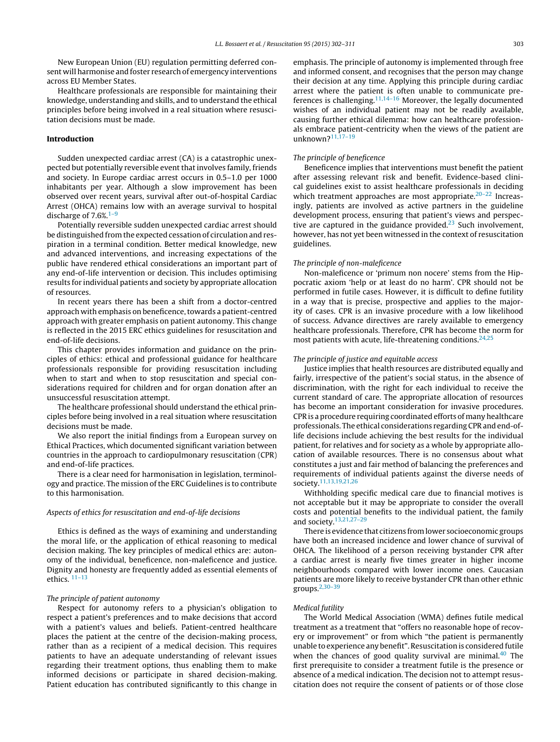New European Union (EU) regulation permitting deferred consent will harmonise and foster research of emergency interventions across EU Member States.

Healthcare professionals are responsible for maintaining their knowledge, understanding and skills, and to understand the ethical principles before being involved in a real situation where resuscitation decisions must be made.

## **Introduction**

Sudden unexpected cardiac arrest (CA) is a catastrophic unexpected but potentially reversible event that involves family, friends and society. In Europe cardiac arrest occurs in 0.5–1.0 per 1000 inhabitants per year. Although a slow improvement has been observed over recent years, survival after out-of-hospital Cardiac Arrest (OHCA) remains low with an average survival to hospital discharge of  $7.6\%$ <sup>1-9</sup>

Potentially reversible sudden unexpected cardiac arrest should be distinguished from the expected cessation of circulation and respiration in a terminal condition. Better medical knowledge, new and advanced interventions, and increasing expectations of the public have rendered ethical considerations an important part of any end-of-life intervention or decision. This includes optimising results for individual patients and society by appropriate allocation of resources.

In recent years there has been a shift from a doctor-centred approach with emphasis on beneficence,towards a patient-centred approach with greater emphasis on patient autonomy. This change is reflected in the 2015 ERC ethics guidelines for resuscitation and end-of-life decisions.

This chapter provides information and guidance on the principles of ethics: ethical and professional guidance for healthcare professionals responsible for providing resuscitation including when to start and when to stop resuscitation and special considerations required for children and for organ donation after an unsuccessful resuscitation attempt.

The healthcare professional should understand the ethical principles before being involved in a real situation where resuscitation decisions must be made.

We also report the initial findings from a European survey on Ethical Practices, which documented significant variation between countries in the approach to cardiopulmonary resuscitation (CPR) and end-of-life practices.

There is a clear need for harmonisation in legislation, terminology and practice. The mission of the ERC Guidelines is to contribute to this harmonisation.

## Aspects of ethics for resuscitation and end-of-life decisions

Ethics is defined as the ways of examining and understanding the moral life, or the application of ethical reasoning to medical decision making. The key principles of medical ethics are: autonomy of the individual, beneficence, non-maleficence and justice. Dignity and honesty are frequently added as essential elements of ethics. [11–13](#page-6-0)

## The principle of patient autonomy

Respect for autonomy refers to a physician's obligation to respect a patient's preferences and to make decisions that accord with a patient's values and beliefs. Patient-centred healthcare places the patient at the centre of the decision-making process, rather than as a recipient of a medical decision. This requires patients to have an adequate understanding of relevant issues regarding their treatment options, thus enabling them to make informed decisions or participate in shared decision-making. Patient education has contributed significantly to this change in emphasis. The principle of autonomy is implemented through free and informed consent, and recognises that the person may change their decision at any time. Applying this principle during cardiac arrest where the patient is often unable to communicate preferences is challenging. $11,14-16$  Moreover, the legally documented wishes of an individual patient may not be readily available, causing further ethical dilemma: how can healthcare professionals embrace patient-centricity when the views of the patient are unknown[?11,17–19](#page-6-0)

## The principle of beneficence

Beneficence implies that interventions must benefit the patient after assessing relevant risk and benefit. Evidence-based clinical guidelines exist to assist healthcare professionals in deciding which treatment approaches are most appropriate. $20-22$  Increasingly, patients are involved as active partners in the guideline development process, ensuring that patient's views and perspec-tive are captured in the guidance provided.<sup>[23](#page-7-0)</sup> Such involvement, however, has not yet been witnessed in the context of resuscitation guidelines.

#### The principle of non-maleficence

Non-maleficence or 'primum non nocere' stems from the Hippocratic axiom 'help or at least do no harm'. CPR should not be performed in futile cases. However, it is difficult to define futility in a way that is precise, prospective and applies to the majority of cases. CPR is an invasive procedure with a low likelihood of success. Advance directives are rarely available to emergency healthcare professionals. Therefore, CPR has become the norm for most patients with acute, life-threatening conditions.  $24,25$ 

#### The principle of justice and equitable access

Justice implies that health resources are distributed equally and fairly, irrespective of the patient's social status, in the absence of discrimination, with the right for each individual to receive the current standard of care. The appropriate allocation of resources has become an important consideration for invasive procedures. CPR is a procedure requiring coordinated efforts of many healthcare professionals. The ethical considerations regarding CPR and end-oflife decisions include achieving the best results for the individual patient, for relatives and for society as a whole by appropriate allocation of available resources. There is no consensus about what constitutes a just and fair method of balancing the preferences and requirements of individual patients against the diverse needs of society[.11,13,19,21,26](#page-6-0)

Withholding specific medical care due to financial motives is not acceptable but it may be appropriate to consider the overall costs and potential benefits to the individual patient, the family and society[.13,21,27–29](#page-6-0)

There is evidence that citizens fromlower socioeconomic groups have both an increased incidence and lower chance of survival of OHCA. The likelihood of a person receiving bystander CPR after a cardiac arrest is nearly five times greater in higher income neighbourhoods compared with lower income ones. Caucasian patients are more likely to receive bystander CPR than other ethnic groups[.2,30–39](#page-6-0)

#### Medical futility

The World Medical Association (WMA) defines futile medical treatment as a treatment that "offers no reasonable hope of recovery or improvement" or from which "the patient is permanently unable to experience any benefit". Resuscitation is considered futile when the chances of good quality survival are minimal. $40$  The first prerequisite to consider a treatment futile is the presence or absence of a medical indication. The decision not to attempt resuscitation does not require the consent of patients or of those close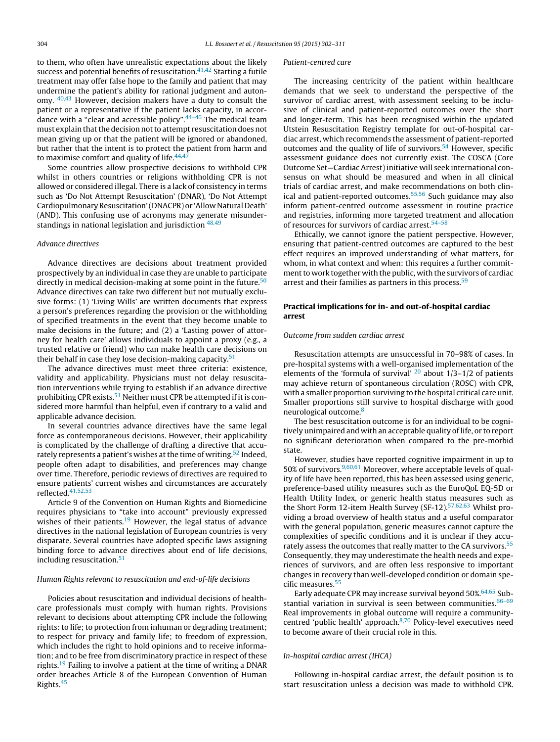to them, who often have unrealistic expectations about the likely success and potential benefits of resuscitation. $41,42$  Starting a futile treatment may offer false hope to the family and patient that may undermine the patient's ability for rational judgment and autonomy. [40,43](#page-7-0) However, decision makers have a duty to consult the patient or a representative if the patient lacks capacity, in accordance with a "clear and accessible policy"[.44–46](#page-7-0) The medical team must explain that the decision not to attempt resuscitation does not mean giving up or that the patient will be ignored or abandoned, but rather that the intent is to protect the patient from harm and to maximise comfort and quality of life. $44,47$ 

Some countries allow prospective decisions to withhold CPR whilst in others countries or religions withholding CPR is not allowed or considered illegal. There is a lack of consistency in terms such as 'Do Not Attempt Resuscitation' (DNAR), 'Do Not Attempt Cardiopulmonary Resuscitation'(DNACPR) or 'Allow Natural Death' (AND). This confusing use of acronyms may generate misunderstandings in national legislation and jurisdiction  $48,49$ 

## Advance directives

Advance directives are decisions about treatment provided prospectively by an individual in case they are unable to participate directly in medical decision-making at some point in the future. $50$ Advance directives can take two different but not mutually exclusive forms: (1) 'Living Wills' are written documents that express a person's preferences regarding the provision or the withholding of specified treatments in the event that they become unable to make decisions in the future; and (2) a 'Lasting power of attorney for health care' allows individuals to appoint a proxy (e.g., a trusted relative or friend) who can make health care decisions on their behalf in case they lose decision-making capacity. $51$ 

The advance directives must meet three criteria: existence, validity and applicability. Physicians must not delay resuscitation interventions while trying to establish if an advance directive prohibiting CPR exists.<sup>51</sup> Neither must CPR be attempted if it is considered more harmful than helpful, even if contrary to a valid and applicable advance decision.

In several countries advance directives have the same legal force as contemporaneous decisions. However, their applicability is complicated by the challenge of drafting a directive that accurately represents a patient's wishes at the time of writing.<sup>52</sup> Indeed, people often adapt to disabilities, and preferences may change over time. Therefore, periodic reviews of directives are required to ensure patients' current wishes and circumstances are accurately reflected[.41,52,53](#page-7-0)

Article 9 of the Convention on Human Rights and Biomedicine requires physicians to "take into account" previously expressed wishes of their patients.<sup>19</sup> However, the legal status of advance directives in the national legislation of European countries is very disparate. Several countries have adopted specific laws assigning binding force to advance directives about end of life decisions, including resuscitation.<sup>51</sup>

### Human Rights relevant to resuscitation and end-of-life decisions

Policies about resuscitation and individual decisions of healthcare professionals must comply with human rights. Provisions relevant to decisions about attempting CPR include the following rights: to life; to protection from inhuman or degrading treatment; to respect for privacy and family life; to freedom of expression, which includes the right to hold opinions and to receive information; and to be free from discriminatory practice in respect of these rights.<sup>19</sup> Failing to involve a patient at the time of writing a DNAR order breaches Article 8 of the European Convention of Human Rights.[45](#page-7-0)

#### Patient-centred care

The increasing centricity of the patient within healthcare demands that we seek to understand the perspective of the survivor of cardiac arrest, with assessment seeking to be inclusive of clinical and patient-reported outcomes over the short and longer-term. This has been recognised within the updated Utstein Resuscitation Registry template for out-of-hospital cardiac arrest, which recommends the assessment of patient-reported outcomes and the quality of life of survivors. $54$  However, specific assessment guidance does not currently exist. The COSCA (Core Outcome Set—Cardiac Arrest)initiative will seek international consensus on what should be measured and when in all clinical trials of cardiac arrest, and make recommendations on both clin-ical and patient-reported outcomes.<sup>[55,56](#page-7-0)</sup> Such guidance may also inform patient-centred outcome assessment in routine practice and registries, informing more targeted treatment and allocation of resources for survivors of cardiac arrest.<sup>54-58</sup>

Ethically, we cannot ignore the patient perspective. However, ensuring that patient-centred outcomes are captured to the best effect requires an improved understanding of what matters, for whom, in what context and when: this requires a further commitment to work together with the public, with the survivors of cardiac arrest and their families as partners in this process.<sup>[59](#page-7-0)</sup>

## **Practical implications for in- and out-of-hospital cardiac arrest**

## Outcome from sudden cardiac arrest

Resuscitation attempts are unsuccessful in 70–98% of cases. In pre-hospital systems with a well-organised implementation of the elements of the 'formula of survival'  $^{20}$  $^{20}$  $^{20}$  about 1/3–1/2 of patients may achieve return of spontaneous circulation (ROSC) with CPR, with a smaller proportion surviving to the hospital critical care unit. Smaller proportions still survive to hospital discharge with good neurological outcome[.8](#page-6-0)

The best resuscitation outcome is for an individual to be cognitively unimpaired and with an acceptable quality of life, or to report no significant deterioration when compared to the pre-morbid state.

However, studies have reported cognitive impairment in up to 50% of survivors. $9,60,61$  Moreover, where acceptable levels of quality of life have been reported, this has been assessed using generic, preference-based utility measures such as the EuroQoL EQ-5D or Health Utility Index, or generic health status measures such as the Short Form 12-item Health Survey (SF-12).<sup>57,62,63</sup> Whilst providing a broad overview of health status and a useful comparator with the general population, generic measures cannot capture the complexities of specific conditions and it is unclear if they accurately assess the outcomes that really matter to the CA survivors.<sup>55</sup> Consequently, they may underestimate the health needs and experiences of survivors, and are often less responsive to important changes in recovery than well-developed condition or domain specific measures.<sup>55</sup>

Early adequate CPR may increase survival beyond 50%.<sup>64,65</sup> Substantial variation in survival is seen between communities.<sup>66-69</sup> Real improvements in global outcome will require a communitycentred 'public health' approach[.8,70](#page-6-0) Policy-level executives need to become aware of their crucial role in this.

## In-hospital cardiac arrest (IHCA)

Following in-hospital cardiac arrest, the default position is to start resuscitation unless a decision was made to withhold CPR.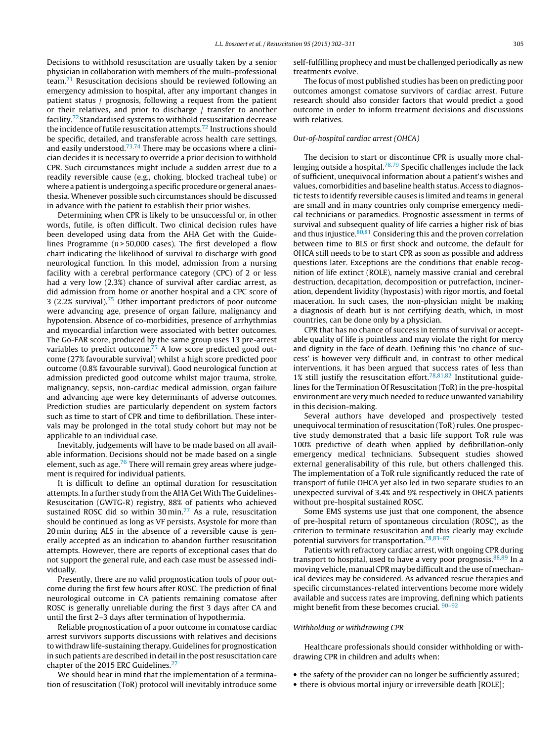Decisions to withhold resuscitation are usually taken by a senior physician in collaboration with members of the multi-professional team[.71](#page-7-0) Resuscitation decisions should be reviewed following an emergency admission to hospital, after any important changes in patient status / prognosis, following a request from the patient or their relatives, and prior to discharge / transfer to another facility.[72St](#page-7-0)andardised systems to withhold resuscitation decrease the incidence of futile resuscitation attempts.<sup>72</sup> Instructions should be specific, detailed, and transferable across health care settings, and easily understood. $73,74$  There may be occasions where a clinician decides it is necessary to override a prior decision to withhold CPR. Such circumstances might include a sudden arrest due to a readily reversible cause (e.g., choking, blocked tracheal tube) or where a patient is undergoing a specific procedure or general anaesthesia. Whenever possible such circumstances should be discussed in advance with the patient to establish their prior wishes.

Determining when CPR is likely to be unsuccessful or, in other words, futile, is often difficult. Two clinical decision rules have been developed using data from the AHA Get with the Guidelines Programme ( $n > 50,000$  cases). The first developed a flow chart indicating the likelihood of survival to discharge with good neurological function. In this model, admission from a nursing facility with a cerebral performance category (CPC) of 2 or less had a very low (2.3%) chance of survival after cardiac arrest, as did admission from home or another hospital and a CPC score of 3 (2.2% survival)[.75](#page-7-0) Other important predictors of poor outcome were advancing age, presence of organ failure, malignancy and hypotension. Absence of co-morbidities, presence of arrhythmias and myocardial infarction were associated with better outcomes. The Go-FAR score, produced by the same group uses 13 pre-arrest variables to predict outcome.<sup>[75](#page-7-0)</sup> A low score predicted good outcome (27% favourable survival) whilst a high score predicted poor outcome (0.8% favourable survival). Good neurological function at admission predicted good outcome whilst major trauma, stroke, malignancy, sepsis, non-cardiac medical admission, organ failure and advancing age were key determinants of adverse outcomes. Prediction studies are particularly dependent on system factors such as time to start of CPR and time to defibrillation. These intervals may be prolonged in the total study cohort but may not be applicable to an individual case.

Inevitably, judgements will have to be made based on all available information. Decisions should not be made based on a single element, such as age. $76$  There will remain grey areas where judgement is required for individual patients.

It is difficult to define an optimal duration for resuscitation attempts. In a further study from the AHA Get With The Guidelines-Resuscitation (GWTG-R) registry, 88% of patients who achieved sustained ROSC did so within 30 min.<sup>77</sup> As a rule, resuscitation should be continued as long as VF persists. Asystole for more than 20 min during ALS in the absence of a reversible cause is generally accepted as an indication to abandon further resuscitation attempts. However, there are reports of exceptional cases that do not support the general rule, and each case must be assessed individually.

Presently, there are no valid prognostication tools of poor outcome during the first few hours after ROSC. The prediction of final neurological outcome in CA patients remaining comatose after ROSC is generally unreliable during the first 3 days after CA and until the first 2–3 days after termination of hypothermia.

Reliable prognostication of a poor outcome in comatose cardiac arrest survivors supports discussions with relatives and decisions to withdraw life-sustaining therapy. Guidelines for prognostication in such patients are described in detail in the post resuscitation care chapter of the 2015 ERC Guidelines.[27](#page-7-0)

We should bear in mind that the implementation of a termination of resuscitation (ToR) protocol will inevitably introduce some self-fulfilling prophecy and must be challenged periodically as new treatments evolve.

The focus of most published studies has been on predicting poor outcomes amongst comatose survivors of cardiac arrest. Future research should also consider factors that would predict a good outcome in order to inform treatment decisions and discussions with relatives.

## Out-of-hospital cardiac arrest (OHCA)

The decision to start or discontinue CPR is usually more chal-lenging outside a hospital.<sup>[78,79](#page-7-0)</sup> Specific challenges include the lack of sufficient, unequivocal information about a patient's wishes and values, comorbidities and baseline health status. Access to diagnostic tests to identify reversible causes is limited and teams in general are small and in many countries only comprise emergency medical technicians or paramedics. Prognostic assessment in terms of survival and subsequent quality of life carries a higher risk of bias and thus injustice. $80,81$  Considering this and the proven correlation between time to BLS or first shock and outcome, the default for OHCA still needs to be to start CPR as soon as possible and address questions later. Exceptions are the conditions that enable recognition of life extinct (ROLE), namely massive cranial and cerebral destruction, decapitation, decomposition or putrefaction, incineration, dependent lividity (hypostasis) with rigor mortis, and foetal maceration. In such cases, the non-physician might be making a diagnosis of death but is not certifying death, which, in most countries, can be done only by a physician.

CPR that has no chance of success in terms of survival or acceptable quality of life is pointless and may violate the right for mercy and dignity in the face of death. Defining this 'no chance of success' is however very difficult and, in contrast to other medical interventions, it has been argued that success rates of less than 1% still justify the resuscitation effort.[78,81,82](#page-7-0) Institutional guidelines for the Termination Of Resuscitation (ToR) in the pre-hospital environment are very much needed to reduce unwanted variability in this decision-making.

Several authors have developed and prospectively tested unequivocal termination of resuscitation (ToR) rules. One prospective study demonstrated that a basic life support ToR rule was 100% predictive of death when applied by defibrillation-only emergency medical technicians. Subsequent studies showed external generalisability of this rule, but others challenged this. The implementation of a ToR rule significantly reduced the rate of transport of futile OHCA yet also led in two separate studies to an unexpected survival of 3.4% and 9% respectively in OHCA patients without pre-hospital sustained ROSC.

Some EMS systems use just that one component, the absence of pre-hospital return of spontaneous circulation (ROSC), as the criterion to terminate resuscitation and this clearly may exclude potential survivors for transportation[.78,83–87](#page-7-0)

Patients with refractory cardiac arrest, with ongoing CPR during transport to hospital, used to have a very poor prognosis. $88,89$  In a moving vehicle, manual CPR may be difficult and the use of mechanical devices may be considered. As advanced rescue therapies and specific circumstances-related interventions become more widely available and success rates are improving, defining which patients might benefit from these becomes crucial.  $90-92$ 

## Withholding or withdrawing CPR

Healthcare professionals should consider withholding or withdrawing CPR in children and adults when:

- the safety of the provider can no longer be sufficiently assured;
- there is obvious mortal injury or irreversible death [ROLE];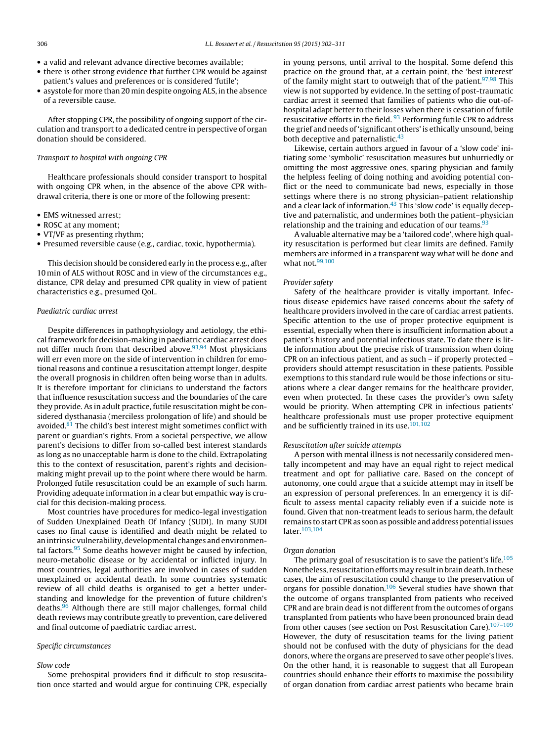- a valid and relevant advance directive becomes available;
- there is other strong evidence that further CPR would be against patient's values and preferences or is considered 'futile';
- asystole for more than 20 min despite ongoing ALS, in the absence of a reversible cause.

After stopping CPR, the possibility of ongoing support of the circulation and transport to a dedicated centre in perspective of organ donation should be considered.

## Transport to hospital with ongoing CPR

Healthcare professionals should consider transport to hospital with ongoing CPR when, in the absence of the above CPR withdrawal criteria, there is one or more of the following present:

- EMS witnessed arrest;
- ROSC at any moment;
- VT/VF as presenting rhythm;
- Presumed reversible cause (e.g., cardiac, toxic, hypothermia).

This decision should be considered early in the process e.g., after 10 min of ALS without ROSC and in view of the circumstances e.g., distance, CPR delay and presumed CPR quality in view of patient characteristics e.g., presumed QoL.

## Paediatric cardiac arrest

Despite differences in pathophysiology and aetiology, the ethicalframework for decision-making in paediatric cardiac arrest does not differ much from that described above. $93,94$  Most physicians will err even more on the side of intervention in children for emotional reasons and continue a resuscitation attempt longer, despite the overall prognosis in children often being worse than in adults. It is therefore important for clinicians to understand the factors that influence resuscitation success and the boundaries of the care they provide. As in adult practice, futile resuscitation might be considered dysthanasia (merciless prolongation of life) and should be avoided. $81$  The child's best interest might sometimes conflict with parent or guardian's rights. From a societal perspective, we allow parent's decisions to differ from so-called best interest standards as long as no unacceptable harm is done to the child. Extrapolating this to the context of resuscitation, parent's rights and decisionmaking might prevail up to the point where there would be harm. Prolonged futile resuscitation could be an example of such harm. Providing adequate information in a clear but empathic way is crucial for this decision-making process.

Most countries have procedures for medico-legal investigation of Sudden Unexplained Death Of Infancy (SUDI). In many SUDI cases no final cause is identified and death might be related to anintrinsic vulnerability, developmental changes and environmental factors. $95$  Some deaths however might be caused by infection, neuro-metabolic disease or by accidental or inflicted injury. In most countries, legal authorities are involved in cases of sudden unexplained or accidental death. In some countries systematic review of all child deaths is organised to get a better understanding and knowledge for the prevention of future children's deaths[.96](#page-8-0) Although there are still major challenges, formal child death reviews may contribute greatly to prevention, care delivered and final outcome of paediatric cardiac arrest.

## Specific circumstances

## Slow code

Some prehospital providers find it difficult to stop resuscitation once started and would argue for continuing CPR, especially in young persons, until arrival to the hospital. Some defend this practice on the ground that, at a certain point, the 'best interest' of the family might start to outweigh that of the patient.<sup>97,98</sup> This view is not supported by evidence. In the setting of post-traumatic cardiac arrest it seemed that families of patients who die out-ofhospital adapt better to their losses when there is cessation of futile resuscitative efforts in the field.  $93$  Performing futile CPR to address the grief and needs of 'significant others' is ethically unsound, being both deceptive and paternalistic. $43$ 

Likewise, certain authors argued in favour of a 'slow code' initiating some 'symbolic' resuscitation measures but unhurriedly or omitting the most aggressive ones, sparing physician and family the helpless feeling of doing nothing and avoiding potential conflict or the need to communicate bad news, especially in those settings where there is no strong physician–patient relationship and a clear lack of information. $43$  This 'slow code' is equally deceptive and paternalistic, and undermines both the patient–physician relationship and the training and education of our teams. $93$ 

A valuable alternative may be a 'tailored code', where high quality resuscitation is performed but clear limits are defined. Family members are informed in a transparent way what will be done and what not.<sup>[99,100](#page-8-0)</sup>

## Provider safety

Safety of the healthcare provider is vitally important. Infectious disease epidemics have raised concerns about the safety of healthcare providers involved in the care of cardiac arrest patients. Specific attention to the use of proper protective equipment is essential, especially when there is insufficient information about a patient's history and potential infectious state. To date there is little information about the precise risk of transmission when doing CPR on an infectious patient, and as such – if properly protected – providers should attempt resuscitation in these patients. Possible exemptions to this standard rule would be those infections or situations where a clear danger remains for the healthcare provider, even when protected. In these cases the provider's own safety would be priority. When attempting CPR in infectious patients' healthcare professionals must use proper protective equipment and be sufficiently trained in its use.<sup>101,102</sup>

## Resuscitation after suicide attempts

A person with mental illness is not necessarily considered mentally incompetent and may have an equal right to reject medical treatment and opt for palliative care. Based on the concept of autonomy, one could argue that a suicide attempt may in itself be an expression of personal preferences. In an emergency it is difficult to assess mental capacity reliably even if a suicide note is found. Given that non-treatment leads to serious harm, the default remains to start CPR as soon as possible and address potential issues later.[103,104](#page-8-0)

#### Organ donation

The primary goal of resuscitation is to save the patient's life.<sup>[105](#page-8-0)</sup> Nonetheless, resuscitation efforts may result in brain death. In these cases, the aim of resuscitation could change to the preservation of organs for possible donation.<sup>[106](#page-8-0)</sup> Several studies have shown that the outcome of organs transplanted from patients who received CPR and are brain dead is not different from the outcomes of organs transplanted from patients who have been pronounced brain dead from other causes (see section on Post Resuscitation Care).<sup>107–109</sup> However, the duty of resuscitation teams for the living patient should not be confused with the duty of physicians for the dead donors, where the organs are preserved to save other people's lives. On the other hand, it is reasonable to suggest that all European countries should enhance their efforts to maximise the possibility of organ donation from cardiac arrest patients who became brain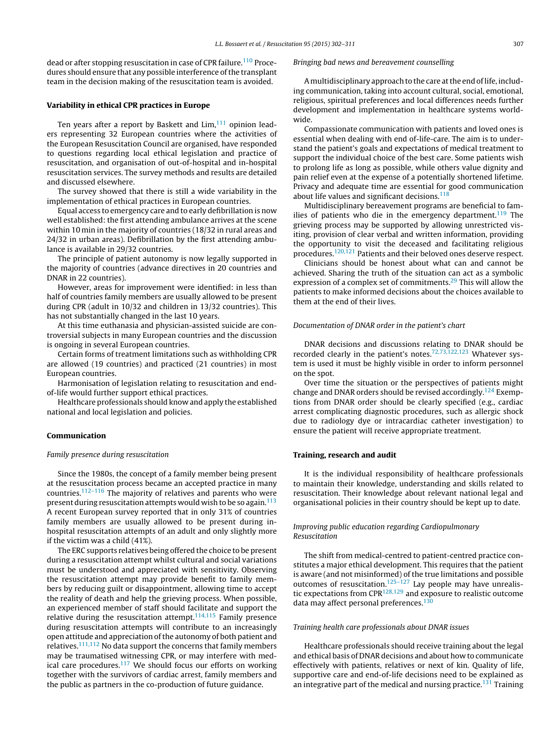dead or after stopping resuscitation in case of CPR failure.<sup>[110](#page-8-0)</sup> Procedures should ensure that any possible interference of the transplant team in the decision making of the resuscitation team is avoided.

## **Variability in ethical CPR practices in Europe**

Ten years after a report by Baskett and  $Lim$ ,  $111$  opinion leaders representing 32 European countries where the activities of the European Resuscitation Council are organised, have responded to questions regarding local ethical legislation and practice of resuscitation, and organisation of out-of-hospital and in-hospital resuscitation services. The survey methods and results are detailed and discussed elsewhere.

The survey showed that there is still a wide variability in the implementation of ethical practices in European countries.

Equal access to emergency care and to early defibrillation is now well established: the first attending ambulance arrives at the scene within 10 min in the majority of countries (18/32 in rural areas and 24/32 in urban areas). Defibrillation by the first attending ambulance is available in 29/32 countries.

The principle of patient autonomy is now legally supported in the majority of countries (advance directives in 20 countries and DNAR in 22 countries).

However, areas for improvement were identified: in less than half of countries family members are usually allowed to be present during CPR (adult in 10/32 and children in 13/32 countries). This has not substantially changed in the last 10 years.

At this time euthanasia and physician-assisted suicide are controversial subjects in many European countries and the discussion is ongoing in several European countries.

Certain forms of treatment limitations such as withholding CPR are allowed (19 countries) and practiced (21 countries) in most European countries.

Harmonisation of legislation relating to resuscitation and endof-life would further support ethical practices.

Healthcare professionals should know and apply the established national and local legislation and policies.

## **Communication**

## Family presence during resuscitation

Since the 1980s, the concept of a family member being present at the resuscitation process became an accepted practice in many countries. $112-116$  The majority of relatives and parents who were present during resuscitation attempts would wish to be so again.<sup>[113](#page-8-0)</sup> A recent European survey reported that in only 31% of countries family members are usually allowed to be present during inhospital resuscitation attempts of an adult and only slightly more if the victim was a child (41%).

The ERC supports relatives being offered the choice to be present during a resuscitation attempt whilst cultural and social variations must be understood and appreciated with sensitivity. Observing the resuscitation attempt may provide benefit to family members by reducing guilt or disappointment, allowing time to accept the reality of death and help the grieving process. When possible, an experienced member of staff should facilitate and support the relative during the resuscitation attempt.<sup>114,115</sup> Family presence during resuscitation attempts will contribute to an increasingly open attitude and appreciation of the autonomy of both patient and relatives[.111,112](#page-8-0) No data support the concerns that family members may be traumatised witnessing CPR, or may interfere with med-ical care procedures.<sup>[117](#page-8-0)</sup> We should focus our efforts on working together with the survivors of cardiac arrest, family members and the public as partners in the co-production of future guidance.

#### Bringing bad news and bereavement counselling

Amultidisciplinary approach to the care atthe end oflife, including communication, taking into account cultural, social, emotional, religious, spiritual preferences and local differences needs further development and implementation in healthcare systems worldwide.

Compassionate communication with patients and loved ones is essential when dealing with end of-life-care. The aim is to understand the patient's goals and expectations of medical treatment to support the individual choice of the best care. Some patients wish to prolong life as long as possible, while others value dignity and pain relief even at the expense of a potentially shortened lifetime. Privacy and adequate time are essential for good communication about life values and significant decisions. $118$ 

Multidisciplinary bereavement programs are beneficial to fam-ilies of patients who die in the emergency department.<sup>[119](#page-8-0)</sup> The grieving process may be supported by allowing unrestricted visiting, provision of clear verbal and written information, providing the opportunity to visit the deceased and facilitating religious procedures.[120,121](#page-8-0) Patients and their beloved ones deserve respect.

Clinicians should be honest about what can and cannot be achieved. Sharing the truth of the situation can act as a symbolic expression of a complex set of commitments.<sup>29</sup> This will allow the patients to make informed decisions about the choices available to them at the end of their lives.

## Documentation of DNAR order in the patient's chart

DNAR decisions and discussions relating to DNAR should be recorded clearly in the patient's notes.[72,73,122,123](#page-7-0) Whatever system is used it must be highly visible in order to inform personnel on the spot.

Over time the situation or the perspectives of patients might change and DNAR orders should be revised accordingly.<sup>124</sup> Exemptions from DNAR order should be clearly specified (e.g., cardiac arrest complicating diagnostic procedures, such as allergic shock due to radiology dye or intracardiac catheter investigation) to ensure the patient will receive appropriate treatment.

## **Training, research and audit**

It is the individual responsibility of healthcare professionals to maintain their knowledge, understanding and skills related to resuscitation. Their knowledge about relevant national legal and organisational policies in their country should be kept up to date.

## Improving public education regarding Cardiopulmonary Resuscitation

The shift from medical-centred to patient-centred practice constitutes a major ethical development. This requires that the patient is aware (and not misinformed) of the true limitations and possible outcomes of resuscitation.<sup>125–127</sup> Lay people may have unrealistic expectations from CPR[128,129](#page-8-0) and exposure to realistic outcome data may affect personal preferences.<sup>130</sup>

#### Training health care professionals about DNAR issues

Healthcare professionals should receive training about the legal and ethical basis of DNAR decisions and about how to communicate effectively with patients, relatives or next of kin. Quality of life, supportive care and end-of-life decisions need to be explained as an integrative part of the medical and nursing practice.<sup>[131](#page-8-0)</sup> Training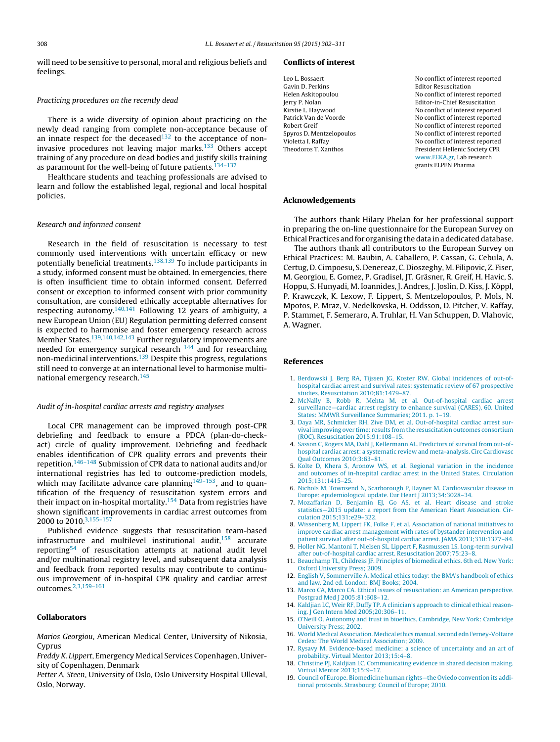<span id="page-6-0"></span>will need to be sensitive to personal, moral and religious beliefs and feelings.

## Practicing procedures on the recently dead

There is a wide diversity of opinion about practicing on the newly dead ranging from complete non-acceptance because of an innate respect for the deceased $132$  to the acceptance of noninvasive procedures not leaving major marks. $133$  Others accept training of any procedure on dead bodies and justify skills training as paramount for the well-being of future patients.<sup>134-137</sup>

Healthcare students and teaching professionals are advised to learn and follow the established legal, regional and local hospital policies.

## Research and informed consent

Research in the field of resuscitation is necessary to test commonly used interventions with uncertain efficacy or new potentially beneficial treatments.<sup>138,139</sup> To include participants in a study, informed consent must be obtained. In emergencies, there is often insufficient time to obtain informed consent. Deferred consent or exception to informed consent with prior community consultation, are considered ethically acceptable alternatives for respecting autonomy.<sup>[140,141](#page-8-0)</sup> Following 12 years of ambiguity, a new European Union (EU) Regulation permitting deferred consent is expected to harmonise and foster emergency research across Member States.<sup>139,140,142,143</sup> Further regulatory improvements are needed for emergency surgical research  $144$  and for researching non-medicinal interventions[.139](#page-8-0) Despite this progress, regulations still need to converge at an international level to harmonise multinational emergency research.<sup>145</sup>

#### Audit of in-hospital cardiac arrests and registry analyses

Local CPR management can be improved through post-CPR debriefing and feedback to ensure a PDCA (plan-do-checkact) circle of quality improvement. Debriefing and feedback enables identification of CPR quality errors and prevents their repetition.[146–148](#page-9-0) Submission of CPR data to national audits and/or international registries has led to outcome-prediction models, which may facilitate advance care planning $149-153$ , and to quantification of the frequency of resuscitation system errors and their impact on in-hospital mortality[.154](#page-9-0) Data from registries have shown significant improvements in cardiac arrest outcomes from 2000 to 2010.<sup>3,155-157</sup>

Published evidence suggests that resuscitation team-based infrastructure and multilevel institutional audit, $158$  accurate reporting<sup>[54](#page-7-0)</sup> of resuscitation attempts at national audit level and/or multinational registry level, and subsequent data analysis and feedback from reported results may contribute to continuous improvement of in-hospital CPR quality and cardiac arrest outcomes.2,3,159–161

## **Collaborators**

Marios Georgiou, American Medical Center, University of Nikosia, Cyprus

Freddy K. Lippert, Emergency Medical Services Copenhagen, University of Copenhagen, Denmark

Petter A. Steen, University of Oslo, Oslo University Hospital Ulleval, Oslo, Norway.

#### **Conflicts of interest**

Gavin D. Perkins **Editor Resuscitation** 

Leo L. Bossaert No conflict of interest reported Helen Askitopoulou https://www.mateural.com/lict of interest reported Jerry P. Nolan **Editor-in-Chief Resuscitation**<br>
Kirstie L. Havwood **Editor-in-Chief Resuscitation** No conflict of interest reported Patrick Van de Voorde No conflict of interest reported Robert Greif No conflict of interest reported Spyros D. Mentzelopoulos No conflict of interest reported Violetta I. Raffay No conflict of interest reported Theodoros T. Xanthos **President Hellenic Society CPR** [www.EEKA.gr](http://www.eeka.gr/), Lab research grants ELPEN Pharma

#### **Acknowledgements**

The authors thank Hilary Phelan for her professional support in preparing the on-line questionnaire for the European Survey on Ethical Practices and for organising the data ina dedicated database.

The authors thank all contributors to the European Survey on Ethical Practices: M. Baubin, A. Caballero, P. Cassan, G. Cebula, A. Certug, D. Cimpoesu, S. Denereaz, C. Dioszeghy, M. Filipovic, Z. Fiser, M. Georgiou, E. Gomez, P. Gradisel, JT. Gräsner, R. Greif, H. Havic, S. Hoppu, S. Hunyadi, M. Ioannides, J. Andres, J. Joslin, D. Kiss, J. Köppl, P. Krawczyk, K. Lexow, F. Lippert, S. Mentzelopoulos, P. Mols, N. Mpotos, P. Mraz, V. Nedelkovska, H. Oddsson, D. Pitcher, V. Raffay, P. Stammet, F. Semeraro, A. Truhlar, H. Van Schuppen, D. Vlahovic, A. Wagner.

## **References**

- 1. [Berdowski](http://refhub.elsevier.com/S0300-9572(15)00345-7/sbref0810) [J,](http://refhub.elsevier.com/S0300-9572(15)00345-7/sbref0810) [Berg](http://refhub.elsevier.com/S0300-9572(15)00345-7/sbref0810) [RA,](http://refhub.elsevier.com/S0300-9572(15)00345-7/sbref0810) [Tijssen](http://refhub.elsevier.com/S0300-9572(15)00345-7/sbref0810) [JG,](http://refhub.elsevier.com/S0300-9572(15)00345-7/sbref0810) [Koster](http://refhub.elsevier.com/S0300-9572(15)00345-7/sbref0810) [RW.](http://refhub.elsevier.com/S0300-9572(15)00345-7/sbref0810) [Global](http://refhub.elsevier.com/S0300-9572(15)00345-7/sbref0810) [incidences](http://refhub.elsevier.com/S0300-9572(15)00345-7/sbref0810) [of](http://refhub.elsevier.com/S0300-9572(15)00345-7/sbref0810) [out-of](http://refhub.elsevier.com/S0300-9572(15)00345-7/sbref0810)[hospital](http://refhub.elsevier.com/S0300-9572(15)00345-7/sbref0810) [cardiac](http://refhub.elsevier.com/S0300-9572(15)00345-7/sbref0810) [arrest](http://refhub.elsevier.com/S0300-9572(15)00345-7/sbref0810) [and](http://refhub.elsevier.com/S0300-9572(15)00345-7/sbref0810) [survival](http://refhub.elsevier.com/S0300-9572(15)00345-7/sbref0810) [rates:](http://refhub.elsevier.com/S0300-9572(15)00345-7/sbref0810) [systematic](http://refhub.elsevier.com/S0300-9572(15)00345-7/sbref0810) [review](http://refhub.elsevier.com/S0300-9572(15)00345-7/sbref0810) [of](http://refhub.elsevier.com/S0300-9572(15)00345-7/sbref0810) [67](http://refhub.elsevier.com/S0300-9572(15)00345-7/sbref0810) [prospective](http://refhub.elsevier.com/S0300-9572(15)00345-7/sbref0810) [studies.](http://refhub.elsevier.com/S0300-9572(15)00345-7/sbref0810) [Resuscitation](http://refhub.elsevier.com/S0300-9572(15)00345-7/sbref0810) [2010;81:1479](http://refhub.elsevier.com/S0300-9572(15)00345-7/sbref0810)–[87.](http://refhub.elsevier.com/S0300-9572(15)00345-7/sbref0810)
- 2. [McNally](http://refhub.elsevier.com/S0300-9572(15)00345-7/sbref0815) [B,](http://refhub.elsevier.com/S0300-9572(15)00345-7/sbref0815) [Robb](http://refhub.elsevier.com/S0300-9572(15)00345-7/sbref0815) [R,](http://refhub.elsevier.com/S0300-9572(15)00345-7/sbref0815) [Mehta](http://refhub.elsevier.com/S0300-9572(15)00345-7/sbref0815) [M,](http://refhub.elsevier.com/S0300-9572(15)00345-7/sbref0815) [et](http://refhub.elsevier.com/S0300-9572(15)00345-7/sbref0815) [al.](http://refhub.elsevier.com/S0300-9572(15)00345-7/sbref0815) [Out-of-hospital](http://refhub.elsevier.com/S0300-9572(15)00345-7/sbref0815) [cardiac](http://refhub.elsevier.com/S0300-9572(15)00345-7/sbref0815) [arrest](http://refhub.elsevier.com/S0300-9572(15)00345-7/sbref0815) [surveillance](http://refhub.elsevier.com/S0300-9572(15)00345-7/sbref0815)—[cardiac](http://refhub.elsevier.com/S0300-9572(15)00345-7/sbref0815) [arrest](http://refhub.elsevier.com/S0300-9572(15)00345-7/sbref0815) [registry](http://refhub.elsevier.com/S0300-9572(15)00345-7/sbref0815) [to](http://refhub.elsevier.com/S0300-9572(15)00345-7/sbref0815) [enhance](http://refhub.elsevier.com/S0300-9572(15)00345-7/sbref0815) [survival](http://refhub.elsevier.com/S0300-9572(15)00345-7/sbref0815) [\(CARES\),](http://refhub.elsevier.com/S0300-9572(15)00345-7/sbref0815) [60.](http://refhub.elsevier.com/S0300-9572(15)00345-7/sbref0815) [United](http://refhub.elsevier.com/S0300-9572(15)00345-7/sbref0815) [States:](http://refhub.elsevier.com/S0300-9572(15)00345-7/sbref0815) [MMWR](http://refhub.elsevier.com/S0300-9572(15)00345-7/sbref0815) [Surveillance](http://refhub.elsevier.com/S0300-9572(15)00345-7/sbref0815) [Summaries;](http://refhub.elsevier.com/S0300-9572(15)00345-7/sbref0815) [2011.](http://refhub.elsevier.com/S0300-9572(15)00345-7/sbref0815) [p.](http://refhub.elsevier.com/S0300-9572(15)00345-7/sbref0815) [1](http://refhub.elsevier.com/S0300-9572(15)00345-7/sbref0815)–[19.](http://refhub.elsevier.com/S0300-9572(15)00345-7/sbref0815)
- 3. [Daya](http://refhub.elsevier.com/S0300-9572(15)00345-7/sbref0820) [MR,](http://refhub.elsevier.com/S0300-9572(15)00345-7/sbref0820) [Schmicker](http://refhub.elsevier.com/S0300-9572(15)00345-7/sbref0820) [RH,](http://refhub.elsevier.com/S0300-9572(15)00345-7/sbref0820) [Zive](http://refhub.elsevier.com/S0300-9572(15)00345-7/sbref0820) [DM,](http://refhub.elsevier.com/S0300-9572(15)00345-7/sbref0820) [et](http://refhub.elsevier.com/S0300-9572(15)00345-7/sbref0820) [al.](http://refhub.elsevier.com/S0300-9572(15)00345-7/sbref0820) [Out-of-hospital](http://refhub.elsevier.com/S0300-9572(15)00345-7/sbref0820) [cardiac](http://refhub.elsevier.com/S0300-9572(15)00345-7/sbref0820) [arrest](http://refhub.elsevier.com/S0300-9572(15)00345-7/sbref0820) [sur](http://refhub.elsevier.com/S0300-9572(15)00345-7/sbref0820)[vival](http://refhub.elsevier.com/S0300-9572(15)00345-7/sbref0820) [improving](http://refhub.elsevier.com/S0300-9572(15)00345-7/sbref0820) [over](http://refhub.elsevier.com/S0300-9572(15)00345-7/sbref0820) [time:](http://refhub.elsevier.com/S0300-9572(15)00345-7/sbref0820) [results](http://refhub.elsevier.com/S0300-9572(15)00345-7/sbref0820) [from](http://refhub.elsevier.com/S0300-9572(15)00345-7/sbref0820) [the](http://refhub.elsevier.com/S0300-9572(15)00345-7/sbref0820) [resuscitation](http://refhub.elsevier.com/S0300-9572(15)00345-7/sbref0820) [outcomes](http://refhub.elsevier.com/S0300-9572(15)00345-7/sbref0820) [consortium](http://refhub.elsevier.com/S0300-9572(15)00345-7/sbref0820) [\(ROC\).](http://refhub.elsevier.com/S0300-9572(15)00345-7/sbref0820) [Resuscitation](http://refhub.elsevier.com/S0300-9572(15)00345-7/sbref0820) [2015;91:108](http://refhub.elsevier.com/S0300-9572(15)00345-7/sbref0820)–[15.](http://refhub.elsevier.com/S0300-9572(15)00345-7/sbref0820)
- 4. [Sasson](http://refhub.elsevier.com/S0300-9572(15)00345-7/sbref0825) [C,](http://refhub.elsevier.com/S0300-9572(15)00345-7/sbref0825) [Rogers](http://refhub.elsevier.com/S0300-9572(15)00345-7/sbref0825) [MA,](http://refhub.elsevier.com/S0300-9572(15)00345-7/sbref0825) [Dahl](http://refhub.elsevier.com/S0300-9572(15)00345-7/sbref0825) [J,](http://refhub.elsevier.com/S0300-9572(15)00345-7/sbref0825) [Kellermann](http://refhub.elsevier.com/S0300-9572(15)00345-7/sbref0825) [AL.](http://refhub.elsevier.com/S0300-9572(15)00345-7/sbref0825) [Predictors](http://refhub.elsevier.com/S0300-9572(15)00345-7/sbref0825) [of](http://refhub.elsevier.com/S0300-9572(15)00345-7/sbref0825) [survival](http://refhub.elsevier.com/S0300-9572(15)00345-7/sbref0825) [from](http://refhub.elsevier.com/S0300-9572(15)00345-7/sbref0825) [out-of](http://refhub.elsevier.com/S0300-9572(15)00345-7/sbref0825)[hospital](http://refhub.elsevier.com/S0300-9572(15)00345-7/sbref0825) [cardiac](http://refhub.elsevier.com/S0300-9572(15)00345-7/sbref0825) [arrest:](http://refhub.elsevier.com/S0300-9572(15)00345-7/sbref0825) [a](http://refhub.elsevier.com/S0300-9572(15)00345-7/sbref0825) [systematic](http://refhub.elsevier.com/S0300-9572(15)00345-7/sbref0825) [review](http://refhub.elsevier.com/S0300-9572(15)00345-7/sbref0825) [and](http://refhub.elsevier.com/S0300-9572(15)00345-7/sbref0825) [meta-analysis.](http://refhub.elsevier.com/S0300-9572(15)00345-7/sbref0825) [Circ](http://refhub.elsevier.com/S0300-9572(15)00345-7/sbref0825) [Cardiovasc](http://refhub.elsevier.com/S0300-9572(15)00345-7/sbref0825) [Qual](http://refhub.elsevier.com/S0300-9572(15)00345-7/sbref0825) [Outcomes](http://refhub.elsevier.com/S0300-9572(15)00345-7/sbref0825) [2010;3:63](http://refhub.elsevier.com/S0300-9572(15)00345-7/sbref0825)–[81.](http://refhub.elsevier.com/S0300-9572(15)00345-7/sbref0825)
- 5. [Kolte](http://refhub.elsevier.com/S0300-9572(15)00345-7/sbref0830) [D,](http://refhub.elsevier.com/S0300-9572(15)00345-7/sbref0830) [Khera](http://refhub.elsevier.com/S0300-9572(15)00345-7/sbref0830) [S,](http://refhub.elsevier.com/S0300-9572(15)00345-7/sbref0830) [Aronow](http://refhub.elsevier.com/S0300-9572(15)00345-7/sbref0830) [WS,](http://refhub.elsevier.com/S0300-9572(15)00345-7/sbref0830) [et](http://refhub.elsevier.com/S0300-9572(15)00345-7/sbref0830) [al.](http://refhub.elsevier.com/S0300-9572(15)00345-7/sbref0830) [Regional](http://refhub.elsevier.com/S0300-9572(15)00345-7/sbref0830) [variation](http://refhub.elsevier.com/S0300-9572(15)00345-7/sbref0830) [in](http://refhub.elsevier.com/S0300-9572(15)00345-7/sbref0830) [the](http://refhub.elsevier.com/S0300-9572(15)00345-7/sbref0830) [incidence](http://refhub.elsevier.com/S0300-9572(15)00345-7/sbref0830) [and](http://refhub.elsevier.com/S0300-9572(15)00345-7/sbref0830) [outcomes](http://refhub.elsevier.com/S0300-9572(15)00345-7/sbref0830) [of](http://refhub.elsevier.com/S0300-9572(15)00345-7/sbref0830) [in-hospital](http://refhub.elsevier.com/S0300-9572(15)00345-7/sbref0830) [cardiac](http://refhub.elsevier.com/S0300-9572(15)00345-7/sbref0830) [arrest](http://refhub.elsevier.com/S0300-9572(15)00345-7/sbref0830) [in](http://refhub.elsevier.com/S0300-9572(15)00345-7/sbref0830) [the](http://refhub.elsevier.com/S0300-9572(15)00345-7/sbref0830) [United](http://refhub.elsevier.com/S0300-9572(15)00345-7/sbref0830) [States.](http://refhub.elsevier.com/S0300-9572(15)00345-7/sbref0830) [Circulation](http://refhub.elsevier.com/S0300-9572(15)00345-7/sbref0830) [2015;131:1415](http://refhub.elsevier.com/S0300-9572(15)00345-7/sbref0830)–[25.](http://refhub.elsevier.com/S0300-9572(15)00345-7/sbref0830)
- 6. [Nichols](http://refhub.elsevier.com/S0300-9572(15)00345-7/sbref0835) [M,](http://refhub.elsevier.com/S0300-9572(15)00345-7/sbref0835) [Townsend](http://refhub.elsevier.com/S0300-9572(15)00345-7/sbref0835) [N,](http://refhub.elsevier.com/S0300-9572(15)00345-7/sbref0835) [Scarborough](http://refhub.elsevier.com/S0300-9572(15)00345-7/sbref0835) [P,](http://refhub.elsevier.com/S0300-9572(15)00345-7/sbref0835) [Rayner](http://refhub.elsevier.com/S0300-9572(15)00345-7/sbref0835) [M.](http://refhub.elsevier.com/S0300-9572(15)00345-7/sbref0835) [Cardiovascular](http://refhub.elsevier.com/S0300-9572(15)00345-7/sbref0835) [disease](http://refhub.elsevier.com/S0300-9572(15)00345-7/sbref0835) [in](http://refhub.elsevier.com/S0300-9572(15)00345-7/sbref0835) [Europe:](http://refhub.elsevier.com/S0300-9572(15)00345-7/sbref0835) [epidemiological](http://refhub.elsevier.com/S0300-9572(15)00345-7/sbref0835) [update.](http://refhub.elsevier.com/S0300-9572(15)00345-7/sbref0835) [Eur](http://refhub.elsevier.com/S0300-9572(15)00345-7/sbref0835) [Heart](http://refhub.elsevier.com/S0300-9572(15)00345-7/sbref0835) [J](http://refhub.elsevier.com/S0300-9572(15)00345-7/sbref0835) [2013;34:3028–34.](http://refhub.elsevier.com/S0300-9572(15)00345-7/sbref0835)
- 7. [Mozaffarian](http://refhub.elsevier.com/S0300-9572(15)00345-7/sbref0840) [D,](http://refhub.elsevier.com/S0300-9572(15)00345-7/sbref0840) [Benjamin](http://refhub.elsevier.com/S0300-9572(15)00345-7/sbref0840) [EJ,](http://refhub.elsevier.com/S0300-9572(15)00345-7/sbref0840) [Go](http://refhub.elsevier.com/S0300-9572(15)00345-7/sbref0840) [AS,](http://refhub.elsevier.com/S0300-9572(15)00345-7/sbref0840) [et](http://refhub.elsevier.com/S0300-9572(15)00345-7/sbref0840) [al.](http://refhub.elsevier.com/S0300-9572(15)00345-7/sbref0840) [Heart](http://refhub.elsevier.com/S0300-9572(15)00345-7/sbref0840) [disease](http://refhub.elsevier.com/S0300-9572(15)00345-7/sbref0840) [and](http://refhub.elsevier.com/S0300-9572(15)00345-7/sbref0840) [stroke](http://refhub.elsevier.com/S0300-9572(15)00345-7/sbref0840) [statistics—2015](http://refhub.elsevier.com/S0300-9572(15)00345-7/sbref0840) [update:](http://refhub.elsevier.com/S0300-9572(15)00345-7/sbref0840) [a](http://refhub.elsevier.com/S0300-9572(15)00345-7/sbref0840) [report](http://refhub.elsevier.com/S0300-9572(15)00345-7/sbref0840) [from](http://refhub.elsevier.com/S0300-9572(15)00345-7/sbref0840) [the](http://refhub.elsevier.com/S0300-9572(15)00345-7/sbref0840) [American](http://refhub.elsevier.com/S0300-9572(15)00345-7/sbref0840) [Heart](http://refhub.elsevier.com/S0300-9572(15)00345-7/sbref0840) [Association.](http://refhub.elsevier.com/S0300-9572(15)00345-7/sbref0840) [Cir](http://refhub.elsevier.com/S0300-9572(15)00345-7/sbref0840)[culation](http://refhub.elsevier.com/S0300-9572(15)00345-7/sbref0840) [2015;131:e29–322.](http://refhub.elsevier.com/S0300-9572(15)00345-7/sbref0840)
- 8. [Wissenberg](http://refhub.elsevier.com/S0300-9572(15)00345-7/sbref0845) [M,](http://refhub.elsevier.com/S0300-9572(15)00345-7/sbref0845) [Lippert](http://refhub.elsevier.com/S0300-9572(15)00345-7/sbref0845) [FK,](http://refhub.elsevier.com/S0300-9572(15)00345-7/sbref0845) [Folke](http://refhub.elsevier.com/S0300-9572(15)00345-7/sbref0845) [F,](http://refhub.elsevier.com/S0300-9572(15)00345-7/sbref0845) [et](http://refhub.elsevier.com/S0300-9572(15)00345-7/sbref0845) [al.](http://refhub.elsevier.com/S0300-9572(15)00345-7/sbref0845) [Association](http://refhub.elsevier.com/S0300-9572(15)00345-7/sbref0845) [of](http://refhub.elsevier.com/S0300-9572(15)00345-7/sbref0845) [national](http://refhub.elsevier.com/S0300-9572(15)00345-7/sbref0845) [initiatives](http://refhub.elsevier.com/S0300-9572(15)00345-7/sbref0845) [to](http://refhub.elsevier.com/S0300-9572(15)00345-7/sbref0845) [improve](http://refhub.elsevier.com/S0300-9572(15)00345-7/sbref0845) [cardiac](http://refhub.elsevier.com/S0300-9572(15)00345-7/sbref0845) [arrest](http://refhub.elsevier.com/S0300-9572(15)00345-7/sbref0845) [management](http://refhub.elsevier.com/S0300-9572(15)00345-7/sbref0845) [with](http://refhub.elsevier.com/S0300-9572(15)00345-7/sbref0845) [rates](http://refhub.elsevier.com/S0300-9572(15)00345-7/sbref0845) [of](http://refhub.elsevier.com/S0300-9572(15)00345-7/sbref0845) [bystander](http://refhub.elsevier.com/S0300-9572(15)00345-7/sbref0845) [intervention](http://refhub.elsevier.com/S0300-9572(15)00345-7/sbref0845) [and](http://refhub.elsevier.com/S0300-9572(15)00345-7/sbref0845) [patient](http://refhub.elsevier.com/S0300-9572(15)00345-7/sbref0845) [survival](http://refhub.elsevier.com/S0300-9572(15)00345-7/sbref0845) [after](http://refhub.elsevier.com/S0300-9572(15)00345-7/sbref0845) [out-of-hospital](http://refhub.elsevier.com/S0300-9572(15)00345-7/sbref0845) [cardiac](http://refhub.elsevier.com/S0300-9572(15)00345-7/sbref0845) [arrest.](http://refhub.elsevier.com/S0300-9572(15)00345-7/sbref0845) [JAMA](http://refhub.elsevier.com/S0300-9572(15)00345-7/sbref0845) [2013;310:1377–84.](http://refhub.elsevier.com/S0300-9572(15)00345-7/sbref0845)
- 9. [Holler](http://refhub.elsevier.com/S0300-9572(15)00345-7/sbref0850) [NG,](http://refhub.elsevier.com/S0300-9572(15)00345-7/sbref0850) [Mantoni](http://refhub.elsevier.com/S0300-9572(15)00345-7/sbref0850) [T,](http://refhub.elsevier.com/S0300-9572(15)00345-7/sbref0850) [Nielsen](http://refhub.elsevier.com/S0300-9572(15)00345-7/sbref0850) [SL,](http://refhub.elsevier.com/S0300-9572(15)00345-7/sbref0850) [Lippert](http://refhub.elsevier.com/S0300-9572(15)00345-7/sbref0850) [F,](http://refhub.elsevier.com/S0300-9572(15)00345-7/sbref0850) [Rasmussen](http://refhub.elsevier.com/S0300-9572(15)00345-7/sbref0850) [LS.](http://refhub.elsevier.com/S0300-9572(15)00345-7/sbref0850) [Long-term](http://refhub.elsevier.com/S0300-9572(15)00345-7/sbref0850) [survival](http://refhub.elsevier.com/S0300-9572(15)00345-7/sbref0850) [after](http://refhub.elsevier.com/S0300-9572(15)00345-7/sbref0850) [out-of-hospital](http://refhub.elsevier.com/S0300-9572(15)00345-7/sbref0850) [cardiac](http://refhub.elsevier.com/S0300-9572(15)00345-7/sbref0850) [arrest.](http://refhub.elsevier.com/S0300-9572(15)00345-7/sbref0850) [Resuscitation](http://refhub.elsevier.com/S0300-9572(15)00345-7/sbref0850) [2007;75:23–8.](http://refhub.elsevier.com/S0300-9572(15)00345-7/sbref0850)
- 11. [Beauchamp](http://refhub.elsevier.com/S0300-9572(15)00345-7/sbref0860) [TL,](http://refhub.elsevier.com/S0300-9572(15)00345-7/sbref0860) [Childress](http://refhub.elsevier.com/S0300-9572(15)00345-7/sbref0860) [JF.](http://refhub.elsevier.com/S0300-9572(15)00345-7/sbref0860) [Principles](http://refhub.elsevier.com/S0300-9572(15)00345-7/sbref0860) [of](http://refhub.elsevier.com/S0300-9572(15)00345-7/sbref0860) [biomedical](http://refhub.elsevier.com/S0300-9572(15)00345-7/sbref0860) [ethics.](http://refhub.elsevier.com/S0300-9572(15)00345-7/sbref0860) [6th](http://refhub.elsevier.com/S0300-9572(15)00345-7/sbref0860) [ed.](http://refhub.elsevier.com/S0300-9572(15)00345-7/sbref0860) [New](http://refhub.elsevier.com/S0300-9572(15)00345-7/sbref0860) [York:](http://refhub.elsevier.com/S0300-9572(15)00345-7/sbref0860) [Oxford](http://refhub.elsevier.com/S0300-9572(15)00345-7/sbref0860) [University](http://refhub.elsevier.com/S0300-9572(15)00345-7/sbref0860) [Press;](http://refhub.elsevier.com/S0300-9572(15)00345-7/sbref0860) [2009.](http://refhub.elsevier.com/S0300-9572(15)00345-7/sbref0860)
- 12. [English](http://refhub.elsevier.com/S0300-9572(15)00345-7/sbref0865) [V,](http://refhub.elsevier.com/S0300-9572(15)00345-7/sbref0865) [Sommerville](http://refhub.elsevier.com/S0300-9572(15)00345-7/sbref0865) [A.](http://refhub.elsevier.com/S0300-9572(15)00345-7/sbref0865) [Medical](http://refhub.elsevier.com/S0300-9572(15)00345-7/sbref0865) [ethics](http://refhub.elsevier.com/S0300-9572(15)00345-7/sbref0865) [today:](http://refhub.elsevier.com/S0300-9572(15)00345-7/sbref0865) [the](http://refhub.elsevier.com/S0300-9572(15)00345-7/sbref0865) [BMA's](http://refhub.elsevier.com/S0300-9572(15)00345-7/sbref0865) [handbook](http://refhub.elsevier.com/S0300-9572(15)00345-7/sbref0865) [of](http://refhub.elsevier.com/S0300-9572(15)00345-7/sbref0865) [ethics](http://refhub.elsevier.com/S0300-9572(15)00345-7/sbref0865) [and](http://refhub.elsevier.com/S0300-9572(15)00345-7/sbref0865) [law.](http://refhub.elsevier.com/S0300-9572(15)00345-7/sbref0865) [2nd](http://refhub.elsevier.com/S0300-9572(15)00345-7/sbref0865) [ed.](http://refhub.elsevier.com/S0300-9572(15)00345-7/sbref0865) [London:](http://refhub.elsevier.com/S0300-9572(15)00345-7/sbref0865) [BMJ](http://refhub.elsevier.com/S0300-9572(15)00345-7/sbref0865) [Books;](http://refhub.elsevier.com/S0300-9572(15)00345-7/sbref0865) [2004.](http://refhub.elsevier.com/S0300-9572(15)00345-7/sbref0865)
- 13. [Marco](http://refhub.elsevier.com/S0300-9572(15)00345-7/sbref0870) [CA,](http://refhub.elsevier.com/S0300-9572(15)00345-7/sbref0870) [Marco](http://refhub.elsevier.com/S0300-9572(15)00345-7/sbref0870) [CA.](http://refhub.elsevier.com/S0300-9572(15)00345-7/sbref0870) [Ethical](http://refhub.elsevier.com/S0300-9572(15)00345-7/sbref0870) [issues](http://refhub.elsevier.com/S0300-9572(15)00345-7/sbref0870) [of](http://refhub.elsevier.com/S0300-9572(15)00345-7/sbref0870) [resuscitation:](http://refhub.elsevier.com/S0300-9572(15)00345-7/sbref0870) [an](http://refhub.elsevier.com/S0300-9572(15)00345-7/sbref0870) [American](http://refhub.elsevier.com/S0300-9572(15)00345-7/sbref0870) [perspective.](http://refhub.elsevier.com/S0300-9572(15)00345-7/sbref0870) [Postgrad](http://refhub.elsevier.com/S0300-9572(15)00345-7/sbref0870) [Med](http://refhub.elsevier.com/S0300-9572(15)00345-7/sbref0870) [J](http://refhub.elsevier.com/S0300-9572(15)00345-7/sbref0870) [2005;81:608–12.](http://refhub.elsevier.com/S0300-9572(15)00345-7/sbref0870)
- 14. [Kaldjian](http://refhub.elsevier.com/S0300-9572(15)00345-7/sbref0875) [LC,](http://refhub.elsevier.com/S0300-9572(15)00345-7/sbref0875) [Weir](http://refhub.elsevier.com/S0300-9572(15)00345-7/sbref0875) [RF,](http://refhub.elsevier.com/S0300-9572(15)00345-7/sbref0875) [Duffy](http://refhub.elsevier.com/S0300-9572(15)00345-7/sbref0875) [TP.](http://refhub.elsevier.com/S0300-9572(15)00345-7/sbref0875) [A](http://refhub.elsevier.com/S0300-9572(15)00345-7/sbref0875) [clinician's](http://refhub.elsevier.com/S0300-9572(15)00345-7/sbref0875) [approach](http://refhub.elsevier.com/S0300-9572(15)00345-7/sbref0875) [to](http://refhub.elsevier.com/S0300-9572(15)00345-7/sbref0875) [clinical](http://refhub.elsevier.com/S0300-9572(15)00345-7/sbref0875) [ethical](http://refhub.elsevier.com/S0300-9572(15)00345-7/sbref0875) [reason](http://refhub.elsevier.com/S0300-9572(15)00345-7/sbref0875)[ing.](http://refhub.elsevier.com/S0300-9572(15)00345-7/sbref0875) [J](http://refhub.elsevier.com/S0300-9572(15)00345-7/sbref0875) [Gen](http://refhub.elsevier.com/S0300-9572(15)00345-7/sbref0875) [Intern](http://refhub.elsevier.com/S0300-9572(15)00345-7/sbref0875) [Med](http://refhub.elsevier.com/S0300-9572(15)00345-7/sbref0875) [2005;20:306](http://refhub.elsevier.com/S0300-9572(15)00345-7/sbref0875)–[11.](http://refhub.elsevier.com/S0300-9572(15)00345-7/sbref0875)
- 15. [O'Neill](http://refhub.elsevier.com/S0300-9572(15)00345-7/sbref0880) [O.](http://refhub.elsevier.com/S0300-9572(15)00345-7/sbref0880) [Autonomy](http://refhub.elsevier.com/S0300-9572(15)00345-7/sbref0880) [and](http://refhub.elsevier.com/S0300-9572(15)00345-7/sbref0880) [trust](http://refhub.elsevier.com/S0300-9572(15)00345-7/sbref0880) [in](http://refhub.elsevier.com/S0300-9572(15)00345-7/sbref0880) [bioethics.](http://refhub.elsevier.com/S0300-9572(15)00345-7/sbref0880) [Cambridge,](http://refhub.elsevier.com/S0300-9572(15)00345-7/sbref0880) [New](http://refhub.elsevier.com/S0300-9572(15)00345-7/sbref0880) [York:](http://refhub.elsevier.com/S0300-9572(15)00345-7/sbref0880) [Cambridge](http://refhub.elsevier.com/S0300-9572(15)00345-7/sbref0880) [University](http://refhub.elsevier.com/S0300-9572(15)00345-7/sbref0880) [Press;](http://refhub.elsevier.com/S0300-9572(15)00345-7/sbref0880) [2002.](http://refhub.elsevier.com/S0300-9572(15)00345-7/sbref0880)
- 16. [World](http://refhub.elsevier.com/S0300-9572(15)00345-7/sbref0885) [Medical](http://refhub.elsevier.com/S0300-9572(15)00345-7/sbref0885) Association. Medical [ethics](http://refhub.elsevier.com/S0300-9572(15)00345-7/sbref0885) [manual.](http://refhub.elsevier.com/S0300-9572(15)00345-7/sbref0885) [second](http://refhub.elsevier.com/S0300-9572(15)00345-7/sbref0885) [edn](http://refhub.elsevier.com/S0300-9572(15)00345-7/sbref0885) [Ferney-Voltaire](http://refhub.elsevier.com/S0300-9572(15)00345-7/sbref0885) [Cedex:](http://refhub.elsevier.com/S0300-9572(15)00345-7/sbref0885) [The](http://refhub.elsevier.com/S0300-9572(15)00345-7/sbref0885) [World](http://refhub.elsevier.com/S0300-9572(15)00345-7/sbref0885) [Medical](http://refhub.elsevier.com/S0300-9572(15)00345-7/sbref0885) [Association;](http://refhub.elsevier.com/S0300-9572(15)00345-7/sbref0885) [2009.](http://refhub.elsevier.com/S0300-9572(15)00345-7/sbref0885)
- 17. [Rysavy](http://refhub.elsevier.com/S0300-9572(15)00345-7/sbref0890) [M.](http://refhub.elsevier.com/S0300-9572(15)00345-7/sbref0890) [Evidence-based](http://refhub.elsevier.com/S0300-9572(15)00345-7/sbref0890) [medicine:](http://refhub.elsevier.com/S0300-9572(15)00345-7/sbref0890) [a](http://refhub.elsevier.com/S0300-9572(15)00345-7/sbref0890) [science](http://refhub.elsevier.com/S0300-9572(15)00345-7/sbref0890) [of](http://refhub.elsevier.com/S0300-9572(15)00345-7/sbref0890) [uncertainty](http://refhub.elsevier.com/S0300-9572(15)00345-7/sbref0890) [and](http://refhub.elsevier.com/S0300-9572(15)00345-7/sbref0890) [an](http://refhub.elsevier.com/S0300-9572(15)00345-7/sbref0890) [art](http://refhub.elsevier.com/S0300-9572(15)00345-7/sbref0890) [of](http://refhub.elsevier.com/S0300-9572(15)00345-7/sbref0890) [probability.](http://refhub.elsevier.com/S0300-9572(15)00345-7/sbref0890) [Virtual](http://refhub.elsevier.com/S0300-9572(15)00345-7/sbref0890) [Mentor](http://refhub.elsevier.com/S0300-9572(15)00345-7/sbref0890) [2013;15:4](http://refhub.elsevier.com/S0300-9572(15)00345-7/sbref0890)–[8.](http://refhub.elsevier.com/S0300-9572(15)00345-7/sbref0890)
- 18. [Christine](http://refhub.elsevier.com/S0300-9572(15)00345-7/sbref0895) [PJ,](http://refhub.elsevier.com/S0300-9572(15)00345-7/sbref0895) [Kaldjian](http://refhub.elsevier.com/S0300-9572(15)00345-7/sbref0895) [LC.](http://refhub.elsevier.com/S0300-9572(15)00345-7/sbref0895) [Communicating](http://refhub.elsevier.com/S0300-9572(15)00345-7/sbref0895) [evidence](http://refhub.elsevier.com/S0300-9572(15)00345-7/sbref0895) [in](http://refhub.elsevier.com/S0300-9572(15)00345-7/sbref0895) [shared](http://refhub.elsevier.com/S0300-9572(15)00345-7/sbref0895) [decision](http://refhub.elsevier.com/S0300-9572(15)00345-7/sbref0895) [making.](http://refhub.elsevier.com/S0300-9572(15)00345-7/sbref0895) [Virtual](http://refhub.elsevier.com/S0300-9572(15)00345-7/sbref0895) [Mentor](http://refhub.elsevier.com/S0300-9572(15)00345-7/sbref0895) [2013;15:9](http://refhub.elsevier.com/S0300-9572(15)00345-7/sbref0895)–[17.](http://refhub.elsevier.com/S0300-9572(15)00345-7/sbref0895)
- 19. [Council](http://refhub.elsevier.com/S0300-9572(15)00345-7/sbref0900) [of](http://refhub.elsevier.com/S0300-9572(15)00345-7/sbref0900) [Europe.](http://refhub.elsevier.com/S0300-9572(15)00345-7/sbref0900) [Biomedicine](http://refhub.elsevier.com/S0300-9572(15)00345-7/sbref0900) [human](http://refhub.elsevier.com/S0300-9572(15)00345-7/sbref0900) [rights](http://refhub.elsevier.com/S0300-9572(15)00345-7/sbref0900)—[the](http://refhub.elsevier.com/S0300-9572(15)00345-7/sbref0900) [Oviedo](http://refhub.elsevier.com/S0300-9572(15)00345-7/sbref0900) [convention](http://refhub.elsevier.com/S0300-9572(15)00345-7/sbref0900) [its](http://refhub.elsevier.com/S0300-9572(15)00345-7/sbref0900) [addi](http://refhub.elsevier.com/S0300-9572(15)00345-7/sbref0900)[tional](http://refhub.elsevier.com/S0300-9572(15)00345-7/sbref0900) [protocols.](http://refhub.elsevier.com/S0300-9572(15)00345-7/sbref0900) [Strasbourg:](http://refhub.elsevier.com/S0300-9572(15)00345-7/sbref0900) [Council](http://refhub.elsevier.com/S0300-9572(15)00345-7/sbref0900) [of](http://refhub.elsevier.com/S0300-9572(15)00345-7/sbref0900) [Europe;](http://refhub.elsevier.com/S0300-9572(15)00345-7/sbref0900) [2010.](http://refhub.elsevier.com/S0300-9572(15)00345-7/sbref0900)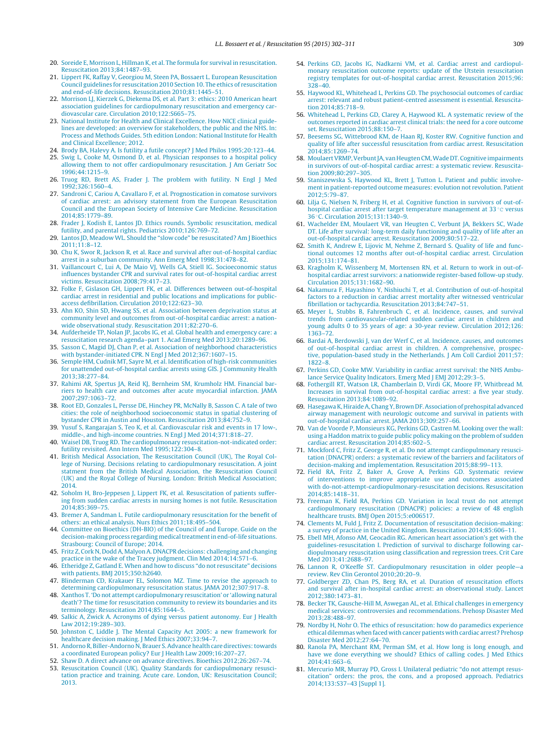- <span id="page-7-0"></span>20. [Soreide](http://refhub.elsevier.com/S0300-9572(15)00345-7/sbref0905) [E,](http://refhub.elsevier.com/S0300-9572(15)00345-7/sbref0905) [Morrison](http://refhub.elsevier.com/S0300-9572(15)00345-7/sbref0905) [L,](http://refhub.elsevier.com/S0300-9572(15)00345-7/sbref0905) [Hillman](http://refhub.elsevier.com/S0300-9572(15)00345-7/sbref0905) [K,](http://refhub.elsevier.com/S0300-9572(15)00345-7/sbref0905) [et](http://refhub.elsevier.com/S0300-9572(15)00345-7/sbref0905) [al.](http://refhub.elsevier.com/S0300-9572(15)00345-7/sbref0905) [The](http://refhub.elsevier.com/S0300-9572(15)00345-7/sbref0905) [formula](http://refhub.elsevier.com/S0300-9572(15)00345-7/sbref0905) [for](http://refhub.elsevier.com/S0300-9572(15)00345-7/sbref0905) [survival](http://refhub.elsevier.com/S0300-9572(15)00345-7/sbref0905) [in](http://refhub.elsevier.com/S0300-9572(15)00345-7/sbref0905) [resuscitation.](http://refhub.elsevier.com/S0300-9572(15)00345-7/sbref0905) [Resuscitation](http://refhub.elsevier.com/S0300-9572(15)00345-7/sbref0905) [2013;84:1487](http://refhub.elsevier.com/S0300-9572(15)00345-7/sbref0905)–[93.](http://refhub.elsevier.com/S0300-9572(15)00345-7/sbref0905)
- 21. [Lippert](http://refhub.elsevier.com/S0300-9572(15)00345-7/sbref0910) [FK,](http://refhub.elsevier.com/S0300-9572(15)00345-7/sbref0910) [Raffay](http://refhub.elsevier.com/S0300-9572(15)00345-7/sbref0910) [V,](http://refhub.elsevier.com/S0300-9572(15)00345-7/sbref0910) [Georgiou](http://refhub.elsevier.com/S0300-9572(15)00345-7/sbref0910) [M,](http://refhub.elsevier.com/S0300-9572(15)00345-7/sbref0910) [Steen](http://refhub.elsevier.com/S0300-9572(15)00345-7/sbref0910) [PA,](http://refhub.elsevier.com/S0300-9572(15)00345-7/sbref0910) [Bossaert](http://refhub.elsevier.com/S0300-9572(15)00345-7/sbref0910) [L.](http://refhub.elsevier.com/S0300-9572(15)00345-7/sbref0910) [European](http://refhub.elsevier.com/S0300-9572(15)00345-7/sbref0910) [Resuscitation](http://refhub.elsevier.com/S0300-9572(15)00345-7/sbref0910) [Council](http://refhub.elsevier.com/S0300-9572(15)00345-7/sbref0910) [guidelines](http://refhub.elsevier.com/S0300-9572(15)00345-7/sbref0910) [for](http://refhub.elsevier.com/S0300-9572(15)00345-7/sbref0910) [resuscitation](http://refhub.elsevier.com/S0300-9572(15)00345-7/sbref0910) [2010](http://refhub.elsevier.com/S0300-9572(15)00345-7/sbref0910) [Section](http://refhub.elsevier.com/S0300-9572(15)00345-7/sbref0910) [10.](http://refhub.elsevier.com/S0300-9572(15)00345-7/sbref0910) [The](http://refhub.elsevier.com/S0300-9572(15)00345-7/sbref0910) [ethics](http://refhub.elsevier.com/S0300-9572(15)00345-7/sbref0910) [of](http://refhub.elsevier.com/S0300-9572(15)00345-7/sbref0910) [resuscitation](http://refhub.elsevier.com/S0300-9572(15)00345-7/sbref0910) [and](http://refhub.elsevier.com/S0300-9572(15)00345-7/sbref0910) [end-of-life](http://refhub.elsevier.com/S0300-9572(15)00345-7/sbref0910) [decisions.](http://refhub.elsevier.com/S0300-9572(15)00345-7/sbref0910) [Resuscitation](http://refhub.elsevier.com/S0300-9572(15)00345-7/sbref0910) [2010;81:1445](http://refhub.elsevier.com/S0300-9572(15)00345-7/sbref0910)–[51.](http://refhub.elsevier.com/S0300-9572(15)00345-7/sbref0910)
- 22. [Morrison](http://refhub.elsevier.com/S0300-9572(15)00345-7/sbref0915) [LJ,](http://refhub.elsevier.com/S0300-9572(15)00345-7/sbref0915) [Kierzek](http://refhub.elsevier.com/S0300-9572(15)00345-7/sbref0915) [G,](http://refhub.elsevier.com/S0300-9572(15)00345-7/sbref0915) [Diekema](http://refhub.elsevier.com/S0300-9572(15)00345-7/sbref0915) [DS,](http://refhub.elsevier.com/S0300-9572(15)00345-7/sbref0915) [et](http://refhub.elsevier.com/S0300-9572(15)00345-7/sbref0915) [al.](http://refhub.elsevier.com/S0300-9572(15)00345-7/sbref0915) [Part](http://refhub.elsevier.com/S0300-9572(15)00345-7/sbref0915) [3:](http://refhub.elsevier.com/S0300-9572(15)00345-7/sbref0915) [ethics:](http://refhub.elsevier.com/S0300-9572(15)00345-7/sbref0915) [2010](http://refhub.elsevier.com/S0300-9572(15)00345-7/sbref0915) [American](http://refhub.elsevier.com/S0300-9572(15)00345-7/sbref0915) [heart](http://refhub.elsevier.com/S0300-9572(15)00345-7/sbref0915) [association](http://refhub.elsevier.com/S0300-9572(15)00345-7/sbref0915) [guidelines](http://refhub.elsevier.com/S0300-9572(15)00345-7/sbref0915) [for](http://refhub.elsevier.com/S0300-9572(15)00345-7/sbref0915) [cardiopulmonary](http://refhub.elsevier.com/S0300-9572(15)00345-7/sbref0915) [resuscitation](http://refhub.elsevier.com/S0300-9572(15)00345-7/sbref0915) [and](http://refhub.elsevier.com/S0300-9572(15)00345-7/sbref0915) [emergency](http://refhub.elsevier.com/S0300-9572(15)00345-7/sbref0915) [car](http://refhub.elsevier.com/S0300-9572(15)00345-7/sbref0915)[diovascular](http://refhub.elsevier.com/S0300-9572(15)00345-7/sbref0915) [care.](http://refhub.elsevier.com/S0300-9572(15)00345-7/sbref0915) [Circulation](http://refhub.elsevier.com/S0300-9572(15)00345-7/sbref0915) [2010;122:S665](http://refhub.elsevier.com/S0300-9572(15)00345-7/sbref0915)–[75.](http://refhub.elsevier.com/S0300-9572(15)00345-7/sbref0915)
- 23. [National](http://refhub.elsevier.com/S0300-9572(15)00345-7/sbref0920) [Institute](http://refhub.elsevier.com/S0300-9572(15)00345-7/sbref0920) [for](http://refhub.elsevier.com/S0300-9572(15)00345-7/sbref0920) [Health](http://refhub.elsevier.com/S0300-9572(15)00345-7/sbref0920) [and](http://refhub.elsevier.com/S0300-9572(15)00345-7/sbref0920) [Clinical](http://refhub.elsevier.com/S0300-9572(15)00345-7/sbref0920) [Excellence.](http://refhub.elsevier.com/S0300-9572(15)00345-7/sbref0920) [How](http://refhub.elsevier.com/S0300-9572(15)00345-7/sbref0920) [NICE](http://refhub.elsevier.com/S0300-9572(15)00345-7/sbref0920) [clinical](http://refhub.elsevier.com/S0300-9572(15)00345-7/sbref0920) [guide](http://refhub.elsevier.com/S0300-9572(15)00345-7/sbref0920)[lines](http://refhub.elsevier.com/S0300-9572(15)00345-7/sbref0920) [are](http://refhub.elsevier.com/S0300-9572(15)00345-7/sbref0920) [developed:](http://refhub.elsevier.com/S0300-9572(15)00345-7/sbref0920) [an](http://refhub.elsevier.com/S0300-9572(15)00345-7/sbref0920) [overview](http://refhub.elsevier.com/S0300-9572(15)00345-7/sbref0920) [for](http://refhub.elsevier.com/S0300-9572(15)00345-7/sbref0920) [stakeholders,](http://refhub.elsevier.com/S0300-9572(15)00345-7/sbref0920) [the](http://refhub.elsevier.com/S0300-9572(15)00345-7/sbref0920) [public](http://refhub.elsevier.com/S0300-9572(15)00345-7/sbref0920) [and](http://refhub.elsevier.com/S0300-9572(15)00345-7/sbref0920) [the](http://refhub.elsevier.com/S0300-9572(15)00345-7/sbref0920) [NHS.](http://refhub.elsevier.com/S0300-9572(15)00345-7/sbref0920) [In:](http://refhub.elsevier.com/S0300-9572(15)00345-7/sbref0920) [Process](http://refhub.elsevier.com/S0300-9572(15)00345-7/sbref0920) [and](http://refhub.elsevier.com/S0300-9572(15)00345-7/sbref0920) [Methods](http://refhub.elsevier.com/S0300-9572(15)00345-7/sbref0920) [Guides.](http://refhub.elsevier.com/S0300-9572(15)00345-7/sbref0920) [5th](http://refhub.elsevier.com/S0300-9572(15)00345-7/sbref0920) [edition](http://refhub.elsevier.com/S0300-9572(15)00345-7/sbref0920) [London:](http://refhub.elsevier.com/S0300-9572(15)00345-7/sbref0920) [National](http://refhub.elsevier.com/S0300-9572(15)00345-7/sbref0920) [Institute](http://refhub.elsevier.com/S0300-9572(15)00345-7/sbref0920) [for](http://refhub.elsevier.com/S0300-9572(15)00345-7/sbref0920) [Health](http://refhub.elsevier.com/S0300-9572(15)00345-7/sbref0920) [and](http://refhub.elsevier.com/S0300-9572(15)00345-7/sbref0920) [Clinical](http://refhub.elsevier.com/S0300-9572(15)00345-7/sbref0920) [Excellence;](http://refhub.elsevier.com/S0300-9572(15)00345-7/sbref0920) [2012.](http://refhub.elsevier.com/S0300-9572(15)00345-7/sbref0920)
- 24. [Brody](http://refhub.elsevier.com/S0300-9572(15)00345-7/sbref0925) [BA,](http://refhub.elsevier.com/S0300-9572(15)00345-7/sbref0925) [Halevy](http://refhub.elsevier.com/S0300-9572(15)00345-7/sbref0925) [A.](http://refhub.elsevier.com/S0300-9572(15)00345-7/sbref0925) [Is](http://refhub.elsevier.com/S0300-9572(15)00345-7/sbref0925) [futility](http://refhub.elsevier.com/S0300-9572(15)00345-7/sbref0925) [a](http://refhub.elsevier.com/S0300-9572(15)00345-7/sbref0925) [futile](http://refhub.elsevier.com/S0300-9572(15)00345-7/sbref0925) [concept?](http://refhub.elsevier.com/S0300-9572(15)00345-7/sbref0925) [J](http://refhub.elsevier.com/S0300-9572(15)00345-7/sbref0925) [Med](http://refhub.elsevier.com/S0300-9572(15)00345-7/sbref0925) [Philos](http://refhub.elsevier.com/S0300-9572(15)00345-7/sbref0925) [1995;20:123–44.](http://refhub.elsevier.com/S0300-9572(15)00345-7/sbref0925)
- 25. [Swig](http://refhub.elsevier.com/S0300-9572(15)00345-7/sbref0930) [L,](http://refhub.elsevier.com/S0300-9572(15)00345-7/sbref0930) [Cooke](http://refhub.elsevier.com/S0300-9572(15)00345-7/sbref0930) [M,](http://refhub.elsevier.com/S0300-9572(15)00345-7/sbref0930) [Osmond](http://refhub.elsevier.com/S0300-9572(15)00345-7/sbref0930) [D,](http://refhub.elsevier.com/S0300-9572(15)00345-7/sbref0930) [et](http://refhub.elsevier.com/S0300-9572(15)00345-7/sbref0930) [al.](http://refhub.elsevier.com/S0300-9572(15)00345-7/sbref0930) [Physician](http://refhub.elsevier.com/S0300-9572(15)00345-7/sbref0930) [responses](http://refhub.elsevier.com/S0300-9572(15)00345-7/sbref0930) [to](http://refhub.elsevier.com/S0300-9572(15)00345-7/sbref0930) [a](http://refhub.elsevier.com/S0300-9572(15)00345-7/sbref0930) [hospital](http://refhub.elsevier.com/S0300-9572(15)00345-7/sbref0930) [policy](http://refhub.elsevier.com/S0300-9572(15)00345-7/sbref0930) [allowing](http://refhub.elsevier.com/S0300-9572(15)00345-7/sbref0930) [them](http://refhub.elsevier.com/S0300-9572(15)00345-7/sbref0930) [to](http://refhub.elsevier.com/S0300-9572(15)00345-7/sbref0930) [not](http://refhub.elsevier.com/S0300-9572(15)00345-7/sbref0930) [offer](http://refhub.elsevier.com/S0300-9572(15)00345-7/sbref0930) [cardiopulmonary](http://refhub.elsevier.com/S0300-9572(15)00345-7/sbref0930) [resuscitation.](http://refhub.elsevier.com/S0300-9572(15)00345-7/sbref0930) [J](http://refhub.elsevier.com/S0300-9572(15)00345-7/sbref0930) [Am](http://refhub.elsevier.com/S0300-9572(15)00345-7/sbref0930) [Geriatr](http://refhub.elsevier.com/S0300-9572(15)00345-7/sbref0930) [Soc](http://refhub.elsevier.com/S0300-9572(15)00345-7/sbref0930) [1996;44:1215–9.](http://refhub.elsevier.com/S0300-9572(15)00345-7/sbref0930)
- 26. [Truog](http://refhub.elsevier.com/S0300-9572(15)00345-7/sbref0935) [RD,](http://refhub.elsevier.com/S0300-9572(15)00345-7/sbref0935) [Brett](http://refhub.elsevier.com/S0300-9572(15)00345-7/sbref0935) [AS,](http://refhub.elsevier.com/S0300-9572(15)00345-7/sbref0935) [Frader](http://refhub.elsevier.com/S0300-9572(15)00345-7/sbref0935) [J.](http://refhub.elsevier.com/S0300-9572(15)00345-7/sbref0935) [The](http://refhub.elsevier.com/S0300-9572(15)00345-7/sbref0935) [problem](http://refhub.elsevier.com/S0300-9572(15)00345-7/sbref0935) [with](http://refhub.elsevier.com/S0300-9572(15)00345-7/sbref0935) [futility.](http://refhub.elsevier.com/S0300-9572(15)00345-7/sbref0935) [N](http://refhub.elsevier.com/S0300-9572(15)00345-7/sbref0935) [Engl](http://refhub.elsevier.com/S0300-9572(15)00345-7/sbref0935) [J](http://refhub.elsevier.com/S0300-9572(15)00345-7/sbref0935) [Med](http://refhub.elsevier.com/S0300-9572(15)00345-7/sbref0935) [1992;326:1560–4.](http://refhub.elsevier.com/S0300-9572(15)00345-7/sbref0935)
- 27. [Sandroni](http://refhub.elsevier.com/S0300-9572(15)00345-7/sbref0940) [C,](http://refhub.elsevier.com/S0300-9572(15)00345-7/sbref0940) [Cariou](http://refhub.elsevier.com/S0300-9572(15)00345-7/sbref0940) [A,](http://refhub.elsevier.com/S0300-9572(15)00345-7/sbref0940) [Cavallaro](http://refhub.elsevier.com/S0300-9572(15)00345-7/sbref0940) [F,](http://refhub.elsevier.com/S0300-9572(15)00345-7/sbref0940) [et](http://refhub.elsevier.com/S0300-9572(15)00345-7/sbref0940) [al.](http://refhub.elsevier.com/S0300-9572(15)00345-7/sbref0940) [Prognostication](http://refhub.elsevier.com/S0300-9572(15)00345-7/sbref0940) [in](http://refhub.elsevier.com/S0300-9572(15)00345-7/sbref0940) [comatose](http://refhub.elsevier.com/S0300-9572(15)00345-7/sbref0940) [survivors](http://refhub.elsevier.com/S0300-9572(15)00345-7/sbref0940) [of](http://refhub.elsevier.com/S0300-9572(15)00345-7/sbref0940) [cardiac](http://refhub.elsevier.com/S0300-9572(15)00345-7/sbref0940) [arrest:](http://refhub.elsevier.com/S0300-9572(15)00345-7/sbref0940) [an](http://refhub.elsevier.com/S0300-9572(15)00345-7/sbref0940) [advisory](http://refhub.elsevier.com/S0300-9572(15)00345-7/sbref0940) [statement](http://refhub.elsevier.com/S0300-9572(15)00345-7/sbref0940) [from](http://refhub.elsevier.com/S0300-9572(15)00345-7/sbref0940) [the](http://refhub.elsevier.com/S0300-9572(15)00345-7/sbref0940) [European](http://refhub.elsevier.com/S0300-9572(15)00345-7/sbref0940) [Resuscitation](http://refhub.elsevier.com/S0300-9572(15)00345-7/sbref0940) [Council](http://refhub.elsevier.com/S0300-9572(15)00345-7/sbref0940) [and](http://refhub.elsevier.com/S0300-9572(15)00345-7/sbref0940) [the](http://refhub.elsevier.com/S0300-9572(15)00345-7/sbref0940) [European](http://refhub.elsevier.com/S0300-9572(15)00345-7/sbref0940) [Society](http://refhub.elsevier.com/S0300-9572(15)00345-7/sbref0940) [of](http://refhub.elsevier.com/S0300-9572(15)00345-7/sbref0940) [Intensive](http://refhub.elsevier.com/S0300-9572(15)00345-7/sbref0940) [Care](http://refhub.elsevier.com/S0300-9572(15)00345-7/sbref0940) [Medicine.](http://refhub.elsevier.com/S0300-9572(15)00345-7/sbref0940) [Resuscitation](http://refhub.elsevier.com/S0300-9572(15)00345-7/sbref0940) [2014;85:1779–89.](http://refhub.elsevier.com/S0300-9572(15)00345-7/sbref0940)
- 28. [Frader](http://refhub.elsevier.com/S0300-9572(15)00345-7/sbref0945) [J,](http://refhub.elsevier.com/S0300-9572(15)00345-7/sbref0945) [Kodish](http://refhub.elsevier.com/S0300-9572(15)00345-7/sbref0945) [E,](http://refhub.elsevier.com/S0300-9572(15)00345-7/sbref0945) [Lantos](http://refhub.elsevier.com/S0300-9572(15)00345-7/sbref0945) [JD.](http://refhub.elsevier.com/S0300-9572(15)00345-7/sbref0945) [Ethics](http://refhub.elsevier.com/S0300-9572(15)00345-7/sbref0945) [rounds.](http://refhub.elsevier.com/S0300-9572(15)00345-7/sbref0945) [Symbolic](http://refhub.elsevier.com/S0300-9572(15)00345-7/sbref0945) [resuscitation,](http://refhub.elsevier.com/S0300-9572(15)00345-7/sbref0945) [medical](http://refhub.elsevier.com/S0300-9572(15)00345-7/sbref0945) [futility,](http://refhub.elsevier.com/S0300-9572(15)00345-7/sbref0945) [and](http://refhub.elsevier.com/S0300-9572(15)00345-7/sbref0945) [parental](http://refhub.elsevier.com/S0300-9572(15)00345-7/sbref0945) [rights.](http://refhub.elsevier.com/S0300-9572(15)00345-7/sbref0945) [Pediatrics](http://refhub.elsevier.com/S0300-9572(15)00345-7/sbref0945) [2010;126:769–72.](http://refhub.elsevier.com/S0300-9572(15)00345-7/sbref0945)
- 29. [Lantos](http://refhub.elsevier.com/S0300-9572(15)00345-7/sbref0950) [JD,](http://refhub.elsevier.com/S0300-9572(15)00345-7/sbref0950) [Meadow](http://refhub.elsevier.com/S0300-9572(15)00345-7/sbref0950) WL, [Should](http://refhub.elsevier.com/S0300-9572(15)00345-7/sbref0950) [the](http://refhub.elsevier.com/S0300-9572(15)00345-7/sbref0950) ["slow](http://refhub.elsevier.com/S0300-9572(15)00345-7/sbref0950) [code"](http://refhub.elsevier.com/S0300-9572(15)00345-7/sbref0950) [be](http://refhub.elsevier.com/S0300-9572(15)00345-7/sbref0950) [resuscitated?](http://refhub.elsevier.com/S0300-9572(15)00345-7/sbref0950) [Am](http://refhub.elsevier.com/S0300-9572(15)00345-7/sbref0950) [J](http://refhub.elsevier.com/S0300-9572(15)00345-7/sbref0950) [Bioethics](http://refhub.elsevier.com/S0300-9572(15)00345-7/sbref0950) [2011;11:8](http://refhub.elsevier.com/S0300-9572(15)00345-7/sbref0950)–[12.](http://refhub.elsevier.com/S0300-9572(15)00345-7/sbref0950)
- 30. [Chu](http://refhub.elsevier.com/S0300-9572(15)00345-7/sbref0955) [K,](http://refhub.elsevier.com/S0300-9572(15)00345-7/sbref0955) [Swor](http://refhub.elsevier.com/S0300-9572(15)00345-7/sbref0955) [R,](http://refhub.elsevier.com/S0300-9572(15)00345-7/sbref0955) [Jackson](http://refhub.elsevier.com/S0300-9572(15)00345-7/sbref0955) [R,](http://refhub.elsevier.com/S0300-9572(15)00345-7/sbref0955) [et](http://refhub.elsevier.com/S0300-9572(15)00345-7/sbref0955) [al.](http://refhub.elsevier.com/S0300-9572(15)00345-7/sbref0955) [Race](http://refhub.elsevier.com/S0300-9572(15)00345-7/sbref0955) [and](http://refhub.elsevier.com/S0300-9572(15)00345-7/sbref0955) [survival](http://refhub.elsevier.com/S0300-9572(15)00345-7/sbref0955) [after](http://refhub.elsevier.com/S0300-9572(15)00345-7/sbref0955) [out-of-hospital](http://refhub.elsevier.com/S0300-9572(15)00345-7/sbref0955) [cardiac](http://refhub.elsevier.com/S0300-9572(15)00345-7/sbref0955) [arrest](http://refhub.elsevier.com/S0300-9572(15)00345-7/sbref0955) [in](http://refhub.elsevier.com/S0300-9572(15)00345-7/sbref0955) [a](http://refhub.elsevier.com/S0300-9572(15)00345-7/sbref0955) [suburban](http://refhub.elsevier.com/S0300-9572(15)00345-7/sbref0955) [community.](http://refhub.elsevier.com/S0300-9572(15)00345-7/sbref0955) [Ann](http://refhub.elsevier.com/S0300-9572(15)00345-7/sbref0955) [Emerg](http://refhub.elsevier.com/S0300-9572(15)00345-7/sbref0955) [Med](http://refhub.elsevier.com/S0300-9572(15)00345-7/sbref0955) [1998;31:478](http://refhub.elsevier.com/S0300-9572(15)00345-7/sbref0955)–[82.](http://refhub.elsevier.com/S0300-9572(15)00345-7/sbref0955)
- 31. [Vaillancourt](http://refhub.elsevier.com/S0300-9572(15)00345-7/sbref0960) [C,](http://refhub.elsevier.com/S0300-9572(15)00345-7/sbref0960) [Lui](http://refhub.elsevier.com/S0300-9572(15)00345-7/sbref0960) [A,](http://refhub.elsevier.com/S0300-9572(15)00345-7/sbref0960) [De](http://refhub.elsevier.com/S0300-9572(15)00345-7/sbref0960) [Maio](http://refhub.elsevier.com/S0300-9572(15)00345-7/sbref0960) [VJ,](http://refhub.elsevier.com/S0300-9572(15)00345-7/sbref0960) [Wells](http://refhub.elsevier.com/S0300-9572(15)00345-7/sbref0960) [GA,](http://refhub.elsevier.com/S0300-9572(15)00345-7/sbref0960) [Stiell](http://refhub.elsevier.com/S0300-9572(15)00345-7/sbref0960) [IG.](http://refhub.elsevier.com/S0300-9572(15)00345-7/sbref0960) [Socioeconomic](http://refhub.elsevier.com/S0300-9572(15)00345-7/sbref0960) [status](http://refhub.elsevier.com/S0300-9572(15)00345-7/sbref0960) [influences](http://refhub.elsevier.com/S0300-9572(15)00345-7/sbref0960) [bystander](http://refhub.elsevier.com/S0300-9572(15)00345-7/sbref0960) [CPR](http://refhub.elsevier.com/S0300-9572(15)00345-7/sbref0960) [and](http://refhub.elsevier.com/S0300-9572(15)00345-7/sbref0960) [survival](http://refhub.elsevier.com/S0300-9572(15)00345-7/sbref0960) [rates](http://refhub.elsevier.com/S0300-9572(15)00345-7/sbref0960) [for](http://refhub.elsevier.com/S0300-9572(15)00345-7/sbref0960) [out-of-hospital](http://refhub.elsevier.com/S0300-9572(15)00345-7/sbref0960) [cardiac](http://refhub.elsevier.com/S0300-9572(15)00345-7/sbref0960) [arrest](http://refhub.elsevier.com/S0300-9572(15)00345-7/sbref0960) [victims.](http://refhub.elsevier.com/S0300-9572(15)00345-7/sbref0960) [Resuscitation](http://refhub.elsevier.com/S0300-9572(15)00345-7/sbref0960) [2008;79:417](http://refhub.elsevier.com/S0300-9572(15)00345-7/sbref0960)–[23.](http://refhub.elsevier.com/S0300-9572(15)00345-7/sbref0960)
- 32. [Folke](http://refhub.elsevier.com/S0300-9572(15)00345-7/sbref0965) [F,](http://refhub.elsevier.com/S0300-9572(15)00345-7/sbref0965) [Gislason](http://refhub.elsevier.com/S0300-9572(15)00345-7/sbref0965) [GH,](http://refhub.elsevier.com/S0300-9572(15)00345-7/sbref0965) [Lippert](http://refhub.elsevier.com/S0300-9572(15)00345-7/sbref0965) [FK,](http://refhub.elsevier.com/S0300-9572(15)00345-7/sbref0965) [et](http://refhub.elsevier.com/S0300-9572(15)00345-7/sbref0965) [al.](http://refhub.elsevier.com/S0300-9572(15)00345-7/sbref0965) [Differences](http://refhub.elsevier.com/S0300-9572(15)00345-7/sbref0965) [between](http://refhub.elsevier.com/S0300-9572(15)00345-7/sbref0965) [out-of-hospital](http://refhub.elsevier.com/S0300-9572(15)00345-7/sbref0965) [cardiac](http://refhub.elsevier.com/S0300-9572(15)00345-7/sbref0965) [arrest](http://refhub.elsevier.com/S0300-9572(15)00345-7/sbref0965) [in](http://refhub.elsevier.com/S0300-9572(15)00345-7/sbref0965) [residential](http://refhub.elsevier.com/S0300-9572(15)00345-7/sbref0965) [and](http://refhub.elsevier.com/S0300-9572(15)00345-7/sbref0965) [public](http://refhub.elsevier.com/S0300-9572(15)00345-7/sbref0965) [locations](http://refhub.elsevier.com/S0300-9572(15)00345-7/sbref0965) [and](http://refhub.elsevier.com/S0300-9572(15)00345-7/sbref0965) [implications](http://refhub.elsevier.com/S0300-9572(15)00345-7/sbref0965) [for](http://refhub.elsevier.com/S0300-9572(15)00345-7/sbref0965) [public](http://refhub.elsevier.com/S0300-9572(15)00345-7/sbref0965)[access](http://refhub.elsevier.com/S0300-9572(15)00345-7/sbref0965) [defibrillation.](http://refhub.elsevier.com/S0300-9572(15)00345-7/sbref0965) [Circulation](http://refhub.elsevier.com/S0300-9572(15)00345-7/sbref0965) [2010;122:623](http://refhub.elsevier.com/S0300-9572(15)00345-7/sbref0965)–[30.](http://refhub.elsevier.com/S0300-9572(15)00345-7/sbref0965)
- 33. [Ahn](http://refhub.elsevier.com/S0300-9572(15)00345-7/sbref0970) [KO,](http://refhub.elsevier.com/S0300-9572(15)00345-7/sbref0970) [Shin](http://refhub.elsevier.com/S0300-9572(15)00345-7/sbref0970) [SD,](http://refhub.elsevier.com/S0300-9572(15)00345-7/sbref0970) [Hwang](http://refhub.elsevier.com/S0300-9572(15)00345-7/sbref0970) [SS,](http://refhub.elsevier.com/S0300-9572(15)00345-7/sbref0970) [et](http://refhub.elsevier.com/S0300-9572(15)00345-7/sbref0970) [al.](http://refhub.elsevier.com/S0300-9572(15)00345-7/sbref0970) [Association](http://refhub.elsevier.com/S0300-9572(15)00345-7/sbref0970) [between](http://refhub.elsevier.com/S0300-9572(15)00345-7/sbref0970) [deprivation](http://refhub.elsevier.com/S0300-9572(15)00345-7/sbref0970) [status](http://refhub.elsevier.com/S0300-9572(15)00345-7/sbref0970) [at](http://refhub.elsevier.com/S0300-9572(15)00345-7/sbref0970) [community](http://refhub.elsevier.com/S0300-9572(15)00345-7/sbref0970) [level](http://refhub.elsevier.com/S0300-9572(15)00345-7/sbref0970) [and](http://refhub.elsevier.com/S0300-9572(15)00345-7/sbref0970) [outcomes](http://refhub.elsevier.com/S0300-9572(15)00345-7/sbref0970) [from](http://refhub.elsevier.com/S0300-9572(15)00345-7/sbref0970) [out-of-hospital](http://refhub.elsevier.com/S0300-9572(15)00345-7/sbref0970) [cardiac](http://refhub.elsevier.com/S0300-9572(15)00345-7/sbref0970) [arrest:](http://refhub.elsevier.com/S0300-9572(15)00345-7/sbref0970) [a](http://refhub.elsevier.com/S0300-9572(15)00345-7/sbref0970) [nation](http://refhub.elsevier.com/S0300-9572(15)00345-7/sbref0970)[wide](http://refhub.elsevier.com/S0300-9572(15)00345-7/sbref0970) [observational](http://refhub.elsevier.com/S0300-9572(15)00345-7/sbref0970) [study.](http://refhub.elsevier.com/S0300-9572(15)00345-7/sbref0970) [Resuscitation](http://refhub.elsevier.com/S0300-9572(15)00345-7/sbref0970) [2011;82:270–6.](http://refhub.elsevier.com/S0300-9572(15)00345-7/sbref0970)
- 34. [Aufderheide](http://refhub.elsevier.com/S0300-9572(15)00345-7/sbref0975) [TP,](http://refhub.elsevier.com/S0300-9572(15)00345-7/sbref0975) [Nolan](http://refhub.elsevier.com/S0300-9572(15)00345-7/sbref0975) [JP,](http://refhub.elsevier.com/S0300-9572(15)00345-7/sbref0975) [Jacobs](http://refhub.elsevier.com/S0300-9572(15)00345-7/sbref0975) [IG,](http://refhub.elsevier.com/S0300-9572(15)00345-7/sbref0975) [et](http://refhub.elsevier.com/S0300-9572(15)00345-7/sbref0975) [al.](http://refhub.elsevier.com/S0300-9572(15)00345-7/sbref0975) [Global](http://refhub.elsevier.com/S0300-9572(15)00345-7/sbref0975) [health](http://refhub.elsevier.com/S0300-9572(15)00345-7/sbref0975) [and](http://refhub.elsevier.com/S0300-9572(15)00345-7/sbref0975) [emergency](http://refhub.elsevier.com/S0300-9572(15)00345-7/sbref0975) [care:](http://refhub.elsevier.com/S0300-9572(15)00345-7/sbref0975) [a](http://refhub.elsevier.com/S0300-9572(15)00345-7/sbref0975) [resuscitation](http://refhub.elsevier.com/S0300-9572(15)00345-7/sbref0975) [research](http://refhub.elsevier.com/S0300-9572(15)00345-7/sbref0975) [agenda–part](http://refhub.elsevier.com/S0300-9572(15)00345-7/sbref0975) [1.](http://refhub.elsevier.com/S0300-9572(15)00345-7/sbref0975) [Acad](http://refhub.elsevier.com/S0300-9572(15)00345-7/sbref0975) [Emerg](http://refhub.elsevier.com/S0300-9572(15)00345-7/sbref0975) [Med](http://refhub.elsevier.com/S0300-9572(15)00345-7/sbref0975) [2013;20:1289](http://refhub.elsevier.com/S0300-9572(15)00345-7/sbref0975)–[96.](http://refhub.elsevier.com/S0300-9572(15)00345-7/sbref0975)
- 35. [Sasson](http://refhub.elsevier.com/S0300-9572(15)00345-7/sbref0980) [C,](http://refhub.elsevier.com/S0300-9572(15)00345-7/sbref0980) [Magid](http://refhub.elsevier.com/S0300-9572(15)00345-7/sbref0980) [DJ,](http://refhub.elsevier.com/S0300-9572(15)00345-7/sbref0980) [Chan](http://refhub.elsevier.com/S0300-9572(15)00345-7/sbref0980) [P,](http://refhub.elsevier.com/S0300-9572(15)00345-7/sbref0980) [et](http://refhub.elsevier.com/S0300-9572(15)00345-7/sbref0980) [al.](http://refhub.elsevier.com/S0300-9572(15)00345-7/sbref0980) [Association](http://refhub.elsevier.com/S0300-9572(15)00345-7/sbref0980) [of](http://refhub.elsevier.com/S0300-9572(15)00345-7/sbref0980) [neighborhood](http://refhub.elsevier.com/S0300-9572(15)00345-7/sbref0980) [characteristics](http://refhub.elsevier.com/S0300-9572(15)00345-7/sbref0980) [with](http://refhub.elsevier.com/S0300-9572(15)00345-7/sbref0980) [bystander-initiated](http://refhub.elsevier.com/S0300-9572(15)00345-7/sbref0980) [CPR.](http://refhub.elsevier.com/S0300-9572(15)00345-7/sbref0980) [N](http://refhub.elsevier.com/S0300-9572(15)00345-7/sbref0980) [Engl](http://refhub.elsevier.com/S0300-9572(15)00345-7/sbref0980) [J](http://refhub.elsevier.com/S0300-9572(15)00345-7/sbref0980) [Med](http://refhub.elsevier.com/S0300-9572(15)00345-7/sbref0980) [2012;367:1607](http://refhub.elsevier.com/S0300-9572(15)00345-7/sbref0980)–[15.](http://refhub.elsevier.com/S0300-9572(15)00345-7/sbref0980)
- 36. [Semple](http://refhub.elsevier.com/S0300-9572(15)00345-7/sbref0985) [HM,](http://refhub.elsevier.com/S0300-9572(15)00345-7/sbref0985) [Cudnik](http://refhub.elsevier.com/S0300-9572(15)00345-7/sbref0985) [MT,](http://refhub.elsevier.com/S0300-9572(15)00345-7/sbref0985) [Sayre](http://refhub.elsevier.com/S0300-9572(15)00345-7/sbref0985) [M,](http://refhub.elsevier.com/S0300-9572(15)00345-7/sbref0985) [et](http://refhub.elsevier.com/S0300-9572(15)00345-7/sbref0985) [al.](http://refhub.elsevier.com/S0300-9572(15)00345-7/sbref0985) [Identification](http://refhub.elsevier.com/S0300-9572(15)00345-7/sbref0985) [of](http://refhub.elsevier.com/S0300-9572(15)00345-7/sbref0985) [high-risk](http://refhub.elsevier.com/S0300-9572(15)00345-7/sbref0985) [communities](http://refhub.elsevier.com/S0300-9572(15)00345-7/sbref0985) [for](http://refhub.elsevier.com/S0300-9572(15)00345-7/sbref0985) [unattended](http://refhub.elsevier.com/S0300-9572(15)00345-7/sbref0985) [out-of-hospital](http://refhub.elsevier.com/S0300-9572(15)00345-7/sbref0985) [cardiac](http://refhub.elsevier.com/S0300-9572(15)00345-7/sbref0985) [arrests](http://refhub.elsevier.com/S0300-9572(15)00345-7/sbref0985) [using](http://refhub.elsevier.com/S0300-9572(15)00345-7/sbref0985) [GIS.](http://refhub.elsevier.com/S0300-9572(15)00345-7/sbref0985) [J](http://refhub.elsevier.com/S0300-9572(15)00345-7/sbref0985) [Community](http://refhub.elsevier.com/S0300-9572(15)00345-7/sbref0985) [Health](http://refhub.elsevier.com/S0300-9572(15)00345-7/sbref0985) [2013;38:277–84.](http://refhub.elsevier.com/S0300-9572(15)00345-7/sbref0985)
- 37. [Rahimi](http://refhub.elsevier.com/S0300-9572(15)00345-7/sbref0990) [AR,](http://refhub.elsevier.com/S0300-9572(15)00345-7/sbref0990) [Spertus](http://refhub.elsevier.com/S0300-9572(15)00345-7/sbref0990) [JA,](http://refhub.elsevier.com/S0300-9572(15)00345-7/sbref0990) [Reid](http://refhub.elsevier.com/S0300-9572(15)00345-7/sbref0990) [KJ,](http://refhub.elsevier.com/S0300-9572(15)00345-7/sbref0990) [Bernheim](http://refhub.elsevier.com/S0300-9572(15)00345-7/sbref0990) [SM,](http://refhub.elsevier.com/S0300-9572(15)00345-7/sbref0990) [Krumholz](http://refhub.elsevier.com/S0300-9572(15)00345-7/sbref0990) [HM.](http://refhub.elsevier.com/S0300-9572(15)00345-7/sbref0990) [Financial](http://refhub.elsevier.com/S0300-9572(15)00345-7/sbref0990) [bar](http://refhub.elsevier.com/S0300-9572(15)00345-7/sbref0990)[riers](http://refhub.elsevier.com/S0300-9572(15)00345-7/sbref0990) [to](http://refhub.elsevier.com/S0300-9572(15)00345-7/sbref0990) [health](http://refhub.elsevier.com/S0300-9572(15)00345-7/sbref0990) [care](http://refhub.elsevier.com/S0300-9572(15)00345-7/sbref0990) [and](http://refhub.elsevier.com/S0300-9572(15)00345-7/sbref0990) [outcomes](http://refhub.elsevier.com/S0300-9572(15)00345-7/sbref0990) [after](http://refhub.elsevier.com/S0300-9572(15)00345-7/sbref0990) [acute](http://refhub.elsevier.com/S0300-9572(15)00345-7/sbref0990) [myocardial](http://refhub.elsevier.com/S0300-9572(15)00345-7/sbref0990) [infarction.](http://refhub.elsevier.com/S0300-9572(15)00345-7/sbref0990) [JAMA](http://refhub.elsevier.com/S0300-9572(15)00345-7/sbref0990) [2007;297:1063–72.](http://refhub.elsevier.com/S0300-9572(15)00345-7/sbref0990)
- 38. [Root](http://refhub.elsevier.com/S0300-9572(15)00345-7/sbref0995) [ED,](http://refhub.elsevier.com/S0300-9572(15)00345-7/sbref0995) [Gonzales](http://refhub.elsevier.com/S0300-9572(15)00345-7/sbref0995) [L,](http://refhub.elsevier.com/S0300-9572(15)00345-7/sbref0995) [Persse](http://refhub.elsevier.com/S0300-9572(15)00345-7/sbref0995) [DE,](http://refhub.elsevier.com/S0300-9572(15)00345-7/sbref0995) [Hinchey](http://refhub.elsevier.com/S0300-9572(15)00345-7/sbref0995) [PR,](http://refhub.elsevier.com/S0300-9572(15)00345-7/sbref0995) [McNally](http://refhub.elsevier.com/S0300-9572(15)00345-7/sbref0995) [B,](http://refhub.elsevier.com/S0300-9572(15)00345-7/sbref0995) [Sasson](http://refhub.elsevier.com/S0300-9572(15)00345-7/sbref0995) [C.](http://refhub.elsevier.com/S0300-9572(15)00345-7/sbref0995) [A](http://refhub.elsevier.com/S0300-9572(15)00345-7/sbref0995) [tale](http://refhub.elsevier.com/S0300-9572(15)00345-7/sbref0995) [of](http://refhub.elsevier.com/S0300-9572(15)00345-7/sbref0995) [two](http://refhub.elsevier.com/S0300-9572(15)00345-7/sbref0995) [cities:](http://refhub.elsevier.com/S0300-9572(15)00345-7/sbref0995) [the](http://refhub.elsevier.com/S0300-9572(15)00345-7/sbref0995) [role](http://refhub.elsevier.com/S0300-9572(15)00345-7/sbref0995) [of](http://refhub.elsevier.com/S0300-9572(15)00345-7/sbref0995) [neighborhood](http://refhub.elsevier.com/S0300-9572(15)00345-7/sbref0995) [socioeconomic](http://refhub.elsevier.com/S0300-9572(15)00345-7/sbref0995) [status](http://refhub.elsevier.com/S0300-9572(15)00345-7/sbref0995) [in](http://refhub.elsevier.com/S0300-9572(15)00345-7/sbref0995) [spatial](http://refhub.elsevier.com/S0300-9572(15)00345-7/sbref0995) [clustering](http://refhub.elsevier.com/S0300-9572(15)00345-7/sbref0995) [of](http://refhub.elsevier.com/S0300-9572(15)00345-7/sbref0995) [bystander](http://refhub.elsevier.com/S0300-9572(15)00345-7/sbref0995) [CPR](http://refhub.elsevier.com/S0300-9572(15)00345-7/sbref0995) [in](http://refhub.elsevier.com/S0300-9572(15)00345-7/sbref0995) [Austin](http://refhub.elsevier.com/S0300-9572(15)00345-7/sbref0995) [and](http://refhub.elsevier.com/S0300-9572(15)00345-7/sbref0995) [Houston.](http://refhub.elsevier.com/S0300-9572(15)00345-7/sbref0995) [Resuscitation](http://refhub.elsevier.com/S0300-9572(15)00345-7/sbref0995) [2013;84:752–9.](http://refhub.elsevier.com/S0300-9572(15)00345-7/sbref0995)
- 39. [Yusuf](http://refhub.elsevier.com/S0300-9572(15)00345-7/sbref1000) [S,](http://refhub.elsevier.com/S0300-9572(15)00345-7/sbref1000) [Rangarajan](http://refhub.elsevier.com/S0300-9572(15)00345-7/sbref1000) [S,](http://refhub.elsevier.com/S0300-9572(15)00345-7/sbref1000) [Teo](http://refhub.elsevier.com/S0300-9572(15)00345-7/sbref1000) [K,](http://refhub.elsevier.com/S0300-9572(15)00345-7/sbref1000) [et](http://refhub.elsevier.com/S0300-9572(15)00345-7/sbref1000) [al.](http://refhub.elsevier.com/S0300-9572(15)00345-7/sbref1000) [Cardiovascular](http://refhub.elsevier.com/S0300-9572(15)00345-7/sbref1000) [risk](http://refhub.elsevier.com/S0300-9572(15)00345-7/sbref1000) [and](http://refhub.elsevier.com/S0300-9572(15)00345-7/sbref1000) [events](http://refhub.elsevier.com/S0300-9572(15)00345-7/sbref1000) [in](http://refhub.elsevier.com/S0300-9572(15)00345-7/sbref1000) [17](http://refhub.elsevier.com/S0300-9572(15)00345-7/sbref1000) [low-,](http://refhub.elsevier.com/S0300-9572(15)00345-7/sbref1000) [middle-,](http://refhub.elsevier.com/S0300-9572(15)00345-7/sbref1000) [and](http://refhub.elsevier.com/S0300-9572(15)00345-7/sbref1000) [high-income](http://refhub.elsevier.com/S0300-9572(15)00345-7/sbref1000) [countries.](http://refhub.elsevier.com/S0300-9572(15)00345-7/sbref1000) [N](http://refhub.elsevier.com/S0300-9572(15)00345-7/sbref1000) [Engl](http://refhub.elsevier.com/S0300-9572(15)00345-7/sbref1000) [J](http://refhub.elsevier.com/S0300-9572(15)00345-7/sbref1000) [Med](http://refhub.elsevier.com/S0300-9572(15)00345-7/sbref1000) [2014;371:818–27.](http://refhub.elsevier.com/S0300-9572(15)00345-7/sbref1000)
- 40. [Waisel](http://refhub.elsevier.com/S0300-9572(15)00345-7/sbref1005) [DB,](http://refhub.elsevier.com/S0300-9572(15)00345-7/sbref1005) [Truog](http://refhub.elsevier.com/S0300-9572(15)00345-7/sbref1005) [RD.](http://refhub.elsevier.com/S0300-9572(15)00345-7/sbref1005) [The](http://refhub.elsevier.com/S0300-9572(15)00345-7/sbref1005) [cardiopulmonary](http://refhub.elsevier.com/S0300-9572(15)00345-7/sbref1005) [resuscitation-not-indicated](http://refhub.elsevier.com/S0300-9572(15)00345-7/sbref1005) [order:](http://refhub.elsevier.com/S0300-9572(15)00345-7/sbref1005) [futility](http://refhub.elsevier.com/S0300-9572(15)00345-7/sbref1005) [revisited.](http://refhub.elsevier.com/S0300-9572(15)00345-7/sbref1005) [Ann](http://refhub.elsevier.com/S0300-9572(15)00345-7/sbref1005) [Intern](http://refhub.elsevier.com/S0300-9572(15)00345-7/sbref1005) [Med](http://refhub.elsevier.com/S0300-9572(15)00345-7/sbref1005) [1995;122:304–8.](http://refhub.elsevier.com/S0300-9572(15)00345-7/sbref1005)
- 41. [British](http://refhub.elsevier.com/S0300-9572(15)00345-7/sbref1010) [Medical](http://refhub.elsevier.com/S0300-9572(15)00345-7/sbref1010) [Association,](http://refhub.elsevier.com/S0300-9572(15)00345-7/sbref1010) [The](http://refhub.elsevier.com/S0300-9572(15)00345-7/sbref1010) [Resuscitation](http://refhub.elsevier.com/S0300-9572(15)00345-7/sbref1010) [Council](http://refhub.elsevier.com/S0300-9572(15)00345-7/sbref1010) [\(UK\),](http://refhub.elsevier.com/S0300-9572(15)00345-7/sbref1010) [The](http://refhub.elsevier.com/S0300-9572(15)00345-7/sbref1010) [Royal](http://refhub.elsevier.com/S0300-9572(15)00345-7/sbref1010) [Col](http://refhub.elsevier.com/S0300-9572(15)00345-7/sbref1010)[lege](http://refhub.elsevier.com/S0300-9572(15)00345-7/sbref1010) [of](http://refhub.elsevier.com/S0300-9572(15)00345-7/sbref1010) [Nursing.](http://refhub.elsevier.com/S0300-9572(15)00345-7/sbref1010) [Decisions](http://refhub.elsevier.com/S0300-9572(15)00345-7/sbref1010) [relating](http://refhub.elsevier.com/S0300-9572(15)00345-7/sbref1010) [to](http://refhub.elsevier.com/S0300-9572(15)00345-7/sbref1010) [cardiopulmonary](http://refhub.elsevier.com/S0300-9572(15)00345-7/sbref1010) [resuscitation.](http://refhub.elsevier.com/S0300-9572(15)00345-7/sbref1010) [A](http://refhub.elsevier.com/S0300-9572(15)00345-7/sbref1010) [joint](http://refhub.elsevier.com/S0300-9572(15)00345-7/sbref1010) [statment](http://refhub.elsevier.com/S0300-9572(15)00345-7/sbref1010) [from](http://refhub.elsevier.com/S0300-9572(15)00345-7/sbref1010) [the](http://refhub.elsevier.com/S0300-9572(15)00345-7/sbref1010) [British](http://refhub.elsevier.com/S0300-9572(15)00345-7/sbref1010) [Medical](http://refhub.elsevier.com/S0300-9572(15)00345-7/sbref1010) [Association,](http://refhub.elsevier.com/S0300-9572(15)00345-7/sbref1010) [the](http://refhub.elsevier.com/S0300-9572(15)00345-7/sbref1010) [Resuscitation](http://refhub.elsevier.com/S0300-9572(15)00345-7/sbref1010) [Council](http://refhub.elsevier.com/S0300-9572(15)00345-7/sbref1010) [\(UK\)](http://refhub.elsevier.com/S0300-9572(15)00345-7/sbref1010) [and](http://refhub.elsevier.com/S0300-9572(15)00345-7/sbref1010) [the](http://refhub.elsevier.com/S0300-9572(15)00345-7/sbref1010) [Royal](http://refhub.elsevier.com/S0300-9572(15)00345-7/sbref1010) [College](http://refhub.elsevier.com/S0300-9572(15)00345-7/sbref1010) [of](http://refhub.elsevier.com/S0300-9572(15)00345-7/sbref1010) [Nursing.](http://refhub.elsevier.com/S0300-9572(15)00345-7/sbref1010) [London:](http://refhub.elsevier.com/S0300-9572(15)00345-7/sbref1010) [British](http://refhub.elsevier.com/S0300-9572(15)00345-7/sbref1010) [Medical](http://refhub.elsevier.com/S0300-9572(15)00345-7/sbref1010) [Association;](http://refhub.elsevier.com/S0300-9572(15)00345-7/sbref1010) [2014.](http://refhub.elsevier.com/S0300-9572(15)00345-7/sbref1010)
- 42. [Soholm](http://refhub.elsevier.com/S0300-9572(15)00345-7/sbref1015) [H,](http://refhub.elsevier.com/S0300-9572(15)00345-7/sbref1015) [Bro-Jeppesen](http://refhub.elsevier.com/S0300-9572(15)00345-7/sbref1015) [J,](http://refhub.elsevier.com/S0300-9572(15)00345-7/sbref1015) [Lippert](http://refhub.elsevier.com/S0300-9572(15)00345-7/sbref1015) [FK,](http://refhub.elsevier.com/S0300-9572(15)00345-7/sbref1015) [et](http://refhub.elsevier.com/S0300-9572(15)00345-7/sbref1015) [al.](http://refhub.elsevier.com/S0300-9572(15)00345-7/sbref1015) [Resuscitation](http://refhub.elsevier.com/S0300-9572(15)00345-7/sbref1015) [of](http://refhub.elsevier.com/S0300-9572(15)00345-7/sbref1015) [patients](http://refhub.elsevier.com/S0300-9572(15)00345-7/sbref1015) [suffer](http://refhub.elsevier.com/S0300-9572(15)00345-7/sbref1015)[ing](http://refhub.elsevier.com/S0300-9572(15)00345-7/sbref1015) [from](http://refhub.elsevier.com/S0300-9572(15)00345-7/sbref1015) [sudden](http://refhub.elsevier.com/S0300-9572(15)00345-7/sbref1015) [cardiac](http://refhub.elsevier.com/S0300-9572(15)00345-7/sbref1015) [arrests](http://refhub.elsevier.com/S0300-9572(15)00345-7/sbref1015) [in](http://refhub.elsevier.com/S0300-9572(15)00345-7/sbref1015) [nursing](http://refhub.elsevier.com/S0300-9572(15)00345-7/sbref1015) [homes](http://refhub.elsevier.com/S0300-9572(15)00345-7/sbref1015) [is](http://refhub.elsevier.com/S0300-9572(15)00345-7/sbref1015) [not](http://refhub.elsevier.com/S0300-9572(15)00345-7/sbref1015) [futile.](http://refhub.elsevier.com/S0300-9572(15)00345-7/sbref1015) [Resuscitation](http://refhub.elsevier.com/S0300-9572(15)00345-7/sbref1015) [2014;85:369](http://refhub.elsevier.com/S0300-9572(15)00345-7/sbref1015)–[75.](http://refhub.elsevier.com/S0300-9572(15)00345-7/sbref1015)
- 43. [Bremer](http://refhub.elsevier.com/S0300-9572(15)00345-7/sbref1020) [A,](http://refhub.elsevier.com/S0300-9572(15)00345-7/sbref1020) [Sandman](http://refhub.elsevier.com/S0300-9572(15)00345-7/sbref1020) [L.](http://refhub.elsevier.com/S0300-9572(15)00345-7/sbref1020) [Futile](http://refhub.elsevier.com/S0300-9572(15)00345-7/sbref1020) [cardiopulmonary](http://refhub.elsevier.com/S0300-9572(15)00345-7/sbref1020) [resuscitation](http://refhub.elsevier.com/S0300-9572(15)00345-7/sbref1020) [for](http://refhub.elsevier.com/S0300-9572(15)00345-7/sbref1020) [the](http://refhub.elsevier.com/S0300-9572(15)00345-7/sbref1020) [benefit](http://refhub.elsevier.com/S0300-9572(15)00345-7/sbref1020) [of](http://refhub.elsevier.com/S0300-9572(15)00345-7/sbref1020) [others:](http://refhub.elsevier.com/S0300-9572(15)00345-7/sbref1020) [an](http://refhub.elsevier.com/S0300-9572(15)00345-7/sbref1020) [ethical](http://refhub.elsevier.com/S0300-9572(15)00345-7/sbref1020) [analysis.](http://refhub.elsevier.com/S0300-9572(15)00345-7/sbref1020) [Nurs](http://refhub.elsevier.com/S0300-9572(15)00345-7/sbref1020) [Ethics](http://refhub.elsevier.com/S0300-9572(15)00345-7/sbref1020) [2011;18:495](http://refhub.elsevier.com/S0300-9572(15)00345-7/sbref1020)–[504.](http://refhub.elsevier.com/S0300-9572(15)00345-7/sbref1020)
- 44. [Committee](http://refhub.elsevier.com/S0300-9572(15)00345-7/sbref1025) [on](http://refhub.elsevier.com/S0300-9572(15)00345-7/sbref1025) [Bioethics](http://refhub.elsevier.com/S0300-9572(15)00345-7/sbref1025) [\(DH-BIO\)](http://refhub.elsevier.com/S0300-9572(15)00345-7/sbref1025) [of](http://refhub.elsevier.com/S0300-9572(15)00345-7/sbref1025) [the](http://refhub.elsevier.com/S0300-9572(15)00345-7/sbref1025) [Council](http://refhub.elsevier.com/S0300-9572(15)00345-7/sbref1025) [of](http://refhub.elsevier.com/S0300-9572(15)00345-7/sbref1025) [and](http://refhub.elsevier.com/S0300-9572(15)00345-7/sbref1025) [Europe.](http://refhub.elsevier.com/S0300-9572(15)00345-7/sbref1025) [Guide](http://refhub.elsevier.com/S0300-9572(15)00345-7/sbref1025) [on](http://refhub.elsevier.com/S0300-9572(15)00345-7/sbref1025) [the](http://refhub.elsevier.com/S0300-9572(15)00345-7/sbref1025) [decision-making](http://refhub.elsevier.com/S0300-9572(15)00345-7/sbref1025) [process](http://refhub.elsevier.com/S0300-9572(15)00345-7/sbref1025) [regarding](http://refhub.elsevier.com/S0300-9572(15)00345-7/sbref1025) medical treatment in [end-of-life](http://refhub.elsevier.com/S0300-9572(15)00345-7/sbref1025) [situations.](http://refhub.elsevier.com/S0300-9572(15)00345-7/sbref1025) [Strasbourg:](http://refhub.elsevier.com/S0300-9572(15)00345-7/sbref1025) [Council](http://refhub.elsevier.com/S0300-9572(15)00345-7/sbref1025) [of](http://refhub.elsevier.com/S0300-9572(15)00345-7/sbref1025) [Europe;](http://refhub.elsevier.com/S0300-9572(15)00345-7/sbref1025) [2014.](http://refhub.elsevier.com/S0300-9572(15)00345-7/sbref1025)
- 45. [Fritz](http://refhub.elsevier.com/S0300-9572(15)00345-7/sbref1030) [Z,](http://refhub.elsevier.com/S0300-9572(15)00345-7/sbref1030) [Cork](http://refhub.elsevier.com/S0300-9572(15)00345-7/sbref1030) [N,](http://refhub.elsevier.com/S0300-9572(15)00345-7/sbref1030) [Dodd](http://refhub.elsevier.com/S0300-9572(15)00345-7/sbref1030) [A,](http://refhub.elsevier.com/S0300-9572(15)00345-7/sbref1030) [Malyon](http://refhub.elsevier.com/S0300-9572(15)00345-7/sbref1030) [A.](http://refhub.elsevier.com/S0300-9572(15)00345-7/sbref1030) [DNACPR](http://refhub.elsevier.com/S0300-9572(15)00345-7/sbref1030) [decisions:](http://refhub.elsevier.com/S0300-9572(15)00345-7/sbref1030) [challenging](http://refhub.elsevier.com/S0300-9572(15)00345-7/sbref1030) [and](http://refhub.elsevier.com/S0300-9572(15)00345-7/sbref1030) [changing](http://refhub.elsevier.com/S0300-9572(15)00345-7/sbref1030) [practice](http://refhub.elsevier.com/S0300-9572(15)00345-7/sbref1030) [in](http://refhub.elsevier.com/S0300-9572(15)00345-7/sbref1030) [the](http://refhub.elsevier.com/S0300-9572(15)00345-7/sbref1030) [wake](http://refhub.elsevier.com/S0300-9572(15)00345-7/sbref1030) [of](http://refhub.elsevier.com/S0300-9572(15)00345-7/sbref1030) [the](http://refhub.elsevier.com/S0300-9572(15)00345-7/sbref1030) [Tracey](http://refhub.elsevier.com/S0300-9572(15)00345-7/sbref1030) [judgment.](http://refhub.elsevier.com/S0300-9572(15)00345-7/sbref1030) [Clin](http://refhub.elsevier.com/S0300-9572(15)00345-7/sbref1030) [Med](http://refhub.elsevier.com/S0300-9572(15)00345-7/sbref1030) [2014;14:571](http://refhub.elsevier.com/S0300-9572(15)00345-7/sbref1030)–[6.](http://refhub.elsevier.com/S0300-9572(15)00345-7/sbref1030)
- 46. [Etheridge](http://refhub.elsevier.com/S0300-9572(15)00345-7/sbref1035) [Z,](http://refhub.elsevier.com/S0300-9572(15)00345-7/sbref1035) [Gatland](http://refhub.elsevier.com/S0300-9572(15)00345-7/sbref1035) [E.](http://refhub.elsevier.com/S0300-9572(15)00345-7/sbref1035) [When](http://refhub.elsevier.com/S0300-9572(15)00345-7/sbref1035) [and](http://refhub.elsevier.com/S0300-9572(15)00345-7/sbref1035) [how](http://refhub.elsevier.com/S0300-9572(15)00345-7/sbref1035) [to](http://refhub.elsevier.com/S0300-9572(15)00345-7/sbref1035) [discuss](http://refhub.elsevier.com/S0300-9572(15)00345-7/sbref1035) ["do](http://refhub.elsevier.com/S0300-9572(15)00345-7/sbref1035) [not](http://refhub.elsevier.com/S0300-9572(15)00345-7/sbref1035) [resuscitate"](http://refhub.elsevier.com/S0300-9572(15)00345-7/sbref1035) [decisions](http://refhub.elsevier.com/S0300-9572(15)00345-7/sbref1035) [with](http://refhub.elsevier.com/S0300-9572(15)00345-7/sbref1035) [patients.](http://refhub.elsevier.com/S0300-9572(15)00345-7/sbref1035) [BMJ](http://refhub.elsevier.com/S0300-9572(15)00345-7/sbref1035) [2015;350:h2640.](http://refhub.elsevier.com/S0300-9572(15)00345-7/sbref1035)
- 47. [Blinderman](http://refhub.elsevier.com/S0300-9572(15)00345-7/sbref1040) [CD,](http://refhub.elsevier.com/S0300-9572(15)00345-7/sbref1040) [Krakauer](http://refhub.elsevier.com/S0300-9572(15)00345-7/sbref1040) [EL,](http://refhub.elsevier.com/S0300-9572(15)00345-7/sbref1040) [Solomon](http://refhub.elsevier.com/S0300-9572(15)00345-7/sbref1040) [MZ.](http://refhub.elsevier.com/S0300-9572(15)00345-7/sbref1040) [Time](http://refhub.elsevier.com/S0300-9572(15)00345-7/sbref1040) [to](http://refhub.elsevier.com/S0300-9572(15)00345-7/sbref1040) [revise](http://refhub.elsevier.com/S0300-9572(15)00345-7/sbref1040) [the](http://refhub.elsevier.com/S0300-9572(15)00345-7/sbref1040) [approach](http://refhub.elsevier.com/S0300-9572(15)00345-7/sbref1040) [to](http://refhub.elsevier.com/S0300-9572(15)00345-7/sbref1040) [determining](http://refhub.elsevier.com/S0300-9572(15)00345-7/sbref1040) [cardiopulmonary](http://refhub.elsevier.com/S0300-9572(15)00345-7/sbref1040) [resuscitation](http://refhub.elsevier.com/S0300-9572(15)00345-7/sbref1040) [status.](http://refhub.elsevier.com/S0300-9572(15)00345-7/sbref1040) [JAMA](http://refhub.elsevier.com/S0300-9572(15)00345-7/sbref1040) [2012;307:917](http://refhub.elsevier.com/S0300-9572(15)00345-7/sbref1040)–[8.](http://refhub.elsevier.com/S0300-9572(15)00345-7/sbref1040)
- 48. [Xanthos](http://refhub.elsevier.com/S0300-9572(15)00345-7/sbref1045) [T.](http://refhub.elsevier.com/S0300-9572(15)00345-7/sbref1045) ['Do](http://refhub.elsevier.com/S0300-9572(15)00345-7/sbref1045) [not](http://refhub.elsevier.com/S0300-9572(15)00345-7/sbref1045) [attempt](http://refhub.elsevier.com/S0300-9572(15)00345-7/sbref1045) [cardiopulmonary](http://refhub.elsevier.com/S0300-9572(15)00345-7/sbref1045) [resuscitation'](http://refhub.elsevier.com/S0300-9572(15)00345-7/sbref1045) [or](http://refhub.elsevier.com/S0300-9572(15)00345-7/sbref1045) ['allowing](http://refhub.elsevier.com/S0300-9572(15)00345-7/sbref1045) [natural](http://refhub.elsevier.com/S0300-9572(15)00345-7/sbref1045) [death'?](http://refhub.elsevier.com/S0300-9572(15)00345-7/sbref1045) [The](http://refhub.elsevier.com/S0300-9572(15)00345-7/sbref1045) [time](http://refhub.elsevier.com/S0300-9572(15)00345-7/sbref1045) [for](http://refhub.elsevier.com/S0300-9572(15)00345-7/sbref1045) [resuscitation](http://refhub.elsevier.com/S0300-9572(15)00345-7/sbref1045) [community](http://refhub.elsevier.com/S0300-9572(15)00345-7/sbref1045) [to](http://refhub.elsevier.com/S0300-9572(15)00345-7/sbref1045) [review](http://refhub.elsevier.com/S0300-9572(15)00345-7/sbref1045) [its](http://refhub.elsevier.com/S0300-9572(15)00345-7/sbref1045) [boundaries](http://refhub.elsevier.com/S0300-9572(15)00345-7/sbref1045) [and](http://refhub.elsevier.com/S0300-9572(15)00345-7/sbref1045) [its](http://refhub.elsevier.com/S0300-9572(15)00345-7/sbref1045) [terminology.](http://refhub.elsevier.com/S0300-9572(15)00345-7/sbref1045) [Resuscitation](http://refhub.elsevier.com/S0300-9572(15)00345-7/sbref1045) [2014;85:1644–5.](http://refhub.elsevier.com/S0300-9572(15)00345-7/sbref1045)
- 49. [Salkic](http://refhub.elsevier.com/S0300-9572(15)00345-7/sbref1050) [A,](http://refhub.elsevier.com/S0300-9572(15)00345-7/sbref1050) [Zwick](http://refhub.elsevier.com/S0300-9572(15)00345-7/sbref1050) [A.](http://refhub.elsevier.com/S0300-9572(15)00345-7/sbref1050) [Acronyms](http://refhub.elsevier.com/S0300-9572(15)00345-7/sbref1050) [of](http://refhub.elsevier.com/S0300-9572(15)00345-7/sbref1050) [dying](http://refhub.elsevier.com/S0300-9572(15)00345-7/sbref1050) [versus](http://refhub.elsevier.com/S0300-9572(15)00345-7/sbref1050) [patient](http://refhub.elsevier.com/S0300-9572(15)00345-7/sbref1050) [autonomy.](http://refhub.elsevier.com/S0300-9572(15)00345-7/sbref1050) [Eur](http://refhub.elsevier.com/S0300-9572(15)00345-7/sbref1050) [J](http://refhub.elsevier.com/S0300-9572(15)00345-7/sbref1050) [Health](http://refhub.elsevier.com/S0300-9572(15)00345-7/sbref1050) [Law](http://refhub.elsevier.com/S0300-9572(15)00345-7/sbref1050) [2012;19:289–303.](http://refhub.elsevier.com/S0300-9572(15)00345-7/sbref1050)
- 50. [Johnston](http://refhub.elsevier.com/S0300-9572(15)00345-7/sbref1055) [C,](http://refhub.elsevier.com/S0300-9572(15)00345-7/sbref1055) [Liddle](http://refhub.elsevier.com/S0300-9572(15)00345-7/sbref1055) [J.](http://refhub.elsevier.com/S0300-9572(15)00345-7/sbref1055) [The](http://refhub.elsevier.com/S0300-9572(15)00345-7/sbref1055) [Mental](http://refhub.elsevier.com/S0300-9572(15)00345-7/sbref1055) [Capacity](http://refhub.elsevier.com/S0300-9572(15)00345-7/sbref1055) [Act](http://refhub.elsevier.com/S0300-9572(15)00345-7/sbref1055) [2005:](http://refhub.elsevier.com/S0300-9572(15)00345-7/sbref1055) [a](http://refhub.elsevier.com/S0300-9572(15)00345-7/sbref1055) [new](http://refhub.elsevier.com/S0300-9572(15)00345-7/sbref1055) [framework](http://refhub.elsevier.com/S0300-9572(15)00345-7/sbref1055) [for](http://refhub.elsevier.com/S0300-9572(15)00345-7/sbref1055) [healthcare](http://refhub.elsevier.com/S0300-9572(15)00345-7/sbref1055) [decision](http://refhub.elsevier.com/S0300-9572(15)00345-7/sbref1055) [making.](http://refhub.elsevier.com/S0300-9572(15)00345-7/sbref1055) [J](http://refhub.elsevier.com/S0300-9572(15)00345-7/sbref1055) [Med](http://refhub.elsevier.com/S0300-9572(15)00345-7/sbref1055) [Ethics](http://refhub.elsevier.com/S0300-9572(15)00345-7/sbref1055) [2007;33:94–7.](http://refhub.elsevier.com/S0300-9572(15)00345-7/sbref1055)
- 51. [Andorno](http://refhub.elsevier.com/S0300-9572(15)00345-7/sbref1060) [R,](http://refhub.elsevier.com/S0300-9572(15)00345-7/sbref1060) [Biller-Andorno](http://refhub.elsevier.com/S0300-9572(15)00345-7/sbref1060) [N,](http://refhub.elsevier.com/S0300-9572(15)00345-7/sbref1060) [Brauer](http://refhub.elsevier.com/S0300-9572(15)00345-7/sbref1060) S. Advance [health](http://refhub.elsevier.com/S0300-9572(15)00345-7/sbref1060) [care](http://refhub.elsevier.com/S0300-9572(15)00345-7/sbref1060) directives: towards [a](http://refhub.elsevier.com/S0300-9572(15)00345-7/sbref1060) [coordinated](http://refhub.elsevier.com/S0300-9572(15)00345-7/sbref1060) [European](http://refhub.elsevier.com/S0300-9572(15)00345-7/sbref1060) [policy?](http://refhub.elsevier.com/S0300-9572(15)00345-7/sbref1060) [Eur](http://refhub.elsevier.com/S0300-9572(15)00345-7/sbref1060) [J](http://refhub.elsevier.com/S0300-9572(15)00345-7/sbref1060) [Health](http://refhub.elsevier.com/S0300-9572(15)00345-7/sbref1060) [Law](http://refhub.elsevier.com/S0300-9572(15)00345-7/sbref1060) [2009;16:207–27.](http://refhub.elsevier.com/S0300-9572(15)00345-7/sbref1060)
- 52. [Shaw](http://refhub.elsevier.com/S0300-9572(15)00345-7/sbref1065) [D.](http://refhub.elsevier.com/S0300-9572(15)00345-7/sbref1065) [A](http://refhub.elsevier.com/S0300-9572(15)00345-7/sbref1065) [direct](http://refhub.elsevier.com/S0300-9572(15)00345-7/sbref1065) [advance](http://refhub.elsevier.com/S0300-9572(15)00345-7/sbref1065) [on](http://refhub.elsevier.com/S0300-9572(15)00345-7/sbref1065) [advance](http://refhub.elsevier.com/S0300-9572(15)00345-7/sbref1065) [directives.](http://refhub.elsevier.com/S0300-9572(15)00345-7/sbref1065) [Bioethics](http://refhub.elsevier.com/S0300-9572(15)00345-7/sbref1065) [2012;26:267–74.](http://refhub.elsevier.com/S0300-9572(15)00345-7/sbref1065)
- 53. [Resuscitation](http://refhub.elsevier.com/S0300-9572(15)00345-7/sbref1070) [Council](http://refhub.elsevier.com/S0300-9572(15)00345-7/sbref1070) [\(UK\).](http://refhub.elsevier.com/S0300-9572(15)00345-7/sbref1070) [Quality](http://refhub.elsevier.com/S0300-9572(15)00345-7/sbref1070) [Standards](http://refhub.elsevier.com/S0300-9572(15)00345-7/sbref1070) [for](http://refhub.elsevier.com/S0300-9572(15)00345-7/sbref1070) [cardiopulmonary](http://refhub.elsevier.com/S0300-9572(15)00345-7/sbref1070) [resusci](http://refhub.elsevier.com/S0300-9572(15)00345-7/sbref1070)[tation](http://refhub.elsevier.com/S0300-9572(15)00345-7/sbref1070) [practice](http://refhub.elsevier.com/S0300-9572(15)00345-7/sbref1070) [and](http://refhub.elsevier.com/S0300-9572(15)00345-7/sbref1070) [training.](http://refhub.elsevier.com/S0300-9572(15)00345-7/sbref1070) [Acute](http://refhub.elsevier.com/S0300-9572(15)00345-7/sbref1070) [care.](http://refhub.elsevier.com/S0300-9572(15)00345-7/sbref1070) [London,](http://refhub.elsevier.com/S0300-9572(15)00345-7/sbref1070) [UK:](http://refhub.elsevier.com/S0300-9572(15)00345-7/sbref1070) [Resuscitation](http://refhub.elsevier.com/S0300-9572(15)00345-7/sbref1070) [Council;](http://refhub.elsevier.com/S0300-9572(15)00345-7/sbref1070) [2013.](http://refhub.elsevier.com/S0300-9572(15)00345-7/sbref1070)
- 54. [Perkins](http://refhub.elsevier.com/S0300-9572(15)00345-7/sbref1075) [GD,](http://refhub.elsevier.com/S0300-9572(15)00345-7/sbref1075) [Jacobs](http://refhub.elsevier.com/S0300-9572(15)00345-7/sbref1075) [IG,](http://refhub.elsevier.com/S0300-9572(15)00345-7/sbref1075) [Nadkarni](http://refhub.elsevier.com/S0300-9572(15)00345-7/sbref1075) [VM,](http://refhub.elsevier.com/S0300-9572(15)00345-7/sbref1075) [et](http://refhub.elsevier.com/S0300-9572(15)00345-7/sbref1075) [al.](http://refhub.elsevier.com/S0300-9572(15)00345-7/sbref1075) [Cardiac](http://refhub.elsevier.com/S0300-9572(15)00345-7/sbref1075) [arrest](http://refhub.elsevier.com/S0300-9572(15)00345-7/sbref1075) [and](http://refhub.elsevier.com/S0300-9572(15)00345-7/sbref1075) [cardiopul](http://refhub.elsevier.com/S0300-9572(15)00345-7/sbref1075)[monary](http://refhub.elsevier.com/S0300-9572(15)00345-7/sbref1075) [resuscitation](http://refhub.elsevier.com/S0300-9572(15)00345-7/sbref1075) [outcome](http://refhub.elsevier.com/S0300-9572(15)00345-7/sbref1075) [reports:](http://refhub.elsevier.com/S0300-9572(15)00345-7/sbref1075) [update](http://refhub.elsevier.com/S0300-9572(15)00345-7/sbref1075) [of](http://refhub.elsevier.com/S0300-9572(15)00345-7/sbref1075) [the](http://refhub.elsevier.com/S0300-9572(15)00345-7/sbref1075) [Utstein](http://refhub.elsevier.com/S0300-9572(15)00345-7/sbref1075) [resuscitation](http://refhub.elsevier.com/S0300-9572(15)00345-7/sbref1075) [registry](http://refhub.elsevier.com/S0300-9572(15)00345-7/sbref1075) [templates](http://refhub.elsevier.com/S0300-9572(15)00345-7/sbref1075) [for](http://refhub.elsevier.com/S0300-9572(15)00345-7/sbref1075) [out-of-hospital](http://refhub.elsevier.com/S0300-9572(15)00345-7/sbref1075) [cardiac](http://refhub.elsevier.com/S0300-9572(15)00345-7/sbref1075) [arrest.](http://refhub.elsevier.com/S0300-9572(15)00345-7/sbref1075) [Resuscitation](http://refhub.elsevier.com/S0300-9572(15)00345-7/sbref1075) [2015;96:](http://refhub.elsevier.com/S0300-9572(15)00345-7/sbref1075) [328–40.](http://refhub.elsevier.com/S0300-9572(15)00345-7/sbref1075)
- 55. [Haywood](http://refhub.elsevier.com/S0300-9572(15)00345-7/sbref1080) [KL,](http://refhub.elsevier.com/S0300-9572(15)00345-7/sbref1080) [Whitehead](http://refhub.elsevier.com/S0300-9572(15)00345-7/sbref1080) [L,](http://refhub.elsevier.com/S0300-9572(15)00345-7/sbref1080) [Perkins](http://refhub.elsevier.com/S0300-9572(15)00345-7/sbref1080) [GD.](http://refhub.elsevier.com/S0300-9572(15)00345-7/sbref1080) [The](http://refhub.elsevier.com/S0300-9572(15)00345-7/sbref1080) [psychosocial](http://refhub.elsevier.com/S0300-9572(15)00345-7/sbref1080) [outcomes](http://refhub.elsevier.com/S0300-9572(15)00345-7/sbref1080) [of](http://refhub.elsevier.com/S0300-9572(15)00345-7/sbref1080) [cardiac](http://refhub.elsevier.com/S0300-9572(15)00345-7/sbref1080) [arrest:](http://refhub.elsevier.com/S0300-9572(15)00345-7/sbref1080) [relevant](http://refhub.elsevier.com/S0300-9572(15)00345-7/sbref1080) [and](http://refhub.elsevier.com/S0300-9572(15)00345-7/sbref1080) [robust](http://refhub.elsevier.com/S0300-9572(15)00345-7/sbref1080) [patient-centred](http://refhub.elsevier.com/S0300-9572(15)00345-7/sbref1080) [assessment](http://refhub.elsevier.com/S0300-9572(15)00345-7/sbref1080) [is](http://refhub.elsevier.com/S0300-9572(15)00345-7/sbref1080) [essential.](http://refhub.elsevier.com/S0300-9572(15)00345-7/sbref1080) [Resuscita](http://refhub.elsevier.com/S0300-9572(15)00345-7/sbref1080)[tion](http://refhub.elsevier.com/S0300-9572(15)00345-7/sbref1080) [2014;85:718](http://refhub.elsevier.com/S0300-9572(15)00345-7/sbref1080)–[9.](http://refhub.elsevier.com/S0300-9572(15)00345-7/sbref1080)
- 56. [Whitehead](http://refhub.elsevier.com/S0300-9572(15)00345-7/sbref1085) [L,](http://refhub.elsevier.com/S0300-9572(15)00345-7/sbref1085) [Perkins](http://refhub.elsevier.com/S0300-9572(15)00345-7/sbref1085) [GD,](http://refhub.elsevier.com/S0300-9572(15)00345-7/sbref1085) [Clarey](http://refhub.elsevier.com/S0300-9572(15)00345-7/sbref1085) [A,](http://refhub.elsevier.com/S0300-9572(15)00345-7/sbref1085) [Haywood](http://refhub.elsevier.com/S0300-9572(15)00345-7/sbref1085) [KL.](http://refhub.elsevier.com/S0300-9572(15)00345-7/sbref1085) [A](http://refhub.elsevier.com/S0300-9572(15)00345-7/sbref1085) [systematic](http://refhub.elsevier.com/S0300-9572(15)00345-7/sbref1085) [review](http://refhub.elsevier.com/S0300-9572(15)00345-7/sbref1085) [of](http://refhub.elsevier.com/S0300-9572(15)00345-7/sbref1085) [the](http://refhub.elsevier.com/S0300-9572(15)00345-7/sbref1085) [outcomes](http://refhub.elsevier.com/S0300-9572(15)00345-7/sbref1085) [reported](http://refhub.elsevier.com/S0300-9572(15)00345-7/sbref1085) [in](http://refhub.elsevier.com/S0300-9572(15)00345-7/sbref1085) [cardiac](http://refhub.elsevier.com/S0300-9572(15)00345-7/sbref1085) [arrest](http://refhub.elsevier.com/S0300-9572(15)00345-7/sbref1085) [clinical](http://refhub.elsevier.com/S0300-9572(15)00345-7/sbref1085) [trials:](http://refhub.elsevier.com/S0300-9572(15)00345-7/sbref1085) [the](http://refhub.elsevier.com/S0300-9572(15)00345-7/sbref1085) [need](http://refhub.elsevier.com/S0300-9572(15)00345-7/sbref1085) [for](http://refhub.elsevier.com/S0300-9572(15)00345-7/sbref1085) [a](http://refhub.elsevier.com/S0300-9572(15)00345-7/sbref1085) [core](http://refhub.elsevier.com/S0300-9572(15)00345-7/sbref1085) [outcome](http://refhub.elsevier.com/S0300-9572(15)00345-7/sbref1085) [set.](http://refhub.elsevier.com/S0300-9572(15)00345-7/sbref1085) [Resuscitation](http://refhub.elsevier.com/S0300-9572(15)00345-7/sbref1085) [2015;88:150–7.](http://refhub.elsevier.com/S0300-9572(15)00345-7/sbref1085)
- 57. [Beesems](http://refhub.elsevier.com/S0300-9572(15)00345-7/sbref1090) [SG,](http://refhub.elsevier.com/S0300-9572(15)00345-7/sbref1090) [Wittebrood](http://refhub.elsevier.com/S0300-9572(15)00345-7/sbref1090) [KM,](http://refhub.elsevier.com/S0300-9572(15)00345-7/sbref1090) [de](http://refhub.elsevier.com/S0300-9572(15)00345-7/sbref1090) [Haan](http://refhub.elsevier.com/S0300-9572(15)00345-7/sbref1090) [RJ,](http://refhub.elsevier.com/S0300-9572(15)00345-7/sbref1090) [Koster](http://refhub.elsevier.com/S0300-9572(15)00345-7/sbref1090) [RW.](http://refhub.elsevier.com/S0300-9572(15)00345-7/sbref1090) [Cognitive](http://refhub.elsevier.com/S0300-9572(15)00345-7/sbref1090) [function](http://refhub.elsevier.com/S0300-9572(15)00345-7/sbref1090) [and](http://refhub.elsevier.com/S0300-9572(15)00345-7/sbref1090) [quality](http://refhub.elsevier.com/S0300-9572(15)00345-7/sbref1090) [of](http://refhub.elsevier.com/S0300-9572(15)00345-7/sbref1090) [life](http://refhub.elsevier.com/S0300-9572(15)00345-7/sbref1090) [after](http://refhub.elsevier.com/S0300-9572(15)00345-7/sbref1090) [successful](http://refhub.elsevier.com/S0300-9572(15)00345-7/sbref1090) [resuscitation](http://refhub.elsevier.com/S0300-9572(15)00345-7/sbref1090) [from](http://refhub.elsevier.com/S0300-9572(15)00345-7/sbref1090) [cardiac](http://refhub.elsevier.com/S0300-9572(15)00345-7/sbref1090) [arrest.](http://refhub.elsevier.com/S0300-9572(15)00345-7/sbref1090) [Resuscitation](http://refhub.elsevier.com/S0300-9572(15)00345-7/sbref1090) [2014;85:1269–74.](http://refhub.elsevier.com/S0300-9572(15)00345-7/sbref1090)
- 58. Moulaert VRMP, Verbunt JA, [van](http://refhub.elsevier.com/S0300-9572(15)00345-7/sbref1095) Heugten CM, Wade DT, [Cognitive](http://refhub.elsevier.com/S0300-9572(15)00345-7/sbref1095) [impairments](http://refhub.elsevier.com/S0300-9572(15)00345-7/sbref1095) [in](http://refhub.elsevier.com/S0300-9572(15)00345-7/sbref1095) [survivors](http://refhub.elsevier.com/S0300-9572(15)00345-7/sbref1095) [of](http://refhub.elsevier.com/S0300-9572(15)00345-7/sbref1095) [out-of-hospital](http://refhub.elsevier.com/S0300-9572(15)00345-7/sbref1095) [cardiac](http://refhub.elsevier.com/S0300-9572(15)00345-7/sbref1095) [arrest:](http://refhub.elsevier.com/S0300-9572(15)00345-7/sbref1095) [a](http://refhub.elsevier.com/S0300-9572(15)00345-7/sbref1095) [systematic](http://refhub.elsevier.com/S0300-9572(15)00345-7/sbref1095) [review.](http://refhub.elsevier.com/S0300-9572(15)00345-7/sbref1095) [Resuscita](http://refhub.elsevier.com/S0300-9572(15)00345-7/sbref1095)[tion](http://refhub.elsevier.com/S0300-9572(15)00345-7/sbref1095) [2009;80:297–305.](http://refhub.elsevier.com/S0300-9572(15)00345-7/sbref1095)
- 59. [Staniszewska](http://refhub.elsevier.com/S0300-9572(15)00345-7/sbref1615) [S,](http://refhub.elsevier.com/S0300-9572(15)00345-7/sbref1615) [Haywood](http://refhub.elsevier.com/S0300-9572(15)00345-7/sbref1615) [KL,](http://refhub.elsevier.com/S0300-9572(15)00345-7/sbref1615) [Brett](http://refhub.elsevier.com/S0300-9572(15)00345-7/sbref1615) [J,](http://refhub.elsevier.com/S0300-9572(15)00345-7/sbref1615) [Tutton](http://refhub.elsevier.com/S0300-9572(15)00345-7/sbref1615) [L.](http://refhub.elsevier.com/S0300-9572(15)00345-7/sbref1615) [Patient](http://refhub.elsevier.com/S0300-9572(15)00345-7/sbref1615) [and](http://refhub.elsevier.com/S0300-9572(15)00345-7/sbref1615) [public](http://refhub.elsevier.com/S0300-9572(15)00345-7/sbref1615) [involve](http://refhub.elsevier.com/S0300-9572(15)00345-7/sbref1615)[ment](http://refhub.elsevier.com/S0300-9572(15)00345-7/sbref1615) [in](http://refhub.elsevier.com/S0300-9572(15)00345-7/sbref1615) [patient-reported](http://refhub.elsevier.com/S0300-9572(15)00345-7/sbref1615) [outcome](http://refhub.elsevier.com/S0300-9572(15)00345-7/sbref1615) [measures:](http://refhub.elsevier.com/S0300-9572(15)00345-7/sbref1615) [evolution](http://refhub.elsevier.com/S0300-9572(15)00345-7/sbref1615) [not](http://refhub.elsevier.com/S0300-9572(15)00345-7/sbref1615) [revolution.](http://refhub.elsevier.com/S0300-9572(15)00345-7/sbref1615) [Patient](http://refhub.elsevier.com/S0300-9572(15)00345-7/sbref1615) [2012;5:79–87.](http://refhub.elsevier.com/S0300-9572(15)00345-7/sbref1615)
- 60. [Lilja](http://refhub.elsevier.com/S0300-9572(15)00345-7/sbref1105) [G,](http://refhub.elsevier.com/S0300-9572(15)00345-7/sbref1105) [Nielsen](http://refhub.elsevier.com/S0300-9572(15)00345-7/sbref1105) [N,](http://refhub.elsevier.com/S0300-9572(15)00345-7/sbref1105) [Friberg](http://refhub.elsevier.com/S0300-9572(15)00345-7/sbref1105) [H,](http://refhub.elsevier.com/S0300-9572(15)00345-7/sbref1105) [et](http://refhub.elsevier.com/S0300-9572(15)00345-7/sbref1105) [al.](http://refhub.elsevier.com/S0300-9572(15)00345-7/sbref1105) [Cognitive](http://refhub.elsevier.com/S0300-9572(15)00345-7/sbref1105) [function](http://refhub.elsevier.com/S0300-9572(15)00345-7/sbref1105) [in](http://refhub.elsevier.com/S0300-9572(15)00345-7/sbref1105) [survivors](http://refhub.elsevier.com/S0300-9572(15)00345-7/sbref1105) [of](http://refhub.elsevier.com/S0300-9572(15)00345-7/sbref1105) [out-of](http://refhub.elsevier.com/S0300-9572(15)00345-7/sbref1105)[hospital](http://refhub.elsevier.com/S0300-9572(15)00345-7/sbref1105) [cardiac](http://refhub.elsevier.com/S0300-9572(15)00345-7/sbref1105) [arrest](http://refhub.elsevier.com/S0300-9572(15)00345-7/sbref1105) [after](http://refhub.elsevier.com/S0300-9572(15)00345-7/sbref1105) [target](http://refhub.elsevier.com/S0300-9572(15)00345-7/sbref1105) [temperature](http://refhub.elsevier.com/S0300-9572(15)00345-7/sbref1105) [management](http://refhub.elsevier.com/S0300-9572(15)00345-7/sbref1105) [at](http://refhub.elsevier.com/S0300-9572(15)00345-7/sbref1105) [33](http://refhub.elsevier.com/S0300-9572(15)00345-7/sbref1105) [◦](http://refhub.elsevier.com/S0300-9572(15)00345-7/sbref1105)[C](http://refhub.elsevier.com/S0300-9572(15)00345-7/sbref1105) [versus](http://refhub.elsevier.com/S0300-9572(15)00345-7/sbref1105) [36](http://refhub.elsevier.com/S0300-9572(15)00345-7/sbref1105) [◦](http://refhub.elsevier.com/S0300-9572(15)00345-7/sbref1105)[C.](http://refhub.elsevier.com/S0300-9572(15)00345-7/sbref1105) [Circulation](http://refhub.elsevier.com/S0300-9572(15)00345-7/sbref1105) [2015;131:1340–9.](http://refhub.elsevier.com/S0300-9572(15)00345-7/sbref1105)
- 61. [Wachelder](http://refhub.elsevier.com/S0300-9572(15)00345-7/sbref1110) [EM,](http://refhub.elsevier.com/S0300-9572(15)00345-7/sbref1110) [Moulaert](http://refhub.elsevier.com/S0300-9572(15)00345-7/sbref1110) [VR,](http://refhub.elsevier.com/S0300-9572(15)00345-7/sbref1110) [van](http://refhub.elsevier.com/S0300-9572(15)00345-7/sbref1110) [Heugten](http://refhub.elsevier.com/S0300-9572(15)00345-7/sbref1110) [C,](http://refhub.elsevier.com/S0300-9572(15)00345-7/sbref1110) [Verbunt](http://refhub.elsevier.com/S0300-9572(15)00345-7/sbref1110) [JA,](http://refhub.elsevier.com/S0300-9572(15)00345-7/sbref1110) [Bekkers](http://refhub.elsevier.com/S0300-9572(15)00345-7/sbref1110) [SC,](http://refhub.elsevier.com/S0300-9572(15)00345-7/sbref1110) [Wade](http://refhub.elsevier.com/S0300-9572(15)00345-7/sbref1110) [DT.](http://refhub.elsevier.com/S0300-9572(15)00345-7/sbref1110) [Life](http://refhub.elsevier.com/S0300-9572(15)00345-7/sbref1110) [after](http://refhub.elsevier.com/S0300-9572(15)00345-7/sbref1110) [survival:](http://refhub.elsevier.com/S0300-9572(15)00345-7/sbref1110) [long-term](http://refhub.elsevier.com/S0300-9572(15)00345-7/sbref1110) [daily](http://refhub.elsevier.com/S0300-9572(15)00345-7/sbref1110) [functioning](http://refhub.elsevier.com/S0300-9572(15)00345-7/sbref1110) [and](http://refhub.elsevier.com/S0300-9572(15)00345-7/sbref1110) [quality](http://refhub.elsevier.com/S0300-9572(15)00345-7/sbref1110) [of](http://refhub.elsevier.com/S0300-9572(15)00345-7/sbref1110) [life](http://refhub.elsevier.com/S0300-9572(15)00345-7/sbref1110) [after](http://refhub.elsevier.com/S0300-9572(15)00345-7/sbref1110) [an](http://refhub.elsevier.com/S0300-9572(15)00345-7/sbref1110) [out-of-hospital](http://refhub.elsevier.com/S0300-9572(15)00345-7/sbref1110) [cardiac](http://refhub.elsevier.com/S0300-9572(15)00345-7/sbref1110) [arrest.](http://refhub.elsevier.com/S0300-9572(15)00345-7/sbref1110) [Resuscitation](http://refhub.elsevier.com/S0300-9572(15)00345-7/sbref1110) [2009;80:517](http://refhub.elsevier.com/S0300-9572(15)00345-7/sbref1110)–[22.](http://refhub.elsevier.com/S0300-9572(15)00345-7/sbref1110)
- 62. [Smith](http://refhub.elsevier.com/S0300-9572(15)00345-7/sbref1115) [K,](http://refhub.elsevier.com/S0300-9572(15)00345-7/sbref1115) [Andrew](http://refhub.elsevier.com/S0300-9572(15)00345-7/sbref1115) [E,](http://refhub.elsevier.com/S0300-9572(15)00345-7/sbref1115) [Lijovic](http://refhub.elsevier.com/S0300-9572(15)00345-7/sbref1115) [M,](http://refhub.elsevier.com/S0300-9572(15)00345-7/sbref1115) [Nehme](http://refhub.elsevier.com/S0300-9572(15)00345-7/sbref1115) [Z,](http://refhub.elsevier.com/S0300-9572(15)00345-7/sbref1115) [Bernard](http://refhub.elsevier.com/S0300-9572(15)00345-7/sbref1115) [S.](http://refhub.elsevier.com/S0300-9572(15)00345-7/sbref1115) [Quality](http://refhub.elsevier.com/S0300-9572(15)00345-7/sbref1115) [of](http://refhub.elsevier.com/S0300-9572(15)00345-7/sbref1115) [life](http://refhub.elsevier.com/S0300-9572(15)00345-7/sbref1115) [and](http://refhub.elsevier.com/S0300-9572(15)00345-7/sbref1115) [func](http://refhub.elsevier.com/S0300-9572(15)00345-7/sbref1115)[tional](http://refhub.elsevier.com/S0300-9572(15)00345-7/sbref1115) [outcomes](http://refhub.elsevier.com/S0300-9572(15)00345-7/sbref1115) [12](http://refhub.elsevier.com/S0300-9572(15)00345-7/sbref1115) [months](http://refhub.elsevier.com/S0300-9572(15)00345-7/sbref1115) [after](http://refhub.elsevier.com/S0300-9572(15)00345-7/sbref1115) [out-of-hospital](http://refhub.elsevier.com/S0300-9572(15)00345-7/sbref1115) [cardiac](http://refhub.elsevier.com/S0300-9572(15)00345-7/sbref1115) [arrest.](http://refhub.elsevier.com/S0300-9572(15)00345-7/sbref1115) [Circulation](http://refhub.elsevier.com/S0300-9572(15)00345-7/sbref1115) [2015;131:174](http://refhub.elsevier.com/S0300-9572(15)00345-7/sbref1115)–[81.](http://refhub.elsevier.com/S0300-9572(15)00345-7/sbref1115)
- 63. [Kragholm](http://refhub.elsevier.com/S0300-9572(15)00345-7/sbref1120) [K,](http://refhub.elsevier.com/S0300-9572(15)00345-7/sbref1120) [Wissenberg](http://refhub.elsevier.com/S0300-9572(15)00345-7/sbref1120) [M,](http://refhub.elsevier.com/S0300-9572(15)00345-7/sbref1120) [Mortensen](http://refhub.elsevier.com/S0300-9572(15)00345-7/sbref1120) [RN,](http://refhub.elsevier.com/S0300-9572(15)00345-7/sbref1120) [et](http://refhub.elsevier.com/S0300-9572(15)00345-7/sbref1120) [al.](http://refhub.elsevier.com/S0300-9572(15)00345-7/sbref1120) [Return](http://refhub.elsevier.com/S0300-9572(15)00345-7/sbref1120) [to](http://refhub.elsevier.com/S0300-9572(15)00345-7/sbref1120) [work](http://refhub.elsevier.com/S0300-9572(15)00345-7/sbref1120) [in](http://refhub.elsevier.com/S0300-9572(15)00345-7/sbref1120) [out-of](http://refhub.elsevier.com/S0300-9572(15)00345-7/sbref1120)[hospital](http://refhub.elsevier.com/S0300-9572(15)00345-7/sbref1120) [cardiac](http://refhub.elsevier.com/S0300-9572(15)00345-7/sbref1120) [arrest](http://refhub.elsevier.com/S0300-9572(15)00345-7/sbref1120) [survivors:](http://refhub.elsevier.com/S0300-9572(15)00345-7/sbref1120) [a](http://refhub.elsevier.com/S0300-9572(15)00345-7/sbref1120) [nationwide](http://refhub.elsevier.com/S0300-9572(15)00345-7/sbref1120) [register-based](http://refhub.elsevier.com/S0300-9572(15)00345-7/sbref1120) [follow-up](http://refhub.elsevier.com/S0300-9572(15)00345-7/sbref1120) [study.](http://refhub.elsevier.com/S0300-9572(15)00345-7/sbref1120) [Circulation](http://refhub.elsevier.com/S0300-9572(15)00345-7/sbref1120) [2015;131:1682](http://refhub.elsevier.com/S0300-9572(15)00345-7/sbref1120)–[90.](http://refhub.elsevier.com/S0300-9572(15)00345-7/sbref1120)
- 64. [Nakamura](http://refhub.elsevier.com/S0300-9572(15)00345-7/sbref1125) [F,](http://refhub.elsevier.com/S0300-9572(15)00345-7/sbref1125) [Hayashino](http://refhub.elsevier.com/S0300-9572(15)00345-7/sbref1125) [Y,](http://refhub.elsevier.com/S0300-9572(15)00345-7/sbref1125) [Nishiuchi](http://refhub.elsevier.com/S0300-9572(15)00345-7/sbref1125) [T,](http://refhub.elsevier.com/S0300-9572(15)00345-7/sbref1125) [et](http://refhub.elsevier.com/S0300-9572(15)00345-7/sbref1125) [al.](http://refhub.elsevier.com/S0300-9572(15)00345-7/sbref1125) [Contribution](http://refhub.elsevier.com/S0300-9572(15)00345-7/sbref1125) [of](http://refhub.elsevier.com/S0300-9572(15)00345-7/sbref1125) [out-of-hospital](http://refhub.elsevier.com/S0300-9572(15)00345-7/sbref1125) [factors](http://refhub.elsevier.com/S0300-9572(15)00345-7/sbref1125) [to](http://refhub.elsevier.com/S0300-9572(15)00345-7/sbref1125) [a](http://refhub.elsevier.com/S0300-9572(15)00345-7/sbref1125) [reduction](http://refhub.elsevier.com/S0300-9572(15)00345-7/sbref1125) [in](http://refhub.elsevier.com/S0300-9572(15)00345-7/sbref1125) [cardiac](http://refhub.elsevier.com/S0300-9572(15)00345-7/sbref1125) [arrest](http://refhub.elsevier.com/S0300-9572(15)00345-7/sbref1125) [mortality](http://refhub.elsevier.com/S0300-9572(15)00345-7/sbref1125) [after](http://refhub.elsevier.com/S0300-9572(15)00345-7/sbref1125) [witnessed](http://refhub.elsevier.com/S0300-9572(15)00345-7/sbref1125) [ventricular](http://refhub.elsevier.com/S0300-9572(15)00345-7/sbref1125) [fibrillation](http://refhub.elsevier.com/S0300-9572(15)00345-7/sbref1125) [or](http://refhub.elsevier.com/S0300-9572(15)00345-7/sbref1125) [tachycardia.](http://refhub.elsevier.com/S0300-9572(15)00345-7/sbref1125) [Resuscitation](http://refhub.elsevier.com/S0300-9572(15)00345-7/sbref1125) [2013;84:747](http://refhub.elsevier.com/S0300-9572(15)00345-7/sbref1125)–[51.](http://refhub.elsevier.com/S0300-9572(15)00345-7/sbref1125)
- 65. [Meyer](http://refhub.elsevier.com/S0300-9572(15)00345-7/sbref1130) [L,](http://refhub.elsevier.com/S0300-9572(15)00345-7/sbref1130) [Stubbs](http://refhub.elsevier.com/S0300-9572(15)00345-7/sbref1130) [B,](http://refhub.elsevier.com/S0300-9572(15)00345-7/sbref1130) [Fahrenbruch](http://refhub.elsevier.com/S0300-9572(15)00345-7/sbref1130) [C,](http://refhub.elsevier.com/S0300-9572(15)00345-7/sbref1130) [et](http://refhub.elsevier.com/S0300-9572(15)00345-7/sbref1130) [al.](http://refhub.elsevier.com/S0300-9572(15)00345-7/sbref1130) [Incidence,](http://refhub.elsevier.com/S0300-9572(15)00345-7/sbref1130) [causes,](http://refhub.elsevier.com/S0300-9572(15)00345-7/sbref1130) [and](http://refhub.elsevier.com/S0300-9572(15)00345-7/sbref1130) [survival](http://refhub.elsevier.com/S0300-9572(15)00345-7/sbref1130) [trends](http://refhub.elsevier.com/S0300-9572(15)00345-7/sbref1130) [from](http://refhub.elsevier.com/S0300-9572(15)00345-7/sbref1130) [cardiovascular-related](http://refhub.elsevier.com/S0300-9572(15)00345-7/sbref1130) [sudden](http://refhub.elsevier.com/S0300-9572(15)00345-7/sbref1130) [cardiac](http://refhub.elsevier.com/S0300-9572(15)00345-7/sbref1130) [arrest](http://refhub.elsevier.com/S0300-9572(15)00345-7/sbref1130) [in](http://refhub.elsevier.com/S0300-9572(15)00345-7/sbref1130) [children](http://refhub.elsevier.com/S0300-9572(15)00345-7/sbref1130) [and](http://refhub.elsevier.com/S0300-9572(15)00345-7/sbref1130) [young](http://refhub.elsevier.com/S0300-9572(15)00345-7/sbref1130) [adults](http://refhub.elsevier.com/S0300-9572(15)00345-7/sbref1130) [0](http://refhub.elsevier.com/S0300-9572(15)00345-7/sbref1130) [to](http://refhub.elsevier.com/S0300-9572(15)00345-7/sbref1130) [35](http://refhub.elsevier.com/S0300-9572(15)00345-7/sbref1130) [years](http://refhub.elsevier.com/S0300-9572(15)00345-7/sbref1130) [of](http://refhub.elsevier.com/S0300-9572(15)00345-7/sbref1130) [age:](http://refhub.elsevier.com/S0300-9572(15)00345-7/sbref1130) [a](http://refhub.elsevier.com/S0300-9572(15)00345-7/sbref1130) [30-year](http://refhub.elsevier.com/S0300-9572(15)00345-7/sbref1130) [review.](http://refhub.elsevier.com/S0300-9572(15)00345-7/sbref1130) [Circulation](http://refhub.elsevier.com/S0300-9572(15)00345-7/sbref1130) [2012;126:](http://refhub.elsevier.com/S0300-9572(15)00345-7/sbref1130) [1363](http://refhub.elsevier.com/S0300-9572(15)00345-7/sbref1130)–[72.](http://refhub.elsevier.com/S0300-9572(15)00345-7/sbref1130)
- 66. [Bardai](http://refhub.elsevier.com/S0300-9572(15)00345-7/sbref1135) [A,](http://refhub.elsevier.com/S0300-9572(15)00345-7/sbref1135) [Berdowski](http://refhub.elsevier.com/S0300-9572(15)00345-7/sbref1135) [J,](http://refhub.elsevier.com/S0300-9572(15)00345-7/sbref1135) [van](http://refhub.elsevier.com/S0300-9572(15)00345-7/sbref1135) [der](http://refhub.elsevier.com/S0300-9572(15)00345-7/sbref1135) [Werf](http://refhub.elsevier.com/S0300-9572(15)00345-7/sbref1135) [C,](http://refhub.elsevier.com/S0300-9572(15)00345-7/sbref1135) [et](http://refhub.elsevier.com/S0300-9572(15)00345-7/sbref1135) [al.](http://refhub.elsevier.com/S0300-9572(15)00345-7/sbref1135) [Incidence,](http://refhub.elsevier.com/S0300-9572(15)00345-7/sbref1135) [causes,](http://refhub.elsevier.com/S0300-9572(15)00345-7/sbref1135) [and](http://refhub.elsevier.com/S0300-9572(15)00345-7/sbref1135) [outcomes](http://refhub.elsevier.com/S0300-9572(15)00345-7/sbref1135) [of](http://refhub.elsevier.com/S0300-9572(15)00345-7/sbref1135) [out-of-hospital](http://refhub.elsevier.com/S0300-9572(15)00345-7/sbref1135) [cardiac](http://refhub.elsevier.com/S0300-9572(15)00345-7/sbref1135) [arrest](http://refhub.elsevier.com/S0300-9572(15)00345-7/sbref1135) [in](http://refhub.elsevier.com/S0300-9572(15)00345-7/sbref1135) [children.](http://refhub.elsevier.com/S0300-9572(15)00345-7/sbref1135) [A](http://refhub.elsevier.com/S0300-9572(15)00345-7/sbref1135) [comprehensive,](http://refhub.elsevier.com/S0300-9572(15)00345-7/sbref1135) [prospec](http://refhub.elsevier.com/S0300-9572(15)00345-7/sbref1135)[tive,](http://refhub.elsevier.com/S0300-9572(15)00345-7/sbref1135) [population-based](http://refhub.elsevier.com/S0300-9572(15)00345-7/sbref1135) [study](http://refhub.elsevier.com/S0300-9572(15)00345-7/sbref1135) [in](http://refhub.elsevier.com/S0300-9572(15)00345-7/sbref1135) [the](http://refhub.elsevier.com/S0300-9572(15)00345-7/sbref1135) [Netherlands.](http://refhub.elsevier.com/S0300-9572(15)00345-7/sbref1135) [J](http://refhub.elsevier.com/S0300-9572(15)00345-7/sbref1135) [Am](http://refhub.elsevier.com/S0300-9572(15)00345-7/sbref1135) [Coll](http://refhub.elsevier.com/S0300-9572(15)00345-7/sbref1135) [Cardiol](http://refhub.elsevier.com/S0300-9572(15)00345-7/sbref1135) [2011;57:](http://refhub.elsevier.com/S0300-9572(15)00345-7/sbref1135) [1822](http://refhub.elsevier.com/S0300-9572(15)00345-7/sbref1135)–[8.](http://refhub.elsevier.com/S0300-9572(15)00345-7/sbref1135)
- 67. [Perkins](http://refhub.elsevier.com/S0300-9572(15)00345-7/sbref1140) [GD,](http://refhub.elsevier.com/S0300-9572(15)00345-7/sbref1140) [Cooke](http://refhub.elsevier.com/S0300-9572(15)00345-7/sbref1140) [MW.](http://refhub.elsevier.com/S0300-9572(15)00345-7/sbref1140) [Variability](http://refhub.elsevier.com/S0300-9572(15)00345-7/sbref1140) [in](http://refhub.elsevier.com/S0300-9572(15)00345-7/sbref1140) [cardiac](http://refhub.elsevier.com/S0300-9572(15)00345-7/sbref1140) [arrest](http://refhub.elsevier.com/S0300-9572(15)00345-7/sbref1140) [survival:](http://refhub.elsevier.com/S0300-9572(15)00345-7/sbref1140) [the](http://refhub.elsevier.com/S0300-9572(15)00345-7/sbref1140) [NHS](http://refhub.elsevier.com/S0300-9572(15)00345-7/sbref1140) [Ambu](http://refhub.elsevier.com/S0300-9572(15)00345-7/sbref1140)[lance](http://refhub.elsevier.com/S0300-9572(15)00345-7/sbref1140) [Service](http://refhub.elsevier.com/S0300-9572(15)00345-7/sbref1140) [Quality](http://refhub.elsevier.com/S0300-9572(15)00345-7/sbref1140) [Indicators.](http://refhub.elsevier.com/S0300-9572(15)00345-7/sbref1140) [Emerg](http://refhub.elsevier.com/S0300-9572(15)00345-7/sbref1140) [Med](http://refhub.elsevier.com/S0300-9572(15)00345-7/sbref1140) [J](http://refhub.elsevier.com/S0300-9572(15)00345-7/sbref1140) [EMJ](http://refhub.elsevier.com/S0300-9572(15)00345-7/sbref1140) [2012;29:3–5.](http://refhub.elsevier.com/S0300-9572(15)00345-7/sbref1140)
- 68. [Fothergill](http://refhub.elsevier.com/S0300-9572(15)00345-7/sbref1145) [RT,](http://refhub.elsevier.com/S0300-9572(15)00345-7/sbref1145) [Watson](http://refhub.elsevier.com/S0300-9572(15)00345-7/sbref1145) [LR,](http://refhub.elsevier.com/S0300-9572(15)00345-7/sbref1145) [Chamberlain](http://refhub.elsevier.com/S0300-9572(15)00345-7/sbref1145) [D,](http://refhub.elsevier.com/S0300-9572(15)00345-7/sbref1145) [Virdi](http://refhub.elsevier.com/S0300-9572(15)00345-7/sbref1145) [GK,](http://refhub.elsevier.com/S0300-9572(15)00345-7/sbref1145) [Moore](http://refhub.elsevier.com/S0300-9572(15)00345-7/sbref1145) [FP,](http://refhub.elsevier.com/S0300-9572(15)00345-7/sbref1145) [Whitbread](http://refhub.elsevier.com/S0300-9572(15)00345-7/sbref1145) [M.](http://refhub.elsevier.com/S0300-9572(15)00345-7/sbref1145) [Increases](http://refhub.elsevier.com/S0300-9572(15)00345-7/sbref1145) [in](http://refhub.elsevier.com/S0300-9572(15)00345-7/sbref1145) [survival](http://refhub.elsevier.com/S0300-9572(15)00345-7/sbref1145) [from](http://refhub.elsevier.com/S0300-9572(15)00345-7/sbref1145) [out-of-hospital](http://refhub.elsevier.com/S0300-9572(15)00345-7/sbref1145) [cardiac](http://refhub.elsevier.com/S0300-9572(15)00345-7/sbref1145) [arrest:](http://refhub.elsevier.com/S0300-9572(15)00345-7/sbref1145) [a](http://refhub.elsevier.com/S0300-9572(15)00345-7/sbref1145) [five](http://refhub.elsevier.com/S0300-9572(15)00345-7/sbref1145) [year](http://refhub.elsevier.com/S0300-9572(15)00345-7/sbref1145) [study.](http://refhub.elsevier.com/S0300-9572(15)00345-7/sbref1145) [Resuscitation](http://refhub.elsevier.com/S0300-9572(15)00345-7/sbref1145) [2013;84:1089–92.](http://refhub.elsevier.com/S0300-9572(15)00345-7/sbref1145)
- 69. [HasegawaK,](http://refhub.elsevier.com/S0300-9572(15)00345-7/sbref1150) [HiraideA,](http://refhub.elsevier.com/S0300-9572(15)00345-7/sbref1150) [ChangY,](http://refhub.elsevier.com/S0300-9572(15)00345-7/sbref1150) [Brown](http://refhub.elsevier.com/S0300-9572(15)00345-7/sbref1150) [DF.Association](http://refhub.elsevier.com/S0300-9572(15)00345-7/sbref1150) [of](http://refhub.elsevier.com/S0300-9572(15)00345-7/sbref1150) [prehospital](http://refhub.elsevier.com/S0300-9572(15)00345-7/sbref1150) [advanced](http://refhub.elsevier.com/S0300-9572(15)00345-7/sbref1150) [airway](http://refhub.elsevier.com/S0300-9572(15)00345-7/sbref1150) [management](http://refhub.elsevier.com/S0300-9572(15)00345-7/sbref1150) [with](http://refhub.elsevier.com/S0300-9572(15)00345-7/sbref1150) [neurologic](http://refhub.elsevier.com/S0300-9572(15)00345-7/sbref1150) [outcome](http://refhub.elsevier.com/S0300-9572(15)00345-7/sbref1150) [and](http://refhub.elsevier.com/S0300-9572(15)00345-7/sbref1150) [survival](http://refhub.elsevier.com/S0300-9572(15)00345-7/sbref1150) [in](http://refhub.elsevier.com/S0300-9572(15)00345-7/sbref1150) [patients](http://refhub.elsevier.com/S0300-9572(15)00345-7/sbref1150) [with](http://refhub.elsevier.com/S0300-9572(15)00345-7/sbref1150) [out-of-hospital](http://refhub.elsevier.com/S0300-9572(15)00345-7/sbref1150) [cardiac](http://refhub.elsevier.com/S0300-9572(15)00345-7/sbref1150) [arrest.](http://refhub.elsevier.com/S0300-9572(15)00345-7/sbref1150) [JAMA](http://refhub.elsevier.com/S0300-9572(15)00345-7/sbref1150) [2013;309:257–66.](http://refhub.elsevier.com/S0300-9572(15)00345-7/sbref1150)
- 70. [Van](http://refhub.elsevier.com/S0300-9572(15)00345-7/sbref1155) [de](http://refhub.elsevier.com/S0300-9572(15)00345-7/sbref1155) [Voorde](http://refhub.elsevier.com/S0300-9572(15)00345-7/sbref1155) [P,](http://refhub.elsevier.com/S0300-9572(15)00345-7/sbref1155) [Monsieurs](http://refhub.elsevier.com/S0300-9572(15)00345-7/sbref1155) [KG,](http://refhub.elsevier.com/S0300-9572(15)00345-7/sbref1155) [Perkins](http://refhub.elsevier.com/S0300-9572(15)00345-7/sbref1155) [GD,](http://refhub.elsevier.com/S0300-9572(15)00345-7/sbref1155) [Castren](http://refhub.elsevier.com/S0300-9572(15)00345-7/sbref1155) [M.](http://refhub.elsevier.com/S0300-9572(15)00345-7/sbref1155) [Looking](http://refhub.elsevier.com/S0300-9572(15)00345-7/sbref1155) [over](http://refhub.elsevier.com/S0300-9572(15)00345-7/sbref1155) [the](http://refhub.elsevier.com/S0300-9572(15)00345-7/sbref1155) [wall:](http://refhub.elsevier.com/S0300-9572(15)00345-7/sbref1155) [using](http://refhub.elsevier.com/S0300-9572(15)00345-7/sbref1155) [a](http://refhub.elsevier.com/S0300-9572(15)00345-7/sbref1155) [Haddon](http://refhub.elsevier.com/S0300-9572(15)00345-7/sbref1155) [matrix](http://refhub.elsevier.com/S0300-9572(15)00345-7/sbref1155) [to](http://refhub.elsevier.com/S0300-9572(15)00345-7/sbref1155) [guide](http://refhub.elsevier.com/S0300-9572(15)00345-7/sbref1155) [public](http://refhub.elsevier.com/S0300-9572(15)00345-7/sbref1155) [policy](http://refhub.elsevier.com/S0300-9572(15)00345-7/sbref1155) [making](http://refhub.elsevier.com/S0300-9572(15)00345-7/sbref1155) [on](http://refhub.elsevier.com/S0300-9572(15)00345-7/sbref1155) [the](http://refhub.elsevier.com/S0300-9572(15)00345-7/sbref1155) [problem](http://refhub.elsevier.com/S0300-9572(15)00345-7/sbref1155) [of](http://refhub.elsevier.com/S0300-9572(15)00345-7/sbref1155) [sudden](http://refhub.elsevier.com/S0300-9572(15)00345-7/sbref1155) [cardiac](http://refhub.elsevier.com/S0300-9572(15)00345-7/sbref1155) [arrest.](http://refhub.elsevier.com/S0300-9572(15)00345-7/sbref1155) [Resuscitation](http://refhub.elsevier.com/S0300-9572(15)00345-7/sbref1155) [2014;85:602–5.](http://refhub.elsevier.com/S0300-9572(15)00345-7/sbref1155)
- 71. [Mockford](http://refhub.elsevier.com/S0300-9572(15)00345-7/sbref1160) [C,](http://refhub.elsevier.com/S0300-9572(15)00345-7/sbref1160) [Fritz](http://refhub.elsevier.com/S0300-9572(15)00345-7/sbref1160) [Z,](http://refhub.elsevier.com/S0300-9572(15)00345-7/sbref1160) [George](http://refhub.elsevier.com/S0300-9572(15)00345-7/sbref1160) [R,](http://refhub.elsevier.com/S0300-9572(15)00345-7/sbref1160) [et](http://refhub.elsevier.com/S0300-9572(15)00345-7/sbref1160) [al.](http://refhub.elsevier.com/S0300-9572(15)00345-7/sbref1160) [Do](http://refhub.elsevier.com/S0300-9572(15)00345-7/sbref1160) [not](http://refhub.elsevier.com/S0300-9572(15)00345-7/sbref1160) [attempt](http://refhub.elsevier.com/S0300-9572(15)00345-7/sbref1160) [cardiopulmonary](http://refhub.elsevier.com/S0300-9572(15)00345-7/sbref1160) [resusci](http://refhub.elsevier.com/S0300-9572(15)00345-7/sbref1160)[tation](http://refhub.elsevier.com/S0300-9572(15)00345-7/sbref1160) [\(DNACPR\)](http://refhub.elsevier.com/S0300-9572(15)00345-7/sbref1160) [orders:](http://refhub.elsevier.com/S0300-9572(15)00345-7/sbref1160) [a](http://refhub.elsevier.com/S0300-9572(15)00345-7/sbref1160) [systematic](http://refhub.elsevier.com/S0300-9572(15)00345-7/sbref1160) [review](http://refhub.elsevier.com/S0300-9572(15)00345-7/sbref1160) [of](http://refhub.elsevier.com/S0300-9572(15)00345-7/sbref1160) [the](http://refhub.elsevier.com/S0300-9572(15)00345-7/sbref1160) [barriers](http://refhub.elsevier.com/S0300-9572(15)00345-7/sbref1160) [and](http://refhub.elsevier.com/S0300-9572(15)00345-7/sbref1160) [facilitators](http://refhub.elsevier.com/S0300-9572(15)00345-7/sbref1160) [of](http://refhub.elsevier.com/S0300-9572(15)00345-7/sbref1160) [decision-making](http://refhub.elsevier.com/S0300-9572(15)00345-7/sbref1160) [and](http://refhub.elsevier.com/S0300-9572(15)00345-7/sbref1160) [implementation.](http://refhub.elsevier.com/S0300-9572(15)00345-7/sbref1160) [Resuscitation](http://refhub.elsevier.com/S0300-9572(15)00345-7/sbref1160) [2015;88:99–113.](http://refhub.elsevier.com/S0300-9572(15)00345-7/sbref1160)
- 72. [Field](http://refhub.elsevier.com/S0300-9572(15)00345-7/sbref1165) [RA,](http://refhub.elsevier.com/S0300-9572(15)00345-7/sbref1165) [Fritz](http://refhub.elsevier.com/S0300-9572(15)00345-7/sbref1165) [Z,](http://refhub.elsevier.com/S0300-9572(15)00345-7/sbref1165) [Baker](http://refhub.elsevier.com/S0300-9572(15)00345-7/sbref1165) [A,](http://refhub.elsevier.com/S0300-9572(15)00345-7/sbref1165) [Grove](http://refhub.elsevier.com/S0300-9572(15)00345-7/sbref1165) [A,](http://refhub.elsevier.com/S0300-9572(15)00345-7/sbref1165) [Perkins](http://refhub.elsevier.com/S0300-9572(15)00345-7/sbref1165) [GD.](http://refhub.elsevier.com/S0300-9572(15)00345-7/sbref1165) [Systematic](http://refhub.elsevier.com/S0300-9572(15)00345-7/sbref1165) [review](http://refhub.elsevier.com/S0300-9572(15)00345-7/sbref1165) [of](http://refhub.elsevier.com/S0300-9572(15)00345-7/sbref1165) [interventions](http://refhub.elsevier.com/S0300-9572(15)00345-7/sbref1165) [to](http://refhub.elsevier.com/S0300-9572(15)00345-7/sbref1165) [improve](http://refhub.elsevier.com/S0300-9572(15)00345-7/sbref1165) [appropriate](http://refhub.elsevier.com/S0300-9572(15)00345-7/sbref1165) [use](http://refhub.elsevier.com/S0300-9572(15)00345-7/sbref1165) [and](http://refhub.elsevier.com/S0300-9572(15)00345-7/sbref1165) [outcomes](http://refhub.elsevier.com/S0300-9572(15)00345-7/sbref1165) [associated](http://refhub.elsevier.com/S0300-9572(15)00345-7/sbref1165) [with](http://refhub.elsevier.com/S0300-9572(15)00345-7/sbref1165) [do-not-attempt-cardiopulmonary-resuscitation](http://refhub.elsevier.com/S0300-9572(15)00345-7/sbref1165) [decisions.](http://refhub.elsevier.com/S0300-9572(15)00345-7/sbref1165) [Resuscitation](http://refhub.elsevier.com/S0300-9572(15)00345-7/sbref1165) [2014;85:1418](http://refhub.elsevier.com/S0300-9572(15)00345-7/sbref1165)–[31.](http://refhub.elsevier.com/S0300-9572(15)00345-7/sbref1165)
- 73. [Freeman](http://refhub.elsevier.com/S0300-9572(15)00345-7/sbref1170) [K,](http://refhub.elsevier.com/S0300-9572(15)00345-7/sbref1170) [Field](http://refhub.elsevier.com/S0300-9572(15)00345-7/sbref1170) [RA,](http://refhub.elsevier.com/S0300-9572(15)00345-7/sbref1170) [Perkins](http://refhub.elsevier.com/S0300-9572(15)00345-7/sbref1170) [GD.](http://refhub.elsevier.com/S0300-9572(15)00345-7/sbref1170) [Variation](http://refhub.elsevier.com/S0300-9572(15)00345-7/sbref1170) [in](http://refhub.elsevier.com/S0300-9572(15)00345-7/sbref1170) [local](http://refhub.elsevier.com/S0300-9572(15)00345-7/sbref1170) [trust](http://refhub.elsevier.com/S0300-9572(15)00345-7/sbref1170) [do](http://refhub.elsevier.com/S0300-9572(15)00345-7/sbref1170) [not](http://refhub.elsevier.com/S0300-9572(15)00345-7/sbref1170) [attempt](http://refhub.elsevier.com/S0300-9572(15)00345-7/sbref1170) [cardiopulmonary](http://refhub.elsevier.com/S0300-9572(15)00345-7/sbref1170) [resuscitation](http://refhub.elsevier.com/S0300-9572(15)00345-7/sbref1170) [\(DNACPR\)](http://refhub.elsevier.com/S0300-9572(15)00345-7/sbref1170) [policies:](http://refhub.elsevier.com/S0300-9572(15)00345-7/sbref1170) [a](http://refhub.elsevier.com/S0300-9572(15)00345-7/sbref1170) [review](http://refhub.elsevier.com/S0300-9572(15)00345-7/sbref1170) [of](http://refhub.elsevier.com/S0300-9572(15)00345-7/sbref1170) [48](http://refhub.elsevier.com/S0300-9572(15)00345-7/sbref1170) [english](http://refhub.elsevier.com/S0300-9572(15)00345-7/sbref1170) [healthcare](http://refhub.elsevier.com/S0300-9572(15)00345-7/sbref1170) [trusts.](http://refhub.elsevier.com/S0300-9572(15)00345-7/sbref1170) [BMJ](http://refhub.elsevier.com/S0300-9572(15)00345-7/sbref1170) [Open](http://refhub.elsevier.com/S0300-9572(15)00345-7/sbref1170) [2015;5:e006517.](http://refhub.elsevier.com/S0300-9572(15)00345-7/sbref1170)
- 74. [Clements](http://refhub.elsevier.com/S0300-9572(15)00345-7/sbref1175) [M,](http://refhub.elsevier.com/S0300-9572(15)00345-7/sbref1175) [Fuld](http://refhub.elsevier.com/S0300-9572(15)00345-7/sbref1175) [J,](http://refhub.elsevier.com/S0300-9572(15)00345-7/sbref1175) [Fritz](http://refhub.elsevier.com/S0300-9572(15)00345-7/sbref1175) [Z.](http://refhub.elsevier.com/S0300-9572(15)00345-7/sbref1175) [Documentation](http://refhub.elsevier.com/S0300-9572(15)00345-7/sbref1175) [of](http://refhub.elsevier.com/S0300-9572(15)00345-7/sbref1175) [resuscitation](http://refhub.elsevier.com/S0300-9572(15)00345-7/sbref1175) [decision-making:](http://refhub.elsevier.com/S0300-9572(15)00345-7/sbref1175) [a](http://refhub.elsevier.com/S0300-9572(15)00345-7/sbref1175) [survey](http://refhub.elsevier.com/S0300-9572(15)00345-7/sbref1175) [of](http://refhub.elsevier.com/S0300-9572(15)00345-7/sbref1175) [practice](http://refhub.elsevier.com/S0300-9572(15)00345-7/sbref1175) [in](http://refhub.elsevier.com/S0300-9572(15)00345-7/sbref1175) [the](http://refhub.elsevier.com/S0300-9572(15)00345-7/sbref1175) [United](http://refhub.elsevier.com/S0300-9572(15)00345-7/sbref1175) [Kingdom.](http://refhub.elsevier.com/S0300-9572(15)00345-7/sbref1175) [Resuscitation](http://refhub.elsevier.com/S0300-9572(15)00345-7/sbref1175) [2014;85:606](http://refhub.elsevier.com/S0300-9572(15)00345-7/sbref1175)–[11.](http://refhub.elsevier.com/S0300-9572(15)00345-7/sbref1175)
- 75. [Ebell](http://refhub.elsevier.com/S0300-9572(15)00345-7/sbref1180) [MH,](http://refhub.elsevier.com/S0300-9572(15)00345-7/sbref1180) [Afonso](http://refhub.elsevier.com/S0300-9572(15)00345-7/sbref1180) [AM,](http://refhub.elsevier.com/S0300-9572(15)00345-7/sbref1180) [Geocadin](http://refhub.elsevier.com/S0300-9572(15)00345-7/sbref1180) [RG.](http://refhub.elsevier.com/S0300-9572(15)00345-7/sbref1180) [American](http://refhub.elsevier.com/S0300-9572(15)00345-7/sbref1180) [heart](http://refhub.elsevier.com/S0300-9572(15)00345-7/sbref1180) [association's](http://refhub.elsevier.com/S0300-9572(15)00345-7/sbref1180) [get](http://refhub.elsevier.com/S0300-9572(15)00345-7/sbref1180) [with](http://refhub.elsevier.com/S0300-9572(15)00345-7/sbref1180) [the](http://refhub.elsevier.com/S0300-9572(15)00345-7/sbref1180) [guidelines-resuscitation](http://refhub.elsevier.com/S0300-9572(15)00345-7/sbref1180) [I.](http://refhub.elsevier.com/S0300-9572(15)00345-7/sbref1180) [Prediction](http://refhub.elsevier.com/S0300-9572(15)00345-7/sbref1180) [of](http://refhub.elsevier.com/S0300-9572(15)00345-7/sbref1180) [survival](http://refhub.elsevier.com/S0300-9572(15)00345-7/sbref1180) [to](http://refhub.elsevier.com/S0300-9572(15)00345-7/sbref1180) [discharge](http://refhub.elsevier.com/S0300-9572(15)00345-7/sbref1180) [following](http://refhub.elsevier.com/S0300-9572(15)00345-7/sbref1180) [car](http://refhub.elsevier.com/S0300-9572(15)00345-7/sbref1180)[diopulmonary](http://refhub.elsevier.com/S0300-9572(15)00345-7/sbref1180) [resuscitation](http://refhub.elsevier.com/S0300-9572(15)00345-7/sbref1180) [using](http://refhub.elsevier.com/S0300-9572(15)00345-7/sbref1180) [classification](http://refhub.elsevier.com/S0300-9572(15)00345-7/sbref1180) [and](http://refhub.elsevier.com/S0300-9572(15)00345-7/sbref1180) [regression](http://refhub.elsevier.com/S0300-9572(15)00345-7/sbref1180) [trees.](http://refhub.elsevier.com/S0300-9572(15)00345-7/sbref1180) [Crit](http://refhub.elsevier.com/S0300-9572(15)00345-7/sbref1180) [Care](http://refhub.elsevier.com/S0300-9572(15)00345-7/sbref1180) [Med](http://refhub.elsevier.com/S0300-9572(15)00345-7/sbref1180) [2013;41:2688–97.](http://refhub.elsevier.com/S0300-9572(15)00345-7/sbref1180)
- 76. [Lannon](http://refhub.elsevier.com/S0300-9572(15)00345-7/sbref1185) [R,](http://refhub.elsevier.com/S0300-9572(15)00345-7/sbref1185) [O'Keeffe](http://refhub.elsevier.com/S0300-9572(15)00345-7/sbref1185) [ST.](http://refhub.elsevier.com/S0300-9572(15)00345-7/sbref1185) [Cardiopulmonary](http://refhub.elsevier.com/S0300-9572(15)00345-7/sbref1185) [resuscitation](http://refhub.elsevier.com/S0300-9572(15)00345-7/sbref1185) [in](http://refhub.elsevier.com/S0300-9572(15)00345-7/sbref1185) [older](http://refhub.elsevier.com/S0300-9572(15)00345-7/sbref1185) [people—a](http://refhub.elsevier.com/S0300-9572(15)00345-7/sbref1185) [review.](http://refhub.elsevier.com/S0300-9572(15)00345-7/sbref1185) [Rev](http://refhub.elsevier.com/S0300-9572(15)00345-7/sbref1185) [Clin](http://refhub.elsevier.com/S0300-9572(15)00345-7/sbref1185) [Gerontol](http://refhub.elsevier.com/S0300-9572(15)00345-7/sbref1185) [2010;20:20](http://refhub.elsevier.com/S0300-9572(15)00345-7/sbref1185)–[9.](http://refhub.elsevier.com/S0300-9572(15)00345-7/sbref1185)
- 77. [Goldberger](http://refhub.elsevier.com/S0300-9572(15)00345-7/sbref1190) [ZD,](http://refhub.elsevier.com/S0300-9572(15)00345-7/sbref1190) [Chan](http://refhub.elsevier.com/S0300-9572(15)00345-7/sbref1190) [PS,](http://refhub.elsevier.com/S0300-9572(15)00345-7/sbref1190) [Berg](http://refhub.elsevier.com/S0300-9572(15)00345-7/sbref1190) [RA,](http://refhub.elsevier.com/S0300-9572(15)00345-7/sbref1190) [et](http://refhub.elsevier.com/S0300-9572(15)00345-7/sbref1190) [al.](http://refhub.elsevier.com/S0300-9572(15)00345-7/sbref1190) [Duration](http://refhub.elsevier.com/S0300-9572(15)00345-7/sbref1190) [of](http://refhub.elsevier.com/S0300-9572(15)00345-7/sbref1190) [resuscitation](http://refhub.elsevier.com/S0300-9572(15)00345-7/sbref1190) [efforts](http://refhub.elsevier.com/S0300-9572(15)00345-7/sbref1190) [and](http://refhub.elsevier.com/S0300-9572(15)00345-7/sbref1190) [survival](http://refhub.elsevier.com/S0300-9572(15)00345-7/sbref1190) [after](http://refhub.elsevier.com/S0300-9572(15)00345-7/sbref1190) [in-hospital](http://refhub.elsevier.com/S0300-9572(15)00345-7/sbref1190) [cardiac](http://refhub.elsevier.com/S0300-9572(15)00345-7/sbref1190) [arrest:](http://refhub.elsevier.com/S0300-9572(15)00345-7/sbref1190) [an](http://refhub.elsevier.com/S0300-9572(15)00345-7/sbref1190) [observational](http://refhub.elsevier.com/S0300-9572(15)00345-7/sbref1190) [study.](http://refhub.elsevier.com/S0300-9572(15)00345-7/sbref1190) [Lancet](http://refhub.elsevier.com/S0300-9572(15)00345-7/sbref1190) [2012;380:1473](http://refhub.elsevier.com/S0300-9572(15)00345-7/sbref1190)–[81.](http://refhub.elsevier.com/S0300-9572(15)00345-7/sbref1190)
- 78. [Becker](http://refhub.elsevier.com/S0300-9572(15)00345-7/sbref1195) [TK,](http://refhub.elsevier.com/S0300-9572(15)00345-7/sbref1195) [Gausche-Hill](http://refhub.elsevier.com/S0300-9572(15)00345-7/sbref1195) [M,](http://refhub.elsevier.com/S0300-9572(15)00345-7/sbref1195) [Aswegan](http://refhub.elsevier.com/S0300-9572(15)00345-7/sbref1195) [AL,](http://refhub.elsevier.com/S0300-9572(15)00345-7/sbref1195) [et](http://refhub.elsevier.com/S0300-9572(15)00345-7/sbref1195) [al.](http://refhub.elsevier.com/S0300-9572(15)00345-7/sbref1195) [Ethical](http://refhub.elsevier.com/S0300-9572(15)00345-7/sbref1195) [challenges](http://refhub.elsevier.com/S0300-9572(15)00345-7/sbref1195) [in](http://refhub.elsevier.com/S0300-9572(15)00345-7/sbref1195) [emergency](http://refhub.elsevier.com/S0300-9572(15)00345-7/sbref1195) [medical](http://refhub.elsevier.com/S0300-9572(15)00345-7/sbref1195) [services:](http://refhub.elsevier.com/S0300-9572(15)00345-7/sbref1195) [controversies](http://refhub.elsevier.com/S0300-9572(15)00345-7/sbref1195) [and](http://refhub.elsevier.com/S0300-9572(15)00345-7/sbref1195) [recommendations.](http://refhub.elsevier.com/S0300-9572(15)00345-7/sbref1195) [Prehosp](http://refhub.elsevier.com/S0300-9572(15)00345-7/sbref1195) [Disaster](http://refhub.elsevier.com/S0300-9572(15)00345-7/sbref1195) [Med](http://refhub.elsevier.com/S0300-9572(15)00345-7/sbref1195) [2013;28:488–97.](http://refhub.elsevier.com/S0300-9572(15)00345-7/sbref1195)
- 79. [Nordby](http://refhub.elsevier.com/S0300-9572(15)00345-7/sbref1200) [H,](http://refhub.elsevier.com/S0300-9572(15)00345-7/sbref1200) [Nohr](http://refhub.elsevier.com/S0300-9572(15)00345-7/sbref1200) [O.](http://refhub.elsevier.com/S0300-9572(15)00345-7/sbref1200) [The](http://refhub.elsevier.com/S0300-9572(15)00345-7/sbref1200) [ethics](http://refhub.elsevier.com/S0300-9572(15)00345-7/sbref1200) [of](http://refhub.elsevier.com/S0300-9572(15)00345-7/sbref1200) [resuscitation:](http://refhub.elsevier.com/S0300-9572(15)00345-7/sbref1200) [how](http://refhub.elsevier.com/S0300-9572(15)00345-7/sbref1200) [do](http://refhub.elsevier.com/S0300-9572(15)00345-7/sbref1200) [paramedics](http://refhub.elsevier.com/S0300-9572(15)00345-7/sbref1200) [experience](http://refhub.elsevier.com/S0300-9572(15)00345-7/sbref1200) [ethical](http://refhub.elsevier.com/S0300-9572(15)00345-7/sbref1200) [dilemmas](http://refhub.elsevier.com/S0300-9572(15)00345-7/sbref1200) [when](http://refhub.elsevier.com/S0300-9572(15)00345-7/sbref1200) [faced](http://refhub.elsevier.com/S0300-9572(15)00345-7/sbref1200) [with](http://refhub.elsevier.com/S0300-9572(15)00345-7/sbref1200) [cancer](http://refhub.elsevier.com/S0300-9572(15)00345-7/sbref1200) [patients](http://refhub.elsevier.com/S0300-9572(15)00345-7/sbref1200) [with](http://refhub.elsevier.com/S0300-9572(15)00345-7/sbref1200) [cardiac](http://refhub.elsevier.com/S0300-9572(15)00345-7/sbref1200) [arrest?](http://refhub.elsevier.com/S0300-9572(15)00345-7/sbref1200) [Prehosp](http://refhub.elsevier.com/S0300-9572(15)00345-7/sbref1200) [Disaster](http://refhub.elsevier.com/S0300-9572(15)00345-7/sbref1200) [Med](http://refhub.elsevier.com/S0300-9572(15)00345-7/sbref1200) [2012;27:64–70.](http://refhub.elsevier.com/S0300-9572(15)00345-7/sbref1200)
- 80. [Ranola](http://refhub.elsevier.com/S0300-9572(15)00345-7/sbref1205) [PA,](http://refhub.elsevier.com/S0300-9572(15)00345-7/sbref1205) [Merchant](http://refhub.elsevier.com/S0300-9572(15)00345-7/sbref1205) [RM,](http://refhub.elsevier.com/S0300-9572(15)00345-7/sbref1205) [Perman](http://refhub.elsevier.com/S0300-9572(15)00345-7/sbref1205) [SM,](http://refhub.elsevier.com/S0300-9572(15)00345-7/sbref1205) [et](http://refhub.elsevier.com/S0300-9572(15)00345-7/sbref1205) [al.](http://refhub.elsevier.com/S0300-9572(15)00345-7/sbref1205) [How](http://refhub.elsevier.com/S0300-9572(15)00345-7/sbref1205) [long](http://refhub.elsevier.com/S0300-9572(15)00345-7/sbref1205) [is](http://refhub.elsevier.com/S0300-9572(15)00345-7/sbref1205) [long](http://refhub.elsevier.com/S0300-9572(15)00345-7/sbref1205) [enough,](http://refhub.elsevier.com/S0300-9572(15)00345-7/sbref1205) [and](http://refhub.elsevier.com/S0300-9572(15)00345-7/sbref1205) [have](http://refhub.elsevier.com/S0300-9572(15)00345-7/sbref1205) [we](http://refhub.elsevier.com/S0300-9572(15)00345-7/sbref1205) [done](http://refhub.elsevier.com/S0300-9572(15)00345-7/sbref1205) [everything](http://refhub.elsevier.com/S0300-9572(15)00345-7/sbref1205) [we](http://refhub.elsevier.com/S0300-9572(15)00345-7/sbref1205) [should?](http://refhub.elsevier.com/S0300-9572(15)00345-7/sbref1205) [Ethics](http://refhub.elsevier.com/S0300-9572(15)00345-7/sbref1205) [of](http://refhub.elsevier.com/S0300-9572(15)00345-7/sbref1205) [calling](http://refhub.elsevier.com/S0300-9572(15)00345-7/sbref1205) [codes.](http://refhub.elsevier.com/S0300-9572(15)00345-7/sbref1205) [J](http://refhub.elsevier.com/S0300-9572(15)00345-7/sbref1205) [Med](http://refhub.elsevier.com/S0300-9572(15)00345-7/sbref1205) [Ethics](http://refhub.elsevier.com/S0300-9572(15)00345-7/sbref1205) [2014;41:663–6.](http://refhub.elsevier.com/S0300-9572(15)00345-7/sbref1205)
- 81. [Mercurio](http://refhub.elsevier.com/S0300-9572(15)00345-7/sbref1210) [MR,](http://refhub.elsevier.com/S0300-9572(15)00345-7/sbref1210) [Murray](http://refhub.elsevier.com/S0300-9572(15)00345-7/sbref1210) [PD,](http://refhub.elsevier.com/S0300-9572(15)00345-7/sbref1210) [Gross](http://refhub.elsevier.com/S0300-9572(15)00345-7/sbref1210) [I.](http://refhub.elsevier.com/S0300-9572(15)00345-7/sbref1210) [Unilateral](http://refhub.elsevier.com/S0300-9572(15)00345-7/sbref1210) [pediatric](http://refhub.elsevier.com/S0300-9572(15)00345-7/sbref1210) ["do](http://refhub.elsevier.com/S0300-9572(15)00345-7/sbref1210) [not](http://refhub.elsevier.com/S0300-9572(15)00345-7/sbref1210) [attempt](http://refhub.elsevier.com/S0300-9572(15)00345-7/sbref1210) [resus](http://refhub.elsevier.com/S0300-9572(15)00345-7/sbref1210)[citation"](http://refhub.elsevier.com/S0300-9572(15)00345-7/sbref1210) [orders:](http://refhub.elsevier.com/S0300-9572(15)00345-7/sbref1210) [the](http://refhub.elsevier.com/S0300-9572(15)00345-7/sbref1210) [pros,](http://refhub.elsevier.com/S0300-9572(15)00345-7/sbref1210) [the](http://refhub.elsevier.com/S0300-9572(15)00345-7/sbref1210) [cons,](http://refhub.elsevier.com/S0300-9572(15)00345-7/sbref1210) [and](http://refhub.elsevier.com/S0300-9572(15)00345-7/sbref1210) [a](http://refhub.elsevier.com/S0300-9572(15)00345-7/sbref1210) [proposed](http://refhub.elsevier.com/S0300-9572(15)00345-7/sbref1210) [approach.](http://refhub.elsevier.com/S0300-9572(15)00345-7/sbref1210) [Pediatrics](http://refhub.elsevier.com/S0300-9572(15)00345-7/sbref1210) [2014;133:S37–43](http://refhub.elsevier.com/S0300-9572(15)00345-7/sbref1210) [\[Suppl](http://refhub.elsevier.com/S0300-9572(15)00345-7/sbref1210) [1\].](http://refhub.elsevier.com/S0300-9572(15)00345-7/sbref1210)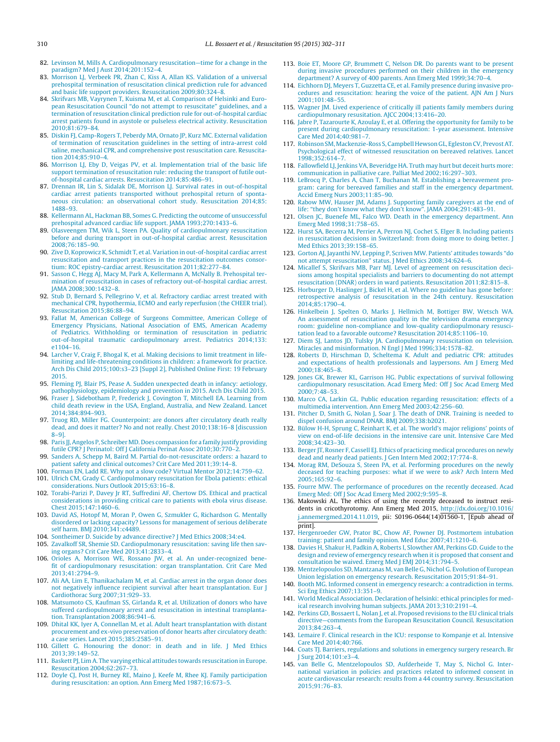- <span id="page-8-0"></span>82. [Levinson](http://refhub.elsevier.com/S0300-9572(15)00345-7/sbref1215) [M,](http://refhub.elsevier.com/S0300-9572(15)00345-7/sbref1215) [Mills](http://refhub.elsevier.com/S0300-9572(15)00345-7/sbref1215) [A.](http://refhub.elsevier.com/S0300-9572(15)00345-7/sbref1215) [Cardiopulmonary](http://refhub.elsevier.com/S0300-9572(15)00345-7/sbref1215) [resuscitation](http://refhub.elsevier.com/S0300-9572(15)00345-7/sbref1215)—[time](http://refhub.elsevier.com/S0300-9572(15)00345-7/sbref1215) [for](http://refhub.elsevier.com/S0300-9572(15)00345-7/sbref1215) [a](http://refhub.elsevier.com/S0300-9572(15)00345-7/sbref1215) [change](http://refhub.elsevier.com/S0300-9572(15)00345-7/sbref1215) [in](http://refhub.elsevier.com/S0300-9572(15)00345-7/sbref1215) [the](http://refhub.elsevier.com/S0300-9572(15)00345-7/sbref1215) [paradigm?](http://refhub.elsevier.com/S0300-9572(15)00345-7/sbref1215) [Med](http://refhub.elsevier.com/S0300-9572(15)00345-7/sbref1215) [J](http://refhub.elsevier.com/S0300-9572(15)00345-7/sbref1215) [Aust](http://refhub.elsevier.com/S0300-9572(15)00345-7/sbref1215) [2014;201:152](http://refhub.elsevier.com/S0300-9572(15)00345-7/sbref1215)–[4.](http://refhub.elsevier.com/S0300-9572(15)00345-7/sbref1215)
- 83. [Morrison](http://refhub.elsevier.com/S0300-9572(15)00345-7/sbref1220) [LJ,](http://refhub.elsevier.com/S0300-9572(15)00345-7/sbref1220) [Verbeek](http://refhub.elsevier.com/S0300-9572(15)00345-7/sbref1220) [PR,](http://refhub.elsevier.com/S0300-9572(15)00345-7/sbref1220) [Zhan](http://refhub.elsevier.com/S0300-9572(15)00345-7/sbref1220) [C,](http://refhub.elsevier.com/S0300-9572(15)00345-7/sbref1220) [Kiss](http://refhub.elsevier.com/S0300-9572(15)00345-7/sbref1220) [A,](http://refhub.elsevier.com/S0300-9572(15)00345-7/sbref1220) [Allan](http://refhub.elsevier.com/S0300-9572(15)00345-7/sbref1220) [KS.](http://refhub.elsevier.com/S0300-9572(15)00345-7/sbref1220) [Validation](http://refhub.elsevier.com/S0300-9572(15)00345-7/sbref1220) [of](http://refhub.elsevier.com/S0300-9572(15)00345-7/sbref1220) [a](http://refhub.elsevier.com/S0300-9572(15)00345-7/sbref1220) [universal](http://refhub.elsevier.com/S0300-9572(15)00345-7/sbref1220) [prehospital](http://refhub.elsevier.com/S0300-9572(15)00345-7/sbref1220) [termination](http://refhub.elsevier.com/S0300-9572(15)00345-7/sbref1220) [of](http://refhub.elsevier.com/S0300-9572(15)00345-7/sbref1220) [resuscitation](http://refhub.elsevier.com/S0300-9572(15)00345-7/sbref1220) [clinical](http://refhub.elsevier.com/S0300-9572(15)00345-7/sbref1220) [prediction](http://refhub.elsevier.com/S0300-9572(15)00345-7/sbref1220) [rule](http://refhub.elsevier.com/S0300-9572(15)00345-7/sbref1220) [for](http://refhub.elsevier.com/S0300-9572(15)00345-7/sbref1220) [advanced](http://refhub.elsevier.com/S0300-9572(15)00345-7/sbref1220) [and](http://refhub.elsevier.com/S0300-9572(15)00345-7/sbref1220) [basic](http://refhub.elsevier.com/S0300-9572(15)00345-7/sbref1220) [life](http://refhub.elsevier.com/S0300-9572(15)00345-7/sbref1220) [support](http://refhub.elsevier.com/S0300-9572(15)00345-7/sbref1220) [providers.](http://refhub.elsevier.com/S0300-9572(15)00345-7/sbref1220) [Resuscitation](http://refhub.elsevier.com/S0300-9572(15)00345-7/sbref1220) [2009;80:324](http://refhub.elsevier.com/S0300-9572(15)00345-7/sbref1220)–[8.](http://refhub.elsevier.com/S0300-9572(15)00345-7/sbref1220)
- 84. [Skrifvars](http://refhub.elsevier.com/S0300-9572(15)00345-7/sbref1225) [MB,](http://refhub.elsevier.com/S0300-9572(15)00345-7/sbref1225) [Vayrynen](http://refhub.elsevier.com/S0300-9572(15)00345-7/sbref1225) [T,](http://refhub.elsevier.com/S0300-9572(15)00345-7/sbref1225) [Kuisma](http://refhub.elsevier.com/S0300-9572(15)00345-7/sbref1225) [M,](http://refhub.elsevier.com/S0300-9572(15)00345-7/sbref1225) [et](http://refhub.elsevier.com/S0300-9572(15)00345-7/sbref1225) [al.](http://refhub.elsevier.com/S0300-9572(15)00345-7/sbref1225) [Comparison](http://refhub.elsevier.com/S0300-9572(15)00345-7/sbref1225) [of](http://refhub.elsevier.com/S0300-9572(15)00345-7/sbref1225) [Helsinki](http://refhub.elsevier.com/S0300-9572(15)00345-7/sbref1225) [and](http://refhub.elsevier.com/S0300-9572(15)00345-7/sbref1225) [Euro](http://refhub.elsevier.com/S0300-9572(15)00345-7/sbref1225)[pean](http://refhub.elsevier.com/S0300-9572(15)00345-7/sbref1225) [Resuscitation](http://refhub.elsevier.com/S0300-9572(15)00345-7/sbref1225) [Council](http://refhub.elsevier.com/S0300-9572(15)00345-7/sbref1225) ["do](http://refhub.elsevier.com/S0300-9572(15)00345-7/sbref1225) [not](http://refhub.elsevier.com/S0300-9572(15)00345-7/sbref1225) [attempt](http://refhub.elsevier.com/S0300-9572(15)00345-7/sbref1225) [to](http://refhub.elsevier.com/S0300-9572(15)00345-7/sbref1225) [resuscitate"](http://refhub.elsevier.com/S0300-9572(15)00345-7/sbref1225) [guidelines,](http://refhub.elsevier.com/S0300-9572(15)00345-7/sbref1225) [and](http://refhub.elsevier.com/S0300-9572(15)00345-7/sbref1225) [a](http://refhub.elsevier.com/S0300-9572(15)00345-7/sbref1225) [termination](http://refhub.elsevier.com/S0300-9572(15)00345-7/sbref1225) [of](http://refhub.elsevier.com/S0300-9572(15)00345-7/sbref1225) [resuscitation](http://refhub.elsevier.com/S0300-9572(15)00345-7/sbref1225) [clinical](http://refhub.elsevier.com/S0300-9572(15)00345-7/sbref1225) [prediction](http://refhub.elsevier.com/S0300-9572(15)00345-7/sbref1225) [rule](http://refhub.elsevier.com/S0300-9572(15)00345-7/sbref1225) [for](http://refhub.elsevier.com/S0300-9572(15)00345-7/sbref1225) [out-of-hospital](http://refhub.elsevier.com/S0300-9572(15)00345-7/sbref1225) [cardiac](http://refhub.elsevier.com/S0300-9572(15)00345-7/sbref1225) [arrest](http://refhub.elsevier.com/S0300-9572(15)00345-7/sbref1225) [patients](http://refhub.elsevier.com/S0300-9572(15)00345-7/sbref1225) [found](http://refhub.elsevier.com/S0300-9572(15)00345-7/sbref1225) [in](http://refhub.elsevier.com/S0300-9572(15)00345-7/sbref1225) [asystole](http://refhub.elsevier.com/S0300-9572(15)00345-7/sbref1225) [or](http://refhub.elsevier.com/S0300-9572(15)00345-7/sbref1225) [pulseless](http://refhub.elsevier.com/S0300-9572(15)00345-7/sbref1225) [electrical](http://refhub.elsevier.com/S0300-9572(15)00345-7/sbref1225) [activity.](http://refhub.elsevier.com/S0300-9572(15)00345-7/sbref1225) [Resuscitation](http://refhub.elsevier.com/S0300-9572(15)00345-7/sbref1225) [2010;81:679–84.](http://refhub.elsevier.com/S0300-9572(15)00345-7/sbref1225)
- 85. [Diskin](http://refhub.elsevier.com/S0300-9572(15)00345-7/sbref1230) [FJ,](http://refhub.elsevier.com/S0300-9572(15)00345-7/sbref1230) [Camp-Rogers](http://refhub.elsevier.com/S0300-9572(15)00345-7/sbref1230) [T,](http://refhub.elsevier.com/S0300-9572(15)00345-7/sbref1230) [Peberdy](http://refhub.elsevier.com/S0300-9572(15)00345-7/sbref1230) [MA,](http://refhub.elsevier.com/S0300-9572(15)00345-7/sbref1230) [Ornato](http://refhub.elsevier.com/S0300-9572(15)00345-7/sbref1230) [JP,](http://refhub.elsevier.com/S0300-9572(15)00345-7/sbref1230) [Kurz](http://refhub.elsevier.com/S0300-9572(15)00345-7/sbref1230) [MC.](http://refhub.elsevier.com/S0300-9572(15)00345-7/sbref1230) [External](http://refhub.elsevier.com/S0300-9572(15)00345-7/sbref1230) [validation](http://refhub.elsevier.com/S0300-9572(15)00345-7/sbref1230) [of](http://refhub.elsevier.com/S0300-9572(15)00345-7/sbref1230) [termination](http://refhub.elsevier.com/S0300-9572(15)00345-7/sbref1230) [of](http://refhub.elsevier.com/S0300-9572(15)00345-7/sbref1230) [resuscitation](http://refhub.elsevier.com/S0300-9572(15)00345-7/sbref1230) [guidelines](http://refhub.elsevier.com/S0300-9572(15)00345-7/sbref1230) [in](http://refhub.elsevier.com/S0300-9572(15)00345-7/sbref1230) [the](http://refhub.elsevier.com/S0300-9572(15)00345-7/sbref1230) [setting](http://refhub.elsevier.com/S0300-9572(15)00345-7/sbref1230) [of](http://refhub.elsevier.com/S0300-9572(15)00345-7/sbref1230) [intra-arrest](http://refhub.elsevier.com/S0300-9572(15)00345-7/sbref1230) [cold](http://refhub.elsevier.com/S0300-9572(15)00345-7/sbref1230) [saline,](http://refhub.elsevier.com/S0300-9572(15)00345-7/sbref1230) [mechanical](http://refhub.elsevier.com/S0300-9572(15)00345-7/sbref1230) [CPR,](http://refhub.elsevier.com/S0300-9572(15)00345-7/sbref1230) [and](http://refhub.elsevier.com/S0300-9572(15)00345-7/sbref1230) [comprehensive](http://refhub.elsevier.com/S0300-9572(15)00345-7/sbref1230) [post](http://refhub.elsevier.com/S0300-9572(15)00345-7/sbref1230) [resuscitation](http://refhub.elsevier.com/S0300-9572(15)00345-7/sbref1230) [care.](http://refhub.elsevier.com/S0300-9572(15)00345-7/sbref1230) [Resuscita](http://refhub.elsevier.com/S0300-9572(15)00345-7/sbref1230)[tion](http://refhub.elsevier.com/S0300-9572(15)00345-7/sbref1230) [2014;85:910–4.](http://refhub.elsevier.com/S0300-9572(15)00345-7/sbref1230)
- 86. [Morrison](http://refhub.elsevier.com/S0300-9572(15)00345-7/sbref1235) [LJ,](http://refhub.elsevier.com/S0300-9572(15)00345-7/sbref1235) [Eby](http://refhub.elsevier.com/S0300-9572(15)00345-7/sbref1235) [D,](http://refhub.elsevier.com/S0300-9572(15)00345-7/sbref1235) [Veigas](http://refhub.elsevier.com/S0300-9572(15)00345-7/sbref1235) [PV,](http://refhub.elsevier.com/S0300-9572(15)00345-7/sbref1235) [et](http://refhub.elsevier.com/S0300-9572(15)00345-7/sbref1235) [al.](http://refhub.elsevier.com/S0300-9572(15)00345-7/sbref1235) [Implementation](http://refhub.elsevier.com/S0300-9572(15)00345-7/sbref1235) [trial](http://refhub.elsevier.com/S0300-9572(15)00345-7/sbref1235) [of](http://refhub.elsevier.com/S0300-9572(15)00345-7/sbref1235) [the](http://refhub.elsevier.com/S0300-9572(15)00345-7/sbref1235) [basic](http://refhub.elsevier.com/S0300-9572(15)00345-7/sbref1235) [life](http://refhub.elsevier.com/S0300-9572(15)00345-7/sbref1235) [support](http://refhub.elsevier.com/S0300-9572(15)00345-7/sbref1235) [termination](http://refhub.elsevier.com/S0300-9572(15)00345-7/sbref1235) [of](http://refhub.elsevier.com/S0300-9572(15)00345-7/sbref1235) [resuscitation](http://refhub.elsevier.com/S0300-9572(15)00345-7/sbref1235) [rule:](http://refhub.elsevier.com/S0300-9572(15)00345-7/sbref1235) [reducing](http://refhub.elsevier.com/S0300-9572(15)00345-7/sbref1235) [the](http://refhub.elsevier.com/S0300-9572(15)00345-7/sbref1235) [transport](http://refhub.elsevier.com/S0300-9572(15)00345-7/sbref1235) [of](http://refhub.elsevier.com/S0300-9572(15)00345-7/sbref1235) [futile](http://refhub.elsevier.com/S0300-9572(15)00345-7/sbref1235) [out](http://refhub.elsevier.com/S0300-9572(15)00345-7/sbref1235)[of-hospital](http://refhub.elsevier.com/S0300-9572(15)00345-7/sbref1235) [cardiac](http://refhub.elsevier.com/S0300-9572(15)00345-7/sbref1235) [arrests.](http://refhub.elsevier.com/S0300-9572(15)00345-7/sbref1235) [Resuscitation](http://refhub.elsevier.com/S0300-9572(15)00345-7/sbref1235) [2014;85:486–91.](http://refhub.elsevier.com/S0300-9572(15)00345-7/sbref1235)
- 87. [Drennan](http://refhub.elsevier.com/S0300-9572(15)00345-7/sbref1240) [IR,](http://refhub.elsevier.com/S0300-9572(15)00345-7/sbref1240) [Lin](http://refhub.elsevier.com/S0300-9572(15)00345-7/sbref1240) [S,](http://refhub.elsevier.com/S0300-9572(15)00345-7/sbref1240) [Sidalak](http://refhub.elsevier.com/S0300-9572(15)00345-7/sbref1240) [DE,](http://refhub.elsevier.com/S0300-9572(15)00345-7/sbref1240) [Morrison](http://refhub.elsevier.com/S0300-9572(15)00345-7/sbref1240) [LJ.](http://refhub.elsevier.com/S0300-9572(15)00345-7/sbref1240) [Survival](http://refhub.elsevier.com/S0300-9572(15)00345-7/sbref1240) [rates](http://refhub.elsevier.com/S0300-9572(15)00345-7/sbref1240) [in](http://refhub.elsevier.com/S0300-9572(15)00345-7/sbref1240) [out-of-hospital](http://refhub.elsevier.com/S0300-9572(15)00345-7/sbref1240) [cardiac](http://refhub.elsevier.com/S0300-9572(15)00345-7/sbref1240) [arrest](http://refhub.elsevier.com/S0300-9572(15)00345-7/sbref1240) [patients](http://refhub.elsevier.com/S0300-9572(15)00345-7/sbref1240) [transported](http://refhub.elsevier.com/S0300-9572(15)00345-7/sbref1240) [without](http://refhub.elsevier.com/S0300-9572(15)00345-7/sbref1240) [prehospital](http://refhub.elsevier.com/S0300-9572(15)00345-7/sbref1240) [return](http://refhub.elsevier.com/S0300-9572(15)00345-7/sbref1240) [of](http://refhub.elsevier.com/S0300-9572(15)00345-7/sbref1240) [sponta](http://refhub.elsevier.com/S0300-9572(15)00345-7/sbref1240)[neous](http://refhub.elsevier.com/S0300-9572(15)00345-7/sbref1240) [circulation:](http://refhub.elsevier.com/S0300-9572(15)00345-7/sbref1240) [an](http://refhub.elsevier.com/S0300-9572(15)00345-7/sbref1240) [observational](http://refhub.elsevier.com/S0300-9572(15)00345-7/sbref1240) [cohort](http://refhub.elsevier.com/S0300-9572(15)00345-7/sbref1240) [study.](http://refhub.elsevier.com/S0300-9572(15)00345-7/sbref1240) [Resuscitation](http://refhub.elsevier.com/S0300-9572(15)00345-7/sbref1240) [2014;85:](http://refhub.elsevier.com/S0300-9572(15)00345-7/sbref1240) [1488–93.](http://refhub.elsevier.com/S0300-9572(15)00345-7/sbref1240)
- 88. [Kellermann](http://refhub.elsevier.com/S0300-9572(15)00345-7/sbref1245) [AL,](http://refhub.elsevier.com/S0300-9572(15)00345-7/sbref1245) [Hackman](http://refhub.elsevier.com/S0300-9572(15)00345-7/sbref1245) [BB,](http://refhub.elsevier.com/S0300-9572(15)00345-7/sbref1245) [Somes](http://refhub.elsevier.com/S0300-9572(15)00345-7/sbref1245) [G.](http://refhub.elsevier.com/S0300-9572(15)00345-7/sbref1245) [Predicting](http://refhub.elsevier.com/S0300-9572(15)00345-7/sbref1245) [the](http://refhub.elsevier.com/S0300-9572(15)00345-7/sbref1245) [outcome](http://refhub.elsevier.com/S0300-9572(15)00345-7/sbref1245) [of](http://refhub.elsevier.com/S0300-9572(15)00345-7/sbref1245) [unsuccessful](http://refhub.elsevier.com/S0300-9572(15)00345-7/sbref1245) [prehospital](http://refhub.elsevier.com/S0300-9572(15)00345-7/sbref1245) [advanced](http://refhub.elsevier.com/S0300-9572(15)00345-7/sbref1245) [cardiac](http://refhub.elsevier.com/S0300-9572(15)00345-7/sbref1245) [life](http://refhub.elsevier.com/S0300-9572(15)00345-7/sbref1245) [support.](http://refhub.elsevier.com/S0300-9572(15)00345-7/sbref1245) [JAMA](http://refhub.elsevier.com/S0300-9572(15)00345-7/sbref1245) [1993;270:1433–6.](http://refhub.elsevier.com/S0300-9572(15)00345-7/sbref1245)
- 89. [Olasveengen](http://refhub.elsevier.com/S0300-9572(15)00345-7/sbref1250) [TM,](http://refhub.elsevier.com/S0300-9572(15)00345-7/sbref1250) [Wik](http://refhub.elsevier.com/S0300-9572(15)00345-7/sbref1250) [L,](http://refhub.elsevier.com/S0300-9572(15)00345-7/sbref1250) [Steen](http://refhub.elsevier.com/S0300-9572(15)00345-7/sbref1250) [PA.](http://refhub.elsevier.com/S0300-9572(15)00345-7/sbref1250) [Quality](http://refhub.elsevier.com/S0300-9572(15)00345-7/sbref1250) [of](http://refhub.elsevier.com/S0300-9572(15)00345-7/sbref1250) [cardiopulmonary](http://refhub.elsevier.com/S0300-9572(15)00345-7/sbref1250) [resuscitation](http://refhub.elsevier.com/S0300-9572(15)00345-7/sbref1250) [before](http://refhub.elsevier.com/S0300-9572(15)00345-7/sbref1250) [and](http://refhub.elsevier.com/S0300-9572(15)00345-7/sbref1250) [during](http://refhub.elsevier.com/S0300-9572(15)00345-7/sbref1250) [transport](http://refhub.elsevier.com/S0300-9572(15)00345-7/sbref1250) [in](http://refhub.elsevier.com/S0300-9572(15)00345-7/sbref1250) [out-of-hospital](http://refhub.elsevier.com/S0300-9572(15)00345-7/sbref1250) [cardiac](http://refhub.elsevier.com/S0300-9572(15)00345-7/sbref1250) [arrest.](http://refhub.elsevier.com/S0300-9572(15)00345-7/sbref1250) [Resuscitation](http://refhub.elsevier.com/S0300-9572(15)00345-7/sbref1250) [2008;76:185](http://refhub.elsevier.com/S0300-9572(15)00345-7/sbref1250)–[90.](http://refhub.elsevier.com/S0300-9572(15)00345-7/sbref1250)
- 90. [Zive](http://refhub.elsevier.com/S0300-9572(15)00345-7/sbref1255) [D,](http://refhub.elsevier.com/S0300-9572(15)00345-7/sbref1255) [Koprowicz](http://refhub.elsevier.com/S0300-9572(15)00345-7/sbref1255) [K,](http://refhub.elsevier.com/S0300-9572(15)00345-7/sbref1255) [Schmidt](http://refhub.elsevier.com/S0300-9572(15)00345-7/sbref1255) [T,](http://refhub.elsevier.com/S0300-9572(15)00345-7/sbref1255) [et](http://refhub.elsevier.com/S0300-9572(15)00345-7/sbref1255) [al.](http://refhub.elsevier.com/S0300-9572(15)00345-7/sbref1255) [Variation](http://refhub.elsevier.com/S0300-9572(15)00345-7/sbref1255) [in](http://refhub.elsevier.com/S0300-9572(15)00345-7/sbref1255) [out-of-hospital](http://refhub.elsevier.com/S0300-9572(15)00345-7/sbref1255) [cardiac](http://refhub.elsevier.com/S0300-9572(15)00345-7/sbref1255) [arrest](http://refhub.elsevier.com/S0300-9572(15)00345-7/sbref1255) [resuscitation](http://refhub.elsevier.com/S0300-9572(15)00345-7/sbref1255) [and](http://refhub.elsevier.com/S0300-9572(15)00345-7/sbref1255) [transport](http://refhub.elsevier.com/S0300-9572(15)00345-7/sbref1255) [practices](http://refhub.elsevier.com/S0300-9572(15)00345-7/sbref1255) [in](http://refhub.elsevier.com/S0300-9572(15)00345-7/sbref1255) [the](http://refhub.elsevier.com/S0300-9572(15)00345-7/sbref1255) [resuscitation](http://refhub.elsevier.com/S0300-9572(15)00345-7/sbref1255) [outcomes](http://refhub.elsevier.com/S0300-9572(15)00345-7/sbref1255) [consor](http://refhub.elsevier.com/S0300-9572(15)00345-7/sbref1255)[tium:](http://refhub.elsevier.com/S0300-9572(15)00345-7/sbref1255) [ROC](http://refhub.elsevier.com/S0300-9572(15)00345-7/sbref1255) [epistry-cardiac](http://refhub.elsevier.com/S0300-9572(15)00345-7/sbref1255) [arrest.](http://refhub.elsevier.com/S0300-9572(15)00345-7/sbref1255) [Resuscitation](http://refhub.elsevier.com/S0300-9572(15)00345-7/sbref1255) [2011;82:277–84.](http://refhub.elsevier.com/S0300-9572(15)00345-7/sbref1255)
- 91. [Sasson](http://refhub.elsevier.com/S0300-9572(15)00345-7/sbref1260) [C,](http://refhub.elsevier.com/S0300-9572(15)00345-7/sbref1260) [Hegg](http://refhub.elsevier.com/S0300-9572(15)00345-7/sbref1260) [AJ,](http://refhub.elsevier.com/S0300-9572(15)00345-7/sbref1260) [Macy](http://refhub.elsevier.com/S0300-9572(15)00345-7/sbref1260) [M,](http://refhub.elsevier.com/S0300-9572(15)00345-7/sbref1260) [Park](http://refhub.elsevier.com/S0300-9572(15)00345-7/sbref1260) [A,](http://refhub.elsevier.com/S0300-9572(15)00345-7/sbref1260) [Kellermann](http://refhub.elsevier.com/S0300-9572(15)00345-7/sbref1260) A, [McNally](http://refhub.elsevier.com/S0300-9572(15)00345-7/sbref1260) [B.](http://refhub.elsevier.com/S0300-9572(15)00345-7/sbref1260) [Prehospital](http://refhub.elsevier.com/S0300-9572(15)00345-7/sbref1260) [ter](http://refhub.elsevier.com/S0300-9572(15)00345-7/sbref1260)[mination](http://refhub.elsevier.com/S0300-9572(15)00345-7/sbref1260) [of](http://refhub.elsevier.com/S0300-9572(15)00345-7/sbref1260) [resuscitation](http://refhub.elsevier.com/S0300-9572(15)00345-7/sbref1260) [in](http://refhub.elsevier.com/S0300-9572(15)00345-7/sbref1260) [cases](http://refhub.elsevier.com/S0300-9572(15)00345-7/sbref1260) [of](http://refhub.elsevier.com/S0300-9572(15)00345-7/sbref1260) [refractory](http://refhub.elsevier.com/S0300-9572(15)00345-7/sbref1260) [out-of-hospital](http://refhub.elsevier.com/S0300-9572(15)00345-7/sbref1260) [cardiac](http://refhub.elsevier.com/S0300-9572(15)00345-7/sbref1260) [arrest.](http://refhub.elsevier.com/S0300-9572(15)00345-7/sbref1260) [JAMA](http://refhub.elsevier.com/S0300-9572(15)00345-7/sbref1260) [2008;300:1432–8.](http://refhub.elsevier.com/S0300-9572(15)00345-7/sbref1260)
- 92. [Stub](http://refhub.elsevier.com/S0300-9572(15)00345-7/sbref1265) [D,](http://refhub.elsevier.com/S0300-9572(15)00345-7/sbref1265) [Bernard](http://refhub.elsevier.com/S0300-9572(15)00345-7/sbref1265) [S,](http://refhub.elsevier.com/S0300-9572(15)00345-7/sbref1265) [Pellegrino](http://refhub.elsevier.com/S0300-9572(15)00345-7/sbref1265) [V,](http://refhub.elsevier.com/S0300-9572(15)00345-7/sbref1265) [et](http://refhub.elsevier.com/S0300-9572(15)00345-7/sbref1265) [al.](http://refhub.elsevier.com/S0300-9572(15)00345-7/sbref1265) [Refractory](http://refhub.elsevier.com/S0300-9572(15)00345-7/sbref1265) [cardiac](http://refhub.elsevier.com/S0300-9572(15)00345-7/sbref1265) [arrest](http://refhub.elsevier.com/S0300-9572(15)00345-7/sbref1265) [treated](http://refhub.elsevier.com/S0300-9572(15)00345-7/sbref1265) [with](http://refhub.elsevier.com/S0300-9572(15)00345-7/sbref1265) [mechanical](http://refhub.elsevier.com/S0300-9572(15)00345-7/sbref1265) [CPR,](http://refhub.elsevier.com/S0300-9572(15)00345-7/sbref1265) [hypothermia,](http://refhub.elsevier.com/S0300-9572(15)00345-7/sbref1265) [ECMO](http://refhub.elsevier.com/S0300-9572(15)00345-7/sbref1265) [and](http://refhub.elsevier.com/S0300-9572(15)00345-7/sbref1265) [early](http://refhub.elsevier.com/S0300-9572(15)00345-7/sbref1265) [reperfusion](http://refhub.elsevier.com/S0300-9572(15)00345-7/sbref1265) [\(the](http://refhub.elsevier.com/S0300-9572(15)00345-7/sbref1265) [CHEER](http://refhub.elsevier.com/S0300-9572(15)00345-7/sbref1265) [trial\).](http://refhub.elsevier.com/S0300-9572(15)00345-7/sbref1265) [Resuscitation](http://refhub.elsevier.com/S0300-9572(15)00345-7/sbref1265) [2015;86:88](http://refhub.elsevier.com/S0300-9572(15)00345-7/sbref1265)–[94.](http://refhub.elsevier.com/S0300-9572(15)00345-7/sbref1265)
- 93. [Fallat](http://refhub.elsevier.com/S0300-9572(15)00345-7/sbref1270) [M,](http://refhub.elsevier.com/S0300-9572(15)00345-7/sbref1270) [American](http://refhub.elsevier.com/S0300-9572(15)00345-7/sbref1270) [College](http://refhub.elsevier.com/S0300-9572(15)00345-7/sbref1270) [of](http://refhub.elsevier.com/S0300-9572(15)00345-7/sbref1270) [Surgeons](http://refhub.elsevier.com/S0300-9572(15)00345-7/sbref1270) [Committee,](http://refhub.elsevier.com/S0300-9572(15)00345-7/sbref1270) [American](http://refhub.elsevier.com/S0300-9572(15)00345-7/sbref1270) [College](http://refhub.elsevier.com/S0300-9572(15)00345-7/sbref1270) [of](http://refhub.elsevier.com/S0300-9572(15)00345-7/sbref1270) [Emergency](http://refhub.elsevier.com/S0300-9572(15)00345-7/sbref1270) [Physicians,](http://refhub.elsevier.com/S0300-9572(15)00345-7/sbref1270) [National](http://refhub.elsevier.com/S0300-9572(15)00345-7/sbref1270) [Association](http://refhub.elsevier.com/S0300-9572(15)00345-7/sbref1270) [of](http://refhub.elsevier.com/S0300-9572(15)00345-7/sbref1270) [EMS,](http://refhub.elsevier.com/S0300-9572(15)00345-7/sbref1270) [American](http://refhub.elsevier.com/S0300-9572(15)00345-7/sbref1270) [Academy](http://refhub.elsevier.com/S0300-9572(15)00345-7/sbref1270) [of](http://refhub.elsevier.com/S0300-9572(15)00345-7/sbref1270) [Pediatrics.](http://refhub.elsevier.com/S0300-9572(15)00345-7/sbref1270) [Withholding](http://refhub.elsevier.com/S0300-9572(15)00345-7/sbref1270) [or](http://refhub.elsevier.com/S0300-9572(15)00345-7/sbref1270) [termination](http://refhub.elsevier.com/S0300-9572(15)00345-7/sbref1270) [of](http://refhub.elsevier.com/S0300-9572(15)00345-7/sbref1270) [resuscitation](http://refhub.elsevier.com/S0300-9572(15)00345-7/sbref1270) [in](http://refhub.elsevier.com/S0300-9572(15)00345-7/sbref1270) [pediatric](http://refhub.elsevier.com/S0300-9572(15)00345-7/sbref1270) [out-of-hospital](http://refhub.elsevier.com/S0300-9572(15)00345-7/sbref1270) [traumatic](http://refhub.elsevier.com/S0300-9572(15)00345-7/sbref1270) [cardiopulmonary](http://refhub.elsevier.com/S0300-9572(15)00345-7/sbref1270) [arrest.](http://refhub.elsevier.com/S0300-9572(15)00345-7/sbref1270) [Pediatrics](http://refhub.elsevier.com/S0300-9572(15)00345-7/sbref1270) [2014;133:](http://refhub.elsevier.com/S0300-9572(15)00345-7/sbref1270) [e1104](http://refhub.elsevier.com/S0300-9572(15)00345-7/sbref1270)–[16.](http://refhub.elsevier.com/S0300-9572(15)00345-7/sbref1270)
- 94. [Larcher](http://refhub.elsevier.com/S0300-9572(15)00345-7/sbref1275) [V,](http://refhub.elsevier.com/S0300-9572(15)00345-7/sbref1275) [Craig](http://refhub.elsevier.com/S0300-9572(15)00345-7/sbref1275) [F,](http://refhub.elsevier.com/S0300-9572(15)00345-7/sbref1275) [Bhogal](http://refhub.elsevier.com/S0300-9572(15)00345-7/sbref1275) [K,](http://refhub.elsevier.com/S0300-9572(15)00345-7/sbref1275) [et](http://refhub.elsevier.com/S0300-9572(15)00345-7/sbref1275) [al.](http://refhub.elsevier.com/S0300-9572(15)00345-7/sbref1275) [Making](http://refhub.elsevier.com/S0300-9572(15)00345-7/sbref1275) [decisions](http://refhub.elsevier.com/S0300-9572(15)00345-7/sbref1275) [to](http://refhub.elsevier.com/S0300-9572(15)00345-7/sbref1275) [limit](http://refhub.elsevier.com/S0300-9572(15)00345-7/sbref1275) [treatment](http://refhub.elsevier.com/S0300-9572(15)00345-7/sbref1275) [in](http://refhub.elsevier.com/S0300-9572(15)00345-7/sbref1275) [life](http://refhub.elsevier.com/S0300-9572(15)00345-7/sbref1275)[limiting](http://refhub.elsevier.com/S0300-9572(15)00345-7/sbref1275) [and](http://refhub.elsevier.com/S0300-9572(15)00345-7/sbref1275) [life-threatening](http://refhub.elsevier.com/S0300-9572(15)00345-7/sbref1275) [conditions](http://refhub.elsevier.com/S0300-9572(15)00345-7/sbref1275) [in](http://refhub.elsevier.com/S0300-9572(15)00345-7/sbref1275) [children:](http://refhub.elsevier.com/S0300-9572(15)00345-7/sbref1275) [a](http://refhub.elsevier.com/S0300-9572(15)00345-7/sbref1275) [framework](http://refhub.elsevier.com/S0300-9572(15)00345-7/sbref1275) [for](http://refhub.elsevier.com/S0300-9572(15)00345-7/sbref1275) [practice.](http://refhub.elsevier.com/S0300-9572(15)00345-7/sbref1275) [Arch](http://refhub.elsevier.com/S0300-9572(15)00345-7/sbref1275) [Dis](http://refhub.elsevier.com/S0300-9572(15)00345-7/sbref1275) [Child](http://refhub.elsevier.com/S0300-9572(15)00345-7/sbref1275) [2015;100:s3–23](http://refhub.elsevier.com/S0300-9572(15)00345-7/sbref1275) [\[Suppl](http://refhub.elsevier.com/S0300-9572(15)00345-7/sbref1275) [2\],](http://refhub.elsevier.com/S0300-9572(15)00345-7/sbref1275) [Published](http://refhub.elsevier.com/S0300-9572(15)00345-7/sbref1275) [Online](http://refhub.elsevier.com/S0300-9572(15)00345-7/sbref1275) [First:](http://refhub.elsevier.com/S0300-9572(15)00345-7/sbref1275) [19](http://refhub.elsevier.com/S0300-9572(15)00345-7/sbref1275) [February](http://refhub.elsevier.com/S0300-9572(15)00345-7/sbref1275) [2015.](http://refhub.elsevier.com/S0300-9572(15)00345-7/sbref1275)
- 95. [Fleming](http://refhub.elsevier.com/S0300-9572(15)00345-7/sbref1280) [PJ,](http://refhub.elsevier.com/S0300-9572(15)00345-7/sbref1280) [Blair](http://refhub.elsevier.com/S0300-9572(15)00345-7/sbref1280) [PS,](http://refhub.elsevier.com/S0300-9572(15)00345-7/sbref1280) [Pease](http://refhub.elsevier.com/S0300-9572(15)00345-7/sbref1280) [A.](http://refhub.elsevier.com/S0300-9572(15)00345-7/sbref1280) [Sudden](http://refhub.elsevier.com/S0300-9572(15)00345-7/sbref1280) [unexpected](http://refhub.elsevier.com/S0300-9572(15)00345-7/sbref1280) [death](http://refhub.elsevier.com/S0300-9572(15)00345-7/sbref1280) [in](http://refhub.elsevier.com/S0300-9572(15)00345-7/sbref1280) [infancy:](http://refhub.elsevier.com/S0300-9572(15)00345-7/sbref1280) [aetiology,](http://refhub.elsevier.com/S0300-9572(15)00345-7/sbref1280) [pathophysiology,](http://refhub.elsevier.com/S0300-9572(15)00345-7/sbref1280) [epidemiology](http://refhub.elsevier.com/S0300-9572(15)00345-7/sbref1280) [and](http://refhub.elsevier.com/S0300-9572(15)00345-7/sbref1280) [prevention](http://refhub.elsevier.com/S0300-9572(15)00345-7/sbref1280) [in](http://refhub.elsevier.com/S0300-9572(15)00345-7/sbref1280) [2015.](http://refhub.elsevier.com/S0300-9572(15)00345-7/sbref1280) [Arch](http://refhub.elsevier.com/S0300-9572(15)00345-7/sbref1280) [Dis](http://refhub.elsevier.com/S0300-9572(15)00345-7/sbref1280) [Child](http://refhub.elsevier.com/S0300-9572(15)00345-7/sbref1280) [2015.](http://refhub.elsevier.com/S0300-9572(15)00345-7/sbref1280)
- 96. [Fraser](http://refhub.elsevier.com/S0300-9572(15)00345-7/sbref1285) [J,](http://refhub.elsevier.com/S0300-9572(15)00345-7/sbref1285) [Sidebotham](http://refhub.elsevier.com/S0300-9572(15)00345-7/sbref1285) [P,](http://refhub.elsevier.com/S0300-9572(15)00345-7/sbref1285) [Frederick](http://refhub.elsevier.com/S0300-9572(15)00345-7/sbref1285) J, [Covington](http://refhub.elsevier.com/S0300-9572(15)00345-7/sbref1285) [T,](http://refhub.elsevier.com/S0300-9572(15)00345-7/sbref1285) [Mitchell](http://refhub.elsevier.com/S0300-9572(15)00345-7/sbref1285) EA, [Learning](http://refhub.elsevier.com/S0300-9572(15)00345-7/sbref1285) [from](http://refhub.elsevier.com/S0300-9572(15)00345-7/sbref1285) [child](http://refhub.elsevier.com/S0300-9572(15)00345-7/sbref1285) [death](http://refhub.elsevier.com/S0300-9572(15)00345-7/sbref1285) [review](http://refhub.elsevier.com/S0300-9572(15)00345-7/sbref1285) [in](http://refhub.elsevier.com/S0300-9572(15)00345-7/sbref1285) [the](http://refhub.elsevier.com/S0300-9572(15)00345-7/sbref1285) [USA,](http://refhub.elsevier.com/S0300-9572(15)00345-7/sbref1285) [England,](http://refhub.elsevier.com/S0300-9572(15)00345-7/sbref1285) [Australia,](http://refhub.elsevier.com/S0300-9572(15)00345-7/sbref1285) [and](http://refhub.elsevier.com/S0300-9572(15)00345-7/sbref1285) [New](http://refhub.elsevier.com/S0300-9572(15)00345-7/sbref1285) [Zealand.](http://refhub.elsevier.com/S0300-9572(15)00345-7/sbref1285) [Lancet](http://refhub.elsevier.com/S0300-9572(15)00345-7/sbref1285) [2014;384:894–903.](http://refhub.elsevier.com/S0300-9572(15)00345-7/sbref1285)
- 97. [Truog](http://refhub.elsevier.com/S0300-9572(15)00345-7/sbref1290) [RD,](http://refhub.elsevier.com/S0300-9572(15)00345-7/sbref1290) [Miller](http://refhub.elsevier.com/S0300-9572(15)00345-7/sbref1290) [FG.](http://refhub.elsevier.com/S0300-9572(15)00345-7/sbref1290) [Counterpoint:](http://refhub.elsevier.com/S0300-9572(15)00345-7/sbref1290) [are](http://refhub.elsevier.com/S0300-9572(15)00345-7/sbref1290) [donors](http://refhub.elsevier.com/S0300-9572(15)00345-7/sbref1290) [after](http://refhub.elsevier.com/S0300-9572(15)00345-7/sbref1290) [circulatory](http://refhub.elsevier.com/S0300-9572(15)00345-7/sbref1290) [death](http://refhub.elsevier.com/S0300-9572(15)00345-7/sbref1290) [really](http://refhub.elsevier.com/S0300-9572(15)00345-7/sbref1290) [dead,](http://refhub.elsevier.com/S0300-9572(15)00345-7/sbref1290) [and](http://refhub.elsevier.com/S0300-9572(15)00345-7/sbref1290) [does](http://refhub.elsevier.com/S0300-9572(15)00345-7/sbref1290) [it](http://refhub.elsevier.com/S0300-9572(15)00345-7/sbref1290) [matter?](http://refhub.elsevier.com/S0300-9572(15)00345-7/sbref1290) [No](http://refhub.elsevier.com/S0300-9572(15)00345-7/sbref1290) [and](http://refhub.elsevier.com/S0300-9572(15)00345-7/sbref1290) [not](http://refhub.elsevier.com/S0300-9572(15)00345-7/sbref1290) [really.](http://refhub.elsevier.com/S0300-9572(15)00345-7/sbref1290) [Chest](http://refhub.elsevier.com/S0300-9572(15)00345-7/sbref1290) [2010;138:16–8](http://refhub.elsevier.com/S0300-9572(15)00345-7/sbref1290) [\[discussion](http://refhub.elsevier.com/S0300-9572(15)00345-7/sbref1290) [8–9\].](http://refhub.elsevier.com/S0300-9572(15)00345-7/sbref1290)
- 98. [Paris](http://refhub.elsevier.com/S0300-9572(15)00345-7/sbref1295) JJ, Angelos [P,](http://refhub.elsevier.com/S0300-9572(15)00345-7/sbref1295) [Schreiber](http://refhub.elsevier.com/S0300-9572(15)00345-7/sbref1295) [MD.](http://refhub.elsevier.com/S0300-9572(15)00345-7/sbref1295) [Does](http://refhub.elsevier.com/S0300-9572(15)00345-7/sbref1295) [compassion](http://refhub.elsevier.com/S0300-9572(15)00345-7/sbref1295) [for](http://refhub.elsevier.com/S0300-9572(15)00345-7/sbref1295) [a](http://refhub.elsevier.com/S0300-9572(15)00345-7/sbref1295) [family](http://refhub.elsevier.com/S0300-9572(15)00345-7/sbref1295) [justify](http://refhub.elsevier.com/S0300-9572(15)00345-7/sbref1295) [providing](http://refhub.elsevier.com/S0300-9572(15)00345-7/sbref1295) [futile](http://refhub.elsevier.com/S0300-9572(15)00345-7/sbref1295) [CPR?](http://refhub.elsevier.com/S0300-9572(15)00345-7/sbref1295) [J](http://refhub.elsevier.com/S0300-9572(15)00345-7/sbref1295) [Perinatol:](http://refhub.elsevier.com/S0300-9572(15)00345-7/sbref1295) [Off](http://refhub.elsevier.com/S0300-9572(15)00345-7/sbref1295) [J](http://refhub.elsevier.com/S0300-9572(15)00345-7/sbref1295) [California](http://refhub.elsevier.com/S0300-9572(15)00345-7/sbref1295) [Perinat](http://refhub.elsevier.com/S0300-9572(15)00345-7/sbref1295) [Assoc](http://refhub.elsevier.com/S0300-9572(15)00345-7/sbref1295) [2010;30:770–2.](http://refhub.elsevier.com/S0300-9572(15)00345-7/sbref1295)
- 99. [Sanders](http://refhub.elsevier.com/S0300-9572(15)00345-7/sbref1300) [A,](http://refhub.elsevier.com/S0300-9572(15)00345-7/sbref1300) [Schepp](http://refhub.elsevier.com/S0300-9572(15)00345-7/sbref1300) [M,](http://refhub.elsevier.com/S0300-9572(15)00345-7/sbref1300) [Baird](http://refhub.elsevier.com/S0300-9572(15)00345-7/sbref1300) [M.](http://refhub.elsevier.com/S0300-9572(15)00345-7/sbref1300) [Partial](http://refhub.elsevier.com/S0300-9572(15)00345-7/sbref1300) [do-not-resuscitate](http://refhub.elsevier.com/S0300-9572(15)00345-7/sbref1300) [orders:](http://refhub.elsevier.com/S0300-9572(15)00345-7/sbref1300) [a](http://refhub.elsevier.com/S0300-9572(15)00345-7/sbref1300) [hazard](http://refhub.elsevier.com/S0300-9572(15)00345-7/sbref1300) [to](http://refhub.elsevier.com/S0300-9572(15)00345-7/sbref1300) [patient](http://refhub.elsevier.com/S0300-9572(15)00345-7/sbref1300) [safety](http://refhub.elsevier.com/S0300-9572(15)00345-7/sbref1300) [and](http://refhub.elsevier.com/S0300-9572(15)00345-7/sbref1300) [clinical](http://refhub.elsevier.com/S0300-9572(15)00345-7/sbref1300) [outcomes?](http://refhub.elsevier.com/S0300-9572(15)00345-7/sbref1300) [Crit](http://refhub.elsevier.com/S0300-9572(15)00345-7/sbref1300) [Care](http://refhub.elsevier.com/S0300-9572(15)00345-7/sbref1300) [Med](http://refhub.elsevier.com/S0300-9572(15)00345-7/sbref1300) [2011;39:14–8.](http://refhub.elsevier.com/S0300-9572(15)00345-7/sbref1300)
- 100. [Forman](http://refhub.elsevier.com/S0300-9572(15)00345-7/sbref1305) [EN,](http://refhub.elsevier.com/S0300-9572(15)00345-7/sbref1305) [Ladd](http://refhub.elsevier.com/S0300-9572(15)00345-7/sbref1305) [RE.](http://refhub.elsevier.com/S0300-9572(15)00345-7/sbref1305) [Why](http://refhub.elsevier.com/S0300-9572(15)00345-7/sbref1305) [not](http://refhub.elsevier.com/S0300-9572(15)00345-7/sbref1305) [a](http://refhub.elsevier.com/S0300-9572(15)00345-7/sbref1305) [slow](http://refhub.elsevier.com/S0300-9572(15)00345-7/sbref1305) [code?](http://refhub.elsevier.com/S0300-9572(15)00345-7/sbref1305) [Virtual](http://refhub.elsevier.com/S0300-9572(15)00345-7/sbref1305) [Mentor](http://refhub.elsevier.com/S0300-9572(15)00345-7/sbref1305) [2012;14:759–62.](http://refhub.elsevier.com/S0300-9572(15)00345-7/sbref1305) 101. [Ulrich](http://refhub.elsevier.com/S0300-9572(15)00345-7/sbref1310) [CM,](http://refhub.elsevier.com/S0300-9572(15)00345-7/sbref1310) [Grady](http://refhub.elsevier.com/S0300-9572(15)00345-7/sbref1310) [C.](http://refhub.elsevier.com/S0300-9572(15)00345-7/sbref1310) [Cardiopulmonary](http://refhub.elsevier.com/S0300-9572(15)00345-7/sbref1310) [resuscitation](http://refhub.elsevier.com/S0300-9572(15)00345-7/sbref1310) [for](http://refhub.elsevier.com/S0300-9572(15)00345-7/sbref1310) [Ebola](http://refhub.elsevier.com/S0300-9572(15)00345-7/sbref1310) [patients:](http://refhub.elsevier.com/S0300-9572(15)00345-7/sbref1310) [ethical](http://refhub.elsevier.com/S0300-9572(15)00345-7/sbref1310)
- [considerations.](http://refhub.elsevier.com/S0300-9572(15)00345-7/sbref1310) [Nurs](http://refhub.elsevier.com/S0300-9572(15)00345-7/sbref1310) [Outlook](http://refhub.elsevier.com/S0300-9572(15)00345-7/sbref1310) [2015;63:16–8.](http://refhub.elsevier.com/S0300-9572(15)00345-7/sbref1310) 102. [Torabi-Parizi](http://refhub.elsevier.com/S0300-9572(15)00345-7/sbref1315) [P,](http://refhub.elsevier.com/S0300-9572(15)00345-7/sbref1315) [Davey](http://refhub.elsevier.com/S0300-9572(15)00345-7/sbref1315) [Jr](http://refhub.elsevier.com/S0300-9572(15)00345-7/sbref1315) [RT,](http://refhub.elsevier.com/S0300-9572(15)00345-7/sbref1315) [Suffredini](http://refhub.elsevier.com/S0300-9572(15)00345-7/sbref1315) [AF,](http://refhub.elsevier.com/S0300-9572(15)00345-7/sbref1315) [Chertow](http://refhub.elsevier.com/S0300-9572(15)00345-7/sbref1315) [DS.](http://refhub.elsevier.com/S0300-9572(15)00345-7/sbref1315) [Ethical](http://refhub.elsevier.com/S0300-9572(15)00345-7/sbref1315) [and](http://refhub.elsevier.com/S0300-9572(15)00345-7/sbref1315) [practical](http://refhub.elsevier.com/S0300-9572(15)00345-7/sbref1315) [considerations](http://refhub.elsevier.com/S0300-9572(15)00345-7/sbref1315) [in](http://refhub.elsevier.com/S0300-9572(15)00345-7/sbref1315) [providing](http://refhub.elsevier.com/S0300-9572(15)00345-7/sbref1315) [critical](http://refhub.elsevier.com/S0300-9572(15)00345-7/sbref1315) [care](http://refhub.elsevier.com/S0300-9572(15)00345-7/sbref1315) [to](http://refhub.elsevier.com/S0300-9572(15)00345-7/sbref1315) [patients](http://refhub.elsevier.com/S0300-9572(15)00345-7/sbref1315) [with](http://refhub.elsevier.com/S0300-9572(15)00345-7/sbref1315) [ebola](http://refhub.elsevier.com/S0300-9572(15)00345-7/sbref1315) [virus](http://refhub.elsevier.com/S0300-9572(15)00345-7/sbref1315) [disease.](http://refhub.elsevier.com/S0300-9572(15)00345-7/sbref1315)
- [Chest](http://refhub.elsevier.com/S0300-9572(15)00345-7/sbref1315) [2015;147:1460–6.](http://refhub.elsevier.com/S0300-9572(15)00345-7/sbref1315) 103. [David](http://refhub.elsevier.com/S0300-9572(15)00345-7/sbref1320) [AS,](http://refhub.elsevier.com/S0300-9572(15)00345-7/sbref1320) [Hotopf](http://refhub.elsevier.com/S0300-9572(15)00345-7/sbref1320) [M,](http://refhub.elsevier.com/S0300-9572(15)00345-7/sbref1320) [Moran](http://refhub.elsevier.com/S0300-9572(15)00345-7/sbref1320) [P,](http://refhub.elsevier.com/S0300-9572(15)00345-7/sbref1320) [Owen](http://refhub.elsevier.com/S0300-9572(15)00345-7/sbref1320) [G,](http://refhub.elsevier.com/S0300-9572(15)00345-7/sbref1320) [Szmukler](http://refhub.elsevier.com/S0300-9572(15)00345-7/sbref1320) [G,](http://refhub.elsevier.com/S0300-9572(15)00345-7/sbref1320) [Richardson](http://refhub.elsevier.com/S0300-9572(15)00345-7/sbref1320) [G.](http://refhub.elsevier.com/S0300-9572(15)00345-7/sbref1320) [Mentally](http://refhub.elsevier.com/S0300-9572(15)00345-7/sbref1320) [disordered](http://refhub.elsevier.com/S0300-9572(15)00345-7/sbref1320) [or](http://refhub.elsevier.com/S0300-9572(15)00345-7/sbref1320) [lacking](http://refhub.elsevier.com/S0300-9572(15)00345-7/sbref1320) [capacity?](http://refhub.elsevier.com/S0300-9572(15)00345-7/sbref1320) [Lessons](http://refhub.elsevier.com/S0300-9572(15)00345-7/sbref1320) [for](http://refhub.elsevier.com/S0300-9572(15)00345-7/sbref1320) [management](http://refhub.elsevier.com/S0300-9572(15)00345-7/sbref1320) [of](http://refhub.elsevier.com/S0300-9572(15)00345-7/sbref1320) [serious](http://refhub.elsevier.com/S0300-9572(15)00345-7/sbref1320) [deliberate](http://refhub.elsevier.com/S0300-9572(15)00345-7/sbref1320)
- [self](http://refhub.elsevier.com/S0300-9572(15)00345-7/sbref1320) [harm.](http://refhub.elsevier.com/S0300-9572(15)00345-7/sbref1320) [BMJ](http://refhub.elsevier.com/S0300-9572(15)00345-7/sbref1320) [2010;341:c4489.](http://refhub.elsevier.com/S0300-9572(15)00345-7/sbref1320)
- 104. [Sontheimer](http://refhub.elsevier.com/S0300-9572(15)00345-7/sbref1325) [D.](http://refhub.elsevier.com/S0300-9572(15)00345-7/sbref1325) [Suicide](http://refhub.elsevier.com/S0300-9572(15)00345-7/sbref1325) [by](http://refhub.elsevier.com/S0300-9572(15)00345-7/sbref1325) [advance](http://refhub.elsevier.com/S0300-9572(15)00345-7/sbref1325) [directive?](http://refhub.elsevier.com/S0300-9572(15)00345-7/sbref1325) [J](http://refhub.elsevier.com/S0300-9572(15)00345-7/sbref1325) [Med](http://refhub.elsevier.com/S0300-9572(15)00345-7/sbref1325) [Ethics](http://refhub.elsevier.com/S0300-9572(15)00345-7/sbref1325) [2008;34:e4.](http://refhub.elsevier.com/S0300-9572(15)00345-7/sbref1325) 105. [Zavalkoff](http://refhub.elsevier.com/S0300-9572(15)00345-7/sbref1330) [SR,](http://refhub.elsevier.com/S0300-9572(15)00345-7/sbref1330) [Shemie](http://refhub.elsevier.com/S0300-9572(15)00345-7/sbref1330) [SD.](http://refhub.elsevier.com/S0300-9572(15)00345-7/sbref1330) [Cardiopulmonary](http://refhub.elsevier.com/S0300-9572(15)00345-7/sbref1330) [resuscitation:](http://refhub.elsevier.com/S0300-9572(15)00345-7/sbref1330) [saving](http://refhub.elsevier.com/S0300-9572(15)00345-7/sbref1330) [life](http://refhub.elsevier.com/S0300-9572(15)00345-7/sbref1330) [then](http://refhub.elsevier.com/S0300-9572(15)00345-7/sbref1330) [sav](http://refhub.elsevier.com/S0300-9572(15)00345-7/sbref1330)[ing](http://refhub.elsevier.com/S0300-9572(15)00345-7/sbref1330) [organs?](http://refhub.elsevier.com/S0300-9572(15)00345-7/sbref1330) [Crit](http://refhub.elsevier.com/S0300-9572(15)00345-7/sbref1330) [Care](http://refhub.elsevier.com/S0300-9572(15)00345-7/sbref1330) [Med](http://refhub.elsevier.com/S0300-9572(15)00345-7/sbref1330) [2013;41:2833](http://refhub.elsevier.com/S0300-9572(15)00345-7/sbref1330)–[4.](http://refhub.elsevier.com/S0300-9572(15)00345-7/sbref1330)
- 106. [Orioles](http://refhub.elsevier.com/S0300-9572(15)00345-7/sbref1335) [A,](http://refhub.elsevier.com/S0300-9572(15)00345-7/sbref1335) [Morrison](http://refhub.elsevier.com/S0300-9572(15)00345-7/sbref1335) [WE,](http://refhub.elsevier.com/S0300-9572(15)00345-7/sbref1335) [Rossano](http://refhub.elsevier.com/S0300-9572(15)00345-7/sbref1335) [JW,](http://refhub.elsevier.com/S0300-9572(15)00345-7/sbref1335) [et](http://refhub.elsevier.com/S0300-9572(15)00345-7/sbref1335) [al.](http://refhub.elsevier.com/S0300-9572(15)00345-7/sbref1335) [An](http://refhub.elsevier.com/S0300-9572(15)00345-7/sbref1335) [under-recognized](http://refhub.elsevier.com/S0300-9572(15)00345-7/sbref1335) [bene](http://refhub.elsevier.com/S0300-9572(15)00345-7/sbref1335)[fit](http://refhub.elsevier.com/S0300-9572(15)00345-7/sbref1335) [of](http://refhub.elsevier.com/S0300-9572(15)00345-7/sbref1335) [cardiopulmonary](http://refhub.elsevier.com/S0300-9572(15)00345-7/sbref1335) [resuscitation:](http://refhub.elsevier.com/S0300-9572(15)00345-7/sbref1335) [organ](http://refhub.elsevier.com/S0300-9572(15)00345-7/sbref1335) [transplantation.](http://refhub.elsevier.com/S0300-9572(15)00345-7/sbref1335) [Crit](http://refhub.elsevier.com/S0300-9572(15)00345-7/sbref1335) [Care](http://refhub.elsevier.com/S0300-9572(15)00345-7/sbref1335) [Med](http://refhub.elsevier.com/S0300-9572(15)00345-7/sbref1335) [2013;41:2794–9.](http://refhub.elsevier.com/S0300-9572(15)00345-7/sbref1335)
- 107. [Ali](http://refhub.elsevier.com/S0300-9572(15)00345-7/sbref1340) [AA,](http://refhub.elsevier.com/S0300-9572(15)00345-7/sbref1340) [Lim](http://refhub.elsevier.com/S0300-9572(15)00345-7/sbref1340) [E,](http://refhub.elsevier.com/S0300-9572(15)00345-7/sbref1340) [Thanikachalam](http://refhub.elsevier.com/S0300-9572(15)00345-7/sbref1340) [M,](http://refhub.elsevier.com/S0300-9572(15)00345-7/sbref1340) [et](http://refhub.elsevier.com/S0300-9572(15)00345-7/sbref1340) [al.](http://refhub.elsevier.com/S0300-9572(15)00345-7/sbref1340) [Cardiac](http://refhub.elsevier.com/S0300-9572(15)00345-7/sbref1340) [arrest](http://refhub.elsevier.com/S0300-9572(15)00345-7/sbref1340) [in](http://refhub.elsevier.com/S0300-9572(15)00345-7/sbref1340) [the](http://refhub.elsevier.com/S0300-9572(15)00345-7/sbref1340) [organ](http://refhub.elsevier.com/S0300-9572(15)00345-7/sbref1340) [donor](http://refhub.elsevier.com/S0300-9572(15)00345-7/sbref1340) [does](http://refhub.elsevier.com/S0300-9572(15)00345-7/sbref1340) [not](http://refhub.elsevier.com/S0300-9572(15)00345-7/sbref1340) [negatively](http://refhub.elsevier.com/S0300-9572(15)00345-7/sbref1340) [influence](http://refhub.elsevier.com/S0300-9572(15)00345-7/sbref1340) [recipient](http://refhub.elsevier.com/S0300-9572(15)00345-7/sbref1340) [survival](http://refhub.elsevier.com/S0300-9572(15)00345-7/sbref1340) [after](http://refhub.elsevier.com/S0300-9572(15)00345-7/sbref1340) [heart](http://refhub.elsevier.com/S0300-9572(15)00345-7/sbref1340) [transplantation.](http://refhub.elsevier.com/S0300-9572(15)00345-7/sbref1340) [Eur](http://refhub.elsevier.com/S0300-9572(15)00345-7/sbref1340) [J](http://refhub.elsevier.com/S0300-9572(15)00345-7/sbref1340) [Cardiothorac](http://refhub.elsevier.com/S0300-9572(15)00345-7/sbref1340) [Surg](http://refhub.elsevier.com/S0300-9572(15)00345-7/sbref1340) [2007;31:929–33.](http://refhub.elsevier.com/S0300-9572(15)00345-7/sbref1340)
- 108. [Matsumoto](http://refhub.elsevier.com/S0300-9572(15)00345-7/sbref1345) [CS,](http://refhub.elsevier.com/S0300-9572(15)00345-7/sbref1345) [Kaufman](http://refhub.elsevier.com/S0300-9572(15)00345-7/sbref1345) [SS,](http://refhub.elsevier.com/S0300-9572(15)00345-7/sbref1345) [Girlanda](http://refhub.elsevier.com/S0300-9572(15)00345-7/sbref1345) [R,](http://refhub.elsevier.com/S0300-9572(15)00345-7/sbref1345) [et](http://refhub.elsevier.com/S0300-9572(15)00345-7/sbref1345) [al.](http://refhub.elsevier.com/S0300-9572(15)00345-7/sbref1345) [Utilization](http://refhub.elsevier.com/S0300-9572(15)00345-7/sbref1345) [of](http://refhub.elsevier.com/S0300-9572(15)00345-7/sbref1345) [donors](http://refhub.elsevier.com/S0300-9572(15)00345-7/sbref1345) [who](http://refhub.elsevier.com/S0300-9572(15)00345-7/sbref1345) [have](http://refhub.elsevier.com/S0300-9572(15)00345-7/sbref1345) [suffered](http://refhub.elsevier.com/S0300-9572(15)00345-7/sbref1345) [cardiopulmonary](http://refhub.elsevier.com/S0300-9572(15)00345-7/sbref1345) [arrest](http://refhub.elsevier.com/S0300-9572(15)00345-7/sbref1345) [and](http://refhub.elsevier.com/S0300-9572(15)00345-7/sbref1345) [resuscitation](http://refhub.elsevier.com/S0300-9572(15)00345-7/sbref1345) [in](http://refhub.elsevier.com/S0300-9572(15)00345-7/sbref1345) [intestinal](http://refhub.elsevier.com/S0300-9572(15)00345-7/sbref1345) [transplanta](http://refhub.elsevier.com/S0300-9572(15)00345-7/sbref1345)[tion.](http://refhub.elsevier.com/S0300-9572(15)00345-7/sbref1345) [Transplantation](http://refhub.elsevier.com/S0300-9572(15)00345-7/sbref1345) [2008;86:941](http://refhub.elsevier.com/S0300-9572(15)00345-7/sbref1345)–[6.](http://refhub.elsevier.com/S0300-9572(15)00345-7/sbref1345)
- 109. [Dhital](http://refhub.elsevier.com/S0300-9572(15)00345-7/sbref1350) [KK,](http://refhub.elsevier.com/S0300-9572(15)00345-7/sbref1350) [Iyer](http://refhub.elsevier.com/S0300-9572(15)00345-7/sbref1350) [A,](http://refhub.elsevier.com/S0300-9572(15)00345-7/sbref1350) [Connellan](http://refhub.elsevier.com/S0300-9572(15)00345-7/sbref1350) [M,](http://refhub.elsevier.com/S0300-9572(15)00345-7/sbref1350) [et](http://refhub.elsevier.com/S0300-9572(15)00345-7/sbref1350) [al.](http://refhub.elsevier.com/S0300-9572(15)00345-7/sbref1350) [Adult](http://refhub.elsevier.com/S0300-9572(15)00345-7/sbref1350) [heart](http://refhub.elsevier.com/S0300-9572(15)00345-7/sbref1350) [transplantation](http://refhub.elsevier.com/S0300-9572(15)00345-7/sbref1350) [with](http://refhub.elsevier.com/S0300-9572(15)00345-7/sbref1350) [distant](http://refhub.elsevier.com/S0300-9572(15)00345-7/sbref1350) [procurement](http://refhub.elsevier.com/S0300-9572(15)00345-7/sbref1350) [and](http://refhub.elsevier.com/S0300-9572(15)00345-7/sbref1350) [ex-vivo](http://refhub.elsevier.com/S0300-9572(15)00345-7/sbref1350) [preservation](http://refhub.elsevier.com/S0300-9572(15)00345-7/sbref1350) [of](http://refhub.elsevier.com/S0300-9572(15)00345-7/sbref1350) [donor](http://refhub.elsevier.com/S0300-9572(15)00345-7/sbref1350) [hearts](http://refhub.elsevier.com/S0300-9572(15)00345-7/sbref1350) [after](http://refhub.elsevier.com/S0300-9572(15)00345-7/sbref1350) [circulatory](http://refhub.elsevier.com/S0300-9572(15)00345-7/sbref1350) [death:](http://refhub.elsevier.com/S0300-9572(15)00345-7/sbref1350) [a](http://refhub.elsevier.com/S0300-9572(15)00345-7/sbref1350) [case](http://refhub.elsevier.com/S0300-9572(15)00345-7/sbref1350) [series.](http://refhub.elsevier.com/S0300-9572(15)00345-7/sbref1350) [Lancet](http://refhub.elsevier.com/S0300-9572(15)00345-7/sbref1350) [2015;385:2585–91.](http://refhub.elsevier.com/S0300-9572(15)00345-7/sbref1350)
- 110. [Gillett](http://refhub.elsevier.com/S0300-9572(15)00345-7/sbref1355) [G.](http://refhub.elsevier.com/S0300-9572(15)00345-7/sbref1355) [Honouring](http://refhub.elsevier.com/S0300-9572(15)00345-7/sbref1355) [the](http://refhub.elsevier.com/S0300-9572(15)00345-7/sbref1355) [donor:](http://refhub.elsevier.com/S0300-9572(15)00345-7/sbref1355) [in](http://refhub.elsevier.com/S0300-9572(15)00345-7/sbref1355) [death](http://refhub.elsevier.com/S0300-9572(15)00345-7/sbref1355) [and](http://refhub.elsevier.com/S0300-9572(15)00345-7/sbref1355) [in](http://refhub.elsevier.com/S0300-9572(15)00345-7/sbref1355) [life.](http://refhub.elsevier.com/S0300-9572(15)00345-7/sbref1355) [J](http://refhub.elsevier.com/S0300-9572(15)00345-7/sbref1355) [Med](http://refhub.elsevier.com/S0300-9572(15)00345-7/sbref1355) [Ethics](http://refhub.elsevier.com/S0300-9572(15)00345-7/sbref1355) [2013;39:149–52.](http://refhub.elsevier.com/S0300-9572(15)00345-7/sbref1355)
- 111. [Baskett](http://refhub.elsevier.com/S0300-9572(15)00345-7/sbref1360) [PJ,](http://refhub.elsevier.com/S0300-9572(15)00345-7/sbref1360) [Lim](http://refhub.elsevier.com/S0300-9572(15)00345-7/sbref1360) [A.](http://refhub.elsevier.com/S0300-9572(15)00345-7/sbref1360) [The](http://refhub.elsevier.com/S0300-9572(15)00345-7/sbref1360) [varying](http://refhub.elsevier.com/S0300-9572(15)00345-7/sbref1360) [ethical](http://refhub.elsevier.com/S0300-9572(15)00345-7/sbref1360) [attitudes](http://refhub.elsevier.com/S0300-9572(15)00345-7/sbref1360) [towards](http://refhub.elsevier.com/S0300-9572(15)00345-7/sbref1360) [resuscitation](http://refhub.elsevier.com/S0300-9572(15)00345-7/sbref1360) [in](http://refhub.elsevier.com/S0300-9572(15)00345-7/sbref1360) [Europe.](http://refhub.elsevier.com/S0300-9572(15)00345-7/sbref1360) [Resuscitation](http://refhub.elsevier.com/S0300-9572(15)00345-7/sbref1360) [2004;62:267–73.](http://refhub.elsevier.com/S0300-9572(15)00345-7/sbref1360)
- 112. [Doyle](http://refhub.elsevier.com/S0300-9572(15)00345-7/sbref1365) [CJ,](http://refhub.elsevier.com/S0300-9572(15)00345-7/sbref1365) [Post](http://refhub.elsevier.com/S0300-9572(15)00345-7/sbref1365) [H,](http://refhub.elsevier.com/S0300-9572(15)00345-7/sbref1365) [Burney](http://refhub.elsevier.com/S0300-9572(15)00345-7/sbref1365) [RE,](http://refhub.elsevier.com/S0300-9572(15)00345-7/sbref1365) [Maino](http://refhub.elsevier.com/S0300-9572(15)00345-7/sbref1365) [J,](http://refhub.elsevier.com/S0300-9572(15)00345-7/sbref1365) [Keefe](http://refhub.elsevier.com/S0300-9572(15)00345-7/sbref1365) [M,](http://refhub.elsevier.com/S0300-9572(15)00345-7/sbref1365) [Rhee](http://refhub.elsevier.com/S0300-9572(15)00345-7/sbref1365) [KJ.](http://refhub.elsevier.com/S0300-9572(15)00345-7/sbref1365) [Family](http://refhub.elsevier.com/S0300-9572(15)00345-7/sbref1365) [participation](http://refhub.elsevier.com/S0300-9572(15)00345-7/sbref1365) [during](http://refhub.elsevier.com/S0300-9572(15)00345-7/sbref1365) [resuscitation:](http://refhub.elsevier.com/S0300-9572(15)00345-7/sbref1365) [an](http://refhub.elsevier.com/S0300-9572(15)00345-7/sbref1365) [option.](http://refhub.elsevier.com/S0300-9572(15)00345-7/sbref1365) [Ann](http://refhub.elsevier.com/S0300-9572(15)00345-7/sbref1365) [Emerg](http://refhub.elsevier.com/S0300-9572(15)00345-7/sbref1365) [Med](http://refhub.elsevier.com/S0300-9572(15)00345-7/sbref1365) [1987;16:673–5.](http://refhub.elsevier.com/S0300-9572(15)00345-7/sbref1365)
- 113. [Boie](http://refhub.elsevier.com/S0300-9572(15)00345-7/sbref1370) [ET,](http://refhub.elsevier.com/S0300-9572(15)00345-7/sbref1370) [Moore](http://refhub.elsevier.com/S0300-9572(15)00345-7/sbref1370) [GP,](http://refhub.elsevier.com/S0300-9572(15)00345-7/sbref1370) [Brummett](http://refhub.elsevier.com/S0300-9572(15)00345-7/sbref1370) [C,](http://refhub.elsevier.com/S0300-9572(15)00345-7/sbref1370) [Nelson](http://refhub.elsevier.com/S0300-9572(15)00345-7/sbref1370) [DR.](http://refhub.elsevier.com/S0300-9572(15)00345-7/sbref1370) [Do](http://refhub.elsevier.com/S0300-9572(15)00345-7/sbref1370) [parents](http://refhub.elsevier.com/S0300-9572(15)00345-7/sbref1370) [want](http://refhub.elsevier.com/S0300-9572(15)00345-7/sbref1370) [to](http://refhub.elsevier.com/S0300-9572(15)00345-7/sbref1370) [be](http://refhub.elsevier.com/S0300-9572(15)00345-7/sbref1370) [present](http://refhub.elsevier.com/S0300-9572(15)00345-7/sbref1370) [during](http://refhub.elsevier.com/S0300-9572(15)00345-7/sbref1370) [invasive](http://refhub.elsevier.com/S0300-9572(15)00345-7/sbref1370) [procedures](http://refhub.elsevier.com/S0300-9572(15)00345-7/sbref1370) [performed](http://refhub.elsevier.com/S0300-9572(15)00345-7/sbref1370) [on](http://refhub.elsevier.com/S0300-9572(15)00345-7/sbref1370) [their](http://refhub.elsevier.com/S0300-9572(15)00345-7/sbref1370) [children](http://refhub.elsevier.com/S0300-9572(15)00345-7/sbref1370) [in](http://refhub.elsevier.com/S0300-9572(15)00345-7/sbref1370) [the](http://refhub.elsevier.com/S0300-9572(15)00345-7/sbref1370) [emergency](http://refhub.elsevier.com/S0300-9572(15)00345-7/sbref1370) [department?](http://refhub.elsevier.com/S0300-9572(15)00345-7/sbref1370) [A](http://refhub.elsevier.com/S0300-9572(15)00345-7/sbref1370) [survey](http://refhub.elsevier.com/S0300-9572(15)00345-7/sbref1370) [of](http://refhub.elsevier.com/S0300-9572(15)00345-7/sbref1370) [400](http://refhub.elsevier.com/S0300-9572(15)00345-7/sbref1370) [parents.](http://refhub.elsevier.com/S0300-9572(15)00345-7/sbref1370) [Ann](http://refhub.elsevier.com/S0300-9572(15)00345-7/sbref1370) [Emerg](http://refhub.elsevier.com/S0300-9572(15)00345-7/sbref1370) [Med](http://refhub.elsevier.com/S0300-9572(15)00345-7/sbref1370) [1999;34:70–4.](http://refhub.elsevier.com/S0300-9572(15)00345-7/sbref1370)
- 114. [Eichhorn](http://refhub.elsevier.com/S0300-9572(15)00345-7/sbref1375) [DJ,](http://refhub.elsevier.com/S0300-9572(15)00345-7/sbref1375) [Meyers](http://refhub.elsevier.com/S0300-9572(15)00345-7/sbref1375) [T,](http://refhub.elsevier.com/S0300-9572(15)00345-7/sbref1375) [Guzzetta](http://refhub.elsevier.com/S0300-9572(15)00345-7/sbref1375) [CE,](http://refhub.elsevier.com/S0300-9572(15)00345-7/sbref1375) [et](http://refhub.elsevier.com/S0300-9572(15)00345-7/sbref1375) [al.](http://refhub.elsevier.com/S0300-9572(15)00345-7/sbref1375) [Family](http://refhub.elsevier.com/S0300-9572(15)00345-7/sbref1375) [presence](http://refhub.elsevier.com/S0300-9572(15)00345-7/sbref1375) [during](http://refhub.elsevier.com/S0300-9572(15)00345-7/sbref1375) [invasive](http://refhub.elsevier.com/S0300-9572(15)00345-7/sbref1375) [pro-](http://refhub.elsevier.com/S0300-9572(15)00345-7/sbref1375)[cedures](http://refhub.elsevier.com/S0300-9572(15)00345-7/sbref1375) [and](http://refhub.elsevier.com/S0300-9572(15)00345-7/sbref1375) [resuscitation:](http://refhub.elsevier.com/S0300-9572(15)00345-7/sbref1375) [hearing](http://refhub.elsevier.com/S0300-9572(15)00345-7/sbref1375) [the](http://refhub.elsevier.com/S0300-9572(15)00345-7/sbref1375) [voice](http://refhub.elsevier.com/S0300-9572(15)00345-7/sbref1375) [of](http://refhub.elsevier.com/S0300-9572(15)00345-7/sbref1375) [the](http://refhub.elsevier.com/S0300-9572(15)00345-7/sbref1375) [patient.](http://refhub.elsevier.com/S0300-9572(15)00345-7/sbref1375) [AJN](http://refhub.elsevier.com/S0300-9572(15)00345-7/sbref1375) [Am](http://refhub.elsevier.com/S0300-9572(15)00345-7/sbref1375) [J](http://refhub.elsevier.com/S0300-9572(15)00345-7/sbref1375) [Nurs](http://refhub.elsevier.com/S0300-9572(15)00345-7/sbref1375) [2001;101:48](http://refhub.elsevier.com/S0300-9572(15)00345-7/sbref1375)–[55.](http://refhub.elsevier.com/S0300-9572(15)00345-7/sbref1375)
- 115. [Wagner](http://refhub.elsevier.com/S0300-9572(15)00345-7/sbref1380) [JM.](http://refhub.elsevier.com/S0300-9572(15)00345-7/sbref1380) [Lived](http://refhub.elsevier.com/S0300-9572(15)00345-7/sbref1380) [experience](http://refhub.elsevier.com/S0300-9572(15)00345-7/sbref1380) [of](http://refhub.elsevier.com/S0300-9572(15)00345-7/sbref1380) [critically](http://refhub.elsevier.com/S0300-9572(15)00345-7/sbref1380) [ill](http://refhub.elsevier.com/S0300-9572(15)00345-7/sbref1380) [patients](http://refhub.elsevier.com/S0300-9572(15)00345-7/sbref1380) [family](http://refhub.elsevier.com/S0300-9572(15)00345-7/sbref1380) [members](http://refhub.elsevier.com/S0300-9572(15)00345-7/sbref1380) [during](http://refhub.elsevier.com/S0300-9572(15)00345-7/sbref1380) [cardiopulmonary](http://refhub.elsevier.com/S0300-9572(15)00345-7/sbref1380) [resusitation.](http://refhub.elsevier.com/S0300-9572(15)00345-7/sbref1380) [AJCC](http://refhub.elsevier.com/S0300-9572(15)00345-7/sbref1380) [2004;13:416–20.](http://refhub.elsevier.com/S0300-9572(15)00345-7/sbref1380)
- 116. [Jabre](http://refhub.elsevier.com/S0300-9572(15)00345-7/sbref1385) [P,](http://refhub.elsevier.com/S0300-9572(15)00345-7/sbref1385) [Tazarourte](http://refhub.elsevier.com/S0300-9572(15)00345-7/sbref1385) [K,](http://refhub.elsevier.com/S0300-9572(15)00345-7/sbref1385) [Azoulay](http://refhub.elsevier.com/S0300-9572(15)00345-7/sbref1385) [E,](http://refhub.elsevier.com/S0300-9572(15)00345-7/sbref1385) [et](http://refhub.elsevier.com/S0300-9572(15)00345-7/sbref1385) [al.](http://refhub.elsevier.com/S0300-9572(15)00345-7/sbref1385) [Offering](http://refhub.elsevier.com/S0300-9572(15)00345-7/sbref1385) [the](http://refhub.elsevier.com/S0300-9572(15)00345-7/sbref1385) [opportunity](http://refhub.elsevier.com/S0300-9572(15)00345-7/sbref1385) [for](http://refhub.elsevier.com/S0300-9572(15)00345-7/sbref1385) [family](http://refhub.elsevier.com/S0300-9572(15)00345-7/sbref1385) [to](http://refhub.elsevier.com/S0300-9572(15)00345-7/sbref1385) [be](http://refhub.elsevier.com/S0300-9572(15)00345-7/sbref1385) [present](http://refhub.elsevier.com/S0300-9572(15)00345-7/sbref1385) [during](http://refhub.elsevier.com/S0300-9572(15)00345-7/sbref1385) [cardiopulmonary](http://refhub.elsevier.com/S0300-9572(15)00345-7/sbref1385) [resuscitation:](http://refhub.elsevier.com/S0300-9572(15)00345-7/sbref1385) [1-year](http://refhub.elsevier.com/S0300-9572(15)00345-7/sbref1385) [assessment.](http://refhub.elsevier.com/S0300-9572(15)00345-7/sbref1385) [Intensive](http://refhub.elsevier.com/S0300-9572(15)00345-7/sbref1385) [Care](http://refhub.elsevier.com/S0300-9572(15)00345-7/sbref1385) [Med](http://refhub.elsevier.com/S0300-9572(15)00345-7/sbref1385) [2014;40:981–7.](http://refhub.elsevier.com/S0300-9572(15)00345-7/sbref1385)
- 117. [Robinson](http://refhub.elsevier.com/S0300-9572(15)00345-7/sbref1390) SM, Mackenzie-Ross [S,](http://refhub.elsevier.com/S0300-9572(15)00345-7/sbref1390) [Campbell](http://refhub.elsevier.com/S0300-9572(15)00345-7/sbref1390) [Hewson](http://refhub.elsevier.com/S0300-9572(15)00345-7/sbref1390) [GL,](http://refhub.elsevier.com/S0300-9572(15)00345-7/sbref1390) [Egleston](http://refhub.elsevier.com/S0300-9572(15)00345-7/sbref1390) [CV,](http://refhub.elsevier.com/S0300-9572(15)00345-7/sbref1390) Prevost AT. [Psychological](http://refhub.elsevier.com/S0300-9572(15)00345-7/sbref1390) [effect](http://refhub.elsevier.com/S0300-9572(15)00345-7/sbref1390) [of](http://refhub.elsevier.com/S0300-9572(15)00345-7/sbref1390) [witnessed](http://refhub.elsevier.com/S0300-9572(15)00345-7/sbref1390) [resuscitation](http://refhub.elsevier.com/S0300-9572(15)00345-7/sbref1390) [on](http://refhub.elsevier.com/S0300-9572(15)00345-7/sbref1390) [bereaved](http://refhub.elsevier.com/S0300-9572(15)00345-7/sbref1390) [relatives.](http://refhub.elsevier.com/S0300-9572(15)00345-7/sbref1390) [Lancet](http://refhub.elsevier.com/S0300-9572(15)00345-7/sbref1390) [1998;352:614–7.](http://refhub.elsevier.com/S0300-9572(15)00345-7/sbref1390)
- 118. [Fallowfield](http://refhub.elsevier.com/S0300-9572(15)00345-7/sbref1395) [LJ,](http://refhub.elsevier.com/S0300-9572(15)00345-7/sbref1395) [Jenkins](http://refhub.elsevier.com/S0300-9572(15)00345-7/sbref1395) [VA,](http://refhub.elsevier.com/S0300-9572(15)00345-7/sbref1395) [Beveridge](http://refhub.elsevier.com/S0300-9572(15)00345-7/sbref1395) [HA.](http://refhub.elsevier.com/S0300-9572(15)00345-7/sbref1395) [Truth](http://refhub.elsevier.com/S0300-9572(15)00345-7/sbref1395) [may](http://refhub.elsevier.com/S0300-9572(15)00345-7/sbref1395) [hurt](http://refhub.elsevier.com/S0300-9572(15)00345-7/sbref1395) [but](http://refhub.elsevier.com/S0300-9572(15)00345-7/sbref1395) [deceit](http://refhub.elsevier.com/S0300-9572(15)00345-7/sbref1395) [hurts](http://refhub.elsevier.com/S0300-9572(15)00345-7/sbref1395) [more:](http://refhub.elsevier.com/S0300-9572(15)00345-7/sbref1395) [communication](http://refhub.elsevier.com/S0300-9572(15)00345-7/sbref1395) [in](http://refhub.elsevier.com/S0300-9572(15)00345-7/sbref1395) [palliative](http://refhub.elsevier.com/S0300-9572(15)00345-7/sbref1395) [care.](http://refhub.elsevier.com/S0300-9572(15)00345-7/sbref1395) [Palliat](http://refhub.elsevier.com/S0300-9572(15)00345-7/sbref1395) [Med](http://refhub.elsevier.com/S0300-9572(15)00345-7/sbref1395) [2002;16:297–303.](http://refhub.elsevier.com/S0300-9572(15)00345-7/sbref1395)
- 119. [LeBrocq](http://refhub.elsevier.com/S0300-9572(15)00345-7/sbref1400) [P,](http://refhub.elsevier.com/S0300-9572(15)00345-7/sbref1400) [Charles](http://refhub.elsevier.com/S0300-9572(15)00345-7/sbref1400) [A,](http://refhub.elsevier.com/S0300-9572(15)00345-7/sbref1400) [Chan](http://refhub.elsevier.com/S0300-9572(15)00345-7/sbref1400) [T,](http://refhub.elsevier.com/S0300-9572(15)00345-7/sbref1400) [Buchanan](http://refhub.elsevier.com/S0300-9572(15)00345-7/sbref1400) [M.](http://refhub.elsevier.com/S0300-9572(15)00345-7/sbref1400) [Establishing](http://refhub.elsevier.com/S0300-9572(15)00345-7/sbref1400) [a](http://refhub.elsevier.com/S0300-9572(15)00345-7/sbref1400) [bereavement](http://refhub.elsevier.com/S0300-9572(15)00345-7/sbref1400) [pro](http://refhub.elsevier.com/S0300-9572(15)00345-7/sbref1400)[gram:](http://refhub.elsevier.com/S0300-9572(15)00345-7/sbref1400) [caring](http://refhub.elsevier.com/S0300-9572(15)00345-7/sbref1400) [for](http://refhub.elsevier.com/S0300-9572(15)00345-7/sbref1400) [bereaved](http://refhub.elsevier.com/S0300-9572(15)00345-7/sbref1400) [families](http://refhub.elsevier.com/S0300-9572(15)00345-7/sbref1400) [and](http://refhub.elsevier.com/S0300-9572(15)00345-7/sbref1400) [staff](http://refhub.elsevier.com/S0300-9572(15)00345-7/sbref1400) [in](http://refhub.elsevier.com/S0300-9572(15)00345-7/sbref1400) [the](http://refhub.elsevier.com/S0300-9572(15)00345-7/sbref1400) [emergency](http://refhub.elsevier.com/S0300-9572(15)00345-7/sbref1400) [department.](http://refhub.elsevier.com/S0300-9572(15)00345-7/sbref1400) [Accid](http://refhub.elsevier.com/S0300-9572(15)00345-7/sbref1400) [Emerg](http://refhub.elsevier.com/S0300-9572(15)00345-7/sbref1400) [Nurs](http://refhub.elsevier.com/S0300-9572(15)00345-7/sbref1400) [2003;11:85–90.](http://refhub.elsevier.com/S0300-9572(15)00345-7/sbref1400)
- 120. [Rabow](http://refhub.elsevier.com/S0300-9572(15)00345-7/sbref1405) [MW,](http://refhub.elsevier.com/S0300-9572(15)00345-7/sbref1405) [Hauser](http://refhub.elsevier.com/S0300-9572(15)00345-7/sbref1405) [JM,](http://refhub.elsevier.com/S0300-9572(15)00345-7/sbref1405) [Adams](http://refhub.elsevier.com/S0300-9572(15)00345-7/sbref1405) [J.](http://refhub.elsevier.com/S0300-9572(15)00345-7/sbref1405) [Supporting](http://refhub.elsevier.com/S0300-9572(15)00345-7/sbref1405) [family](http://refhub.elsevier.com/S0300-9572(15)00345-7/sbref1405) [caregivers](http://refhub.elsevier.com/S0300-9572(15)00345-7/sbref1405) [at](http://refhub.elsevier.com/S0300-9572(15)00345-7/sbref1405) [the](http://refhub.elsevier.com/S0300-9572(15)00345-7/sbref1405) [end](http://refhub.elsevier.com/S0300-9572(15)00345-7/sbref1405) [of](http://refhub.elsevier.com/S0300-9572(15)00345-7/sbref1405) [life:](http://refhub.elsevier.com/S0300-9572(15)00345-7/sbref1405) ["they](http://refhub.elsevier.com/S0300-9572(15)00345-7/sbref1405) [don't](http://refhub.elsevier.com/S0300-9572(15)00345-7/sbref1405) [know](http://refhub.elsevier.com/S0300-9572(15)00345-7/sbref1405) [what](http://refhub.elsevier.com/S0300-9572(15)00345-7/sbref1405) [they](http://refhub.elsevier.com/S0300-9572(15)00345-7/sbref1405) [don't](http://refhub.elsevier.com/S0300-9572(15)00345-7/sbref1405) [know".](http://refhub.elsevier.com/S0300-9572(15)00345-7/sbref1405) [JAMA](http://refhub.elsevier.com/S0300-9572(15)00345-7/sbref1405) [2004;291:483–91.](http://refhub.elsevier.com/S0300-9572(15)00345-7/sbref1405)
- 121. [Olsen](http://refhub.elsevier.com/S0300-9572(15)00345-7/sbref1410) [JC,](http://refhub.elsevier.com/S0300-9572(15)00345-7/sbref1410) [Buenefe](http://refhub.elsevier.com/S0300-9572(15)00345-7/sbref1410) [ML,](http://refhub.elsevier.com/S0300-9572(15)00345-7/sbref1410) [Falco](http://refhub.elsevier.com/S0300-9572(15)00345-7/sbref1410) [WD.](http://refhub.elsevier.com/S0300-9572(15)00345-7/sbref1410) [Death](http://refhub.elsevier.com/S0300-9572(15)00345-7/sbref1410) [in](http://refhub.elsevier.com/S0300-9572(15)00345-7/sbref1410) [the](http://refhub.elsevier.com/S0300-9572(15)00345-7/sbref1410) [emergency](http://refhub.elsevier.com/S0300-9572(15)00345-7/sbref1410) [department.](http://refhub.elsevier.com/S0300-9572(15)00345-7/sbref1410) [Ann](http://refhub.elsevier.com/S0300-9572(15)00345-7/sbref1410) [Emerg](http://refhub.elsevier.com/S0300-9572(15)00345-7/sbref1410) [Med](http://refhub.elsevier.com/S0300-9572(15)00345-7/sbref1410) [1998;31:758–65.](http://refhub.elsevier.com/S0300-9572(15)00345-7/sbref1410)
- 122. [Hurst](http://refhub.elsevier.com/S0300-9572(15)00345-7/sbref1415) [SA,](http://refhub.elsevier.com/S0300-9572(15)00345-7/sbref1415) [Becerra](http://refhub.elsevier.com/S0300-9572(15)00345-7/sbref1415) [M,](http://refhub.elsevier.com/S0300-9572(15)00345-7/sbref1415) [Perrier](http://refhub.elsevier.com/S0300-9572(15)00345-7/sbref1415) [A,](http://refhub.elsevier.com/S0300-9572(15)00345-7/sbref1415) [Perron](http://refhub.elsevier.com/S0300-9572(15)00345-7/sbref1415) [NJ,](http://refhub.elsevier.com/S0300-9572(15)00345-7/sbref1415) [Cochet](http://refhub.elsevier.com/S0300-9572(15)00345-7/sbref1415) [S,](http://refhub.elsevier.com/S0300-9572(15)00345-7/sbref1415) [Elger](http://refhub.elsevier.com/S0300-9572(15)00345-7/sbref1415) [B.](http://refhub.elsevier.com/S0300-9572(15)00345-7/sbref1415) [Including](http://refhub.elsevier.com/S0300-9572(15)00345-7/sbref1415) [patients](http://refhub.elsevier.com/S0300-9572(15)00345-7/sbref1415) [in](http://refhub.elsevier.com/S0300-9572(15)00345-7/sbref1415) [resuscitation](http://refhub.elsevier.com/S0300-9572(15)00345-7/sbref1415) [decisions](http://refhub.elsevier.com/S0300-9572(15)00345-7/sbref1415) [in](http://refhub.elsevier.com/S0300-9572(15)00345-7/sbref1415) [Switzerland:](http://refhub.elsevier.com/S0300-9572(15)00345-7/sbref1415) [from](http://refhub.elsevier.com/S0300-9572(15)00345-7/sbref1415) [doing](http://refhub.elsevier.com/S0300-9572(15)00345-7/sbref1415) [more](http://refhub.elsevier.com/S0300-9572(15)00345-7/sbref1415) [to](http://refhub.elsevier.com/S0300-9572(15)00345-7/sbref1415) [doing](http://refhub.elsevier.com/S0300-9572(15)00345-7/sbref1415) [better.](http://refhub.elsevier.com/S0300-9572(15)00345-7/sbref1415) [J](http://refhub.elsevier.com/S0300-9572(15)00345-7/sbref1415) [Med](http://refhub.elsevier.com/S0300-9572(15)00345-7/sbref1415) [Ethics](http://refhub.elsevier.com/S0300-9572(15)00345-7/sbref1415) 2013:39:158-[65.](http://refhub.elsevier.com/S0300-9572(15)00345-7/sbref1415)
- 123. [Gorton](http://refhub.elsevier.com/S0300-9572(15)00345-7/sbref1420) [AJ,](http://refhub.elsevier.com/S0300-9572(15)00345-7/sbref1420) [Jayanthi](http://refhub.elsevier.com/S0300-9572(15)00345-7/sbref1420) [NV,](http://refhub.elsevier.com/S0300-9572(15)00345-7/sbref1420) [Lepping](http://refhub.elsevier.com/S0300-9572(15)00345-7/sbref1420) [P,](http://refhub.elsevier.com/S0300-9572(15)00345-7/sbref1420) [Scriven](http://refhub.elsevier.com/S0300-9572(15)00345-7/sbref1420) [MW.](http://refhub.elsevier.com/S0300-9572(15)00345-7/sbref1420) [Patients'](http://refhub.elsevier.com/S0300-9572(15)00345-7/sbref1420) [attitudes](http://refhub.elsevier.com/S0300-9572(15)00345-7/sbref1420) [towards](http://refhub.elsevier.com/S0300-9572(15)00345-7/sbref1420) ["do](http://refhub.elsevier.com/S0300-9572(15)00345-7/sbref1420) [not](http://refhub.elsevier.com/S0300-9572(15)00345-7/sbref1420) [attempt](http://refhub.elsevier.com/S0300-9572(15)00345-7/sbref1420) [resuscitation"](http://refhub.elsevier.com/S0300-9572(15)00345-7/sbref1420) [status.](http://refhub.elsevier.com/S0300-9572(15)00345-7/sbref1420) [J](http://refhub.elsevier.com/S0300-9572(15)00345-7/sbref1420) [Med](http://refhub.elsevier.com/S0300-9572(15)00345-7/sbref1420) [Ethics](http://refhub.elsevier.com/S0300-9572(15)00345-7/sbref1420) [2008;34:624–6.](http://refhub.elsevier.com/S0300-9572(15)00345-7/sbref1420)
- 124. [Micallef](http://refhub.elsevier.com/S0300-9572(15)00345-7/sbref1425) [S,](http://refhub.elsevier.com/S0300-9572(15)00345-7/sbref1425) [Skrifvars](http://refhub.elsevier.com/S0300-9572(15)00345-7/sbref1425) [MB,](http://refhub.elsevier.com/S0300-9572(15)00345-7/sbref1425) [Parr](http://refhub.elsevier.com/S0300-9572(15)00345-7/sbref1425) [MJ.](http://refhub.elsevier.com/S0300-9572(15)00345-7/sbref1425) [Level](http://refhub.elsevier.com/S0300-9572(15)00345-7/sbref1425) [of](http://refhub.elsevier.com/S0300-9572(15)00345-7/sbref1425) [agreement](http://refhub.elsevier.com/S0300-9572(15)00345-7/sbref1425) [on](http://refhub.elsevier.com/S0300-9572(15)00345-7/sbref1425) [resuscitation](http://refhub.elsevier.com/S0300-9572(15)00345-7/sbref1425) [deci](http://refhub.elsevier.com/S0300-9572(15)00345-7/sbref1425)[sions](http://refhub.elsevier.com/S0300-9572(15)00345-7/sbref1425) [among](http://refhub.elsevier.com/S0300-9572(15)00345-7/sbref1425) [hospital](http://refhub.elsevier.com/S0300-9572(15)00345-7/sbref1425) [specialists](http://refhub.elsevier.com/S0300-9572(15)00345-7/sbref1425) [and](http://refhub.elsevier.com/S0300-9572(15)00345-7/sbref1425) [barriers](http://refhub.elsevier.com/S0300-9572(15)00345-7/sbref1425) [to](http://refhub.elsevier.com/S0300-9572(15)00345-7/sbref1425) [documenting](http://refhub.elsevier.com/S0300-9572(15)00345-7/sbref1425) [do](http://refhub.elsevier.com/S0300-9572(15)00345-7/sbref1425) [not](http://refhub.elsevier.com/S0300-9572(15)00345-7/sbref1425) [attempt](http://refhub.elsevier.com/S0300-9572(15)00345-7/sbref1425) [resuscitation](http://refhub.elsevier.com/S0300-9572(15)00345-7/sbref1425) [\(DNAR\)](http://refhub.elsevier.com/S0300-9572(15)00345-7/sbref1425) [orders](http://refhub.elsevier.com/S0300-9572(15)00345-7/sbref1425) [in](http://refhub.elsevier.com/S0300-9572(15)00345-7/sbref1425) [ward](http://refhub.elsevier.com/S0300-9572(15)00345-7/sbref1425) [patients.](http://refhub.elsevier.com/S0300-9572(15)00345-7/sbref1425) [Resuscitation](http://refhub.elsevier.com/S0300-9572(15)00345-7/sbref1425) [2011;82:815](http://refhub.elsevier.com/S0300-9572(15)00345-7/sbref1425)–[8.](http://refhub.elsevier.com/S0300-9572(15)00345-7/sbref1425)
- 125. [Horburger](http://refhub.elsevier.com/S0300-9572(15)00345-7/sbref1430) [D,](http://refhub.elsevier.com/S0300-9572(15)00345-7/sbref1430) [Haslinger](http://refhub.elsevier.com/S0300-9572(15)00345-7/sbref1430) [J,](http://refhub.elsevier.com/S0300-9572(15)00345-7/sbref1430) [Bickel](http://refhub.elsevier.com/S0300-9572(15)00345-7/sbref1430) [H,](http://refhub.elsevier.com/S0300-9572(15)00345-7/sbref1430) [et](http://refhub.elsevier.com/S0300-9572(15)00345-7/sbref1430) [al.](http://refhub.elsevier.com/S0300-9572(15)00345-7/sbref1430) [Where](http://refhub.elsevier.com/S0300-9572(15)00345-7/sbref1430) [no](http://refhub.elsevier.com/S0300-9572(15)00345-7/sbref1430) [guideline](http://refhub.elsevier.com/S0300-9572(15)00345-7/sbref1430) [has](http://refhub.elsevier.com/S0300-9572(15)00345-7/sbref1430) [gone](http://refhub.elsevier.com/S0300-9572(15)00345-7/sbref1430) [before:](http://refhub.elsevier.com/S0300-9572(15)00345-7/sbref1430) [retrospective](http://refhub.elsevier.com/S0300-9572(15)00345-7/sbref1430) [analysis](http://refhub.elsevier.com/S0300-9572(15)00345-7/sbref1430) [of](http://refhub.elsevier.com/S0300-9572(15)00345-7/sbref1430) [resuscitation](http://refhub.elsevier.com/S0300-9572(15)00345-7/sbref1430) [in](http://refhub.elsevier.com/S0300-9572(15)00345-7/sbref1430) [the](http://refhub.elsevier.com/S0300-9572(15)00345-7/sbref1430) [24th](http://refhub.elsevier.com/S0300-9572(15)00345-7/sbref1430) [century.](http://refhub.elsevier.com/S0300-9572(15)00345-7/sbref1430) [Resuscitation](http://refhub.elsevier.com/S0300-9572(15)00345-7/sbref1430) [2014;85:1790–4.](http://refhub.elsevier.com/S0300-9572(15)00345-7/sbref1430)
- 126. [Hinkelbein](http://refhub.elsevier.com/S0300-9572(15)00345-7/sbref1435) [J,](http://refhub.elsevier.com/S0300-9572(15)00345-7/sbref1435) [Spelten](http://refhub.elsevier.com/S0300-9572(15)00345-7/sbref1435) [O,](http://refhub.elsevier.com/S0300-9572(15)00345-7/sbref1435) [Marks](http://refhub.elsevier.com/S0300-9572(15)00345-7/sbref1435) [J,](http://refhub.elsevier.com/S0300-9572(15)00345-7/sbref1435) [Hellmich](http://refhub.elsevier.com/S0300-9572(15)00345-7/sbref1435) [M,](http://refhub.elsevier.com/S0300-9572(15)00345-7/sbref1435) [Bottiger](http://refhub.elsevier.com/S0300-9572(15)00345-7/sbref1435) [BW,](http://refhub.elsevier.com/S0300-9572(15)00345-7/sbref1435) [Wetsch](http://refhub.elsevier.com/S0300-9572(15)00345-7/sbref1435) [WA.](http://refhub.elsevier.com/S0300-9572(15)00345-7/sbref1435) [An](http://refhub.elsevier.com/S0300-9572(15)00345-7/sbref1435) [assessment](http://refhub.elsevier.com/S0300-9572(15)00345-7/sbref1435) [of](http://refhub.elsevier.com/S0300-9572(15)00345-7/sbref1435) [resuscitation](http://refhub.elsevier.com/S0300-9572(15)00345-7/sbref1435) [quality](http://refhub.elsevier.com/S0300-9572(15)00345-7/sbref1435) [in](http://refhub.elsevier.com/S0300-9572(15)00345-7/sbref1435) [the](http://refhub.elsevier.com/S0300-9572(15)00345-7/sbref1435) [television](http://refhub.elsevier.com/S0300-9572(15)00345-7/sbref1435) [drama](http://refhub.elsevier.com/S0300-9572(15)00345-7/sbref1435) [emergency](http://refhub.elsevier.com/S0300-9572(15)00345-7/sbref1435) [room:](http://refhub.elsevier.com/S0300-9572(15)00345-7/sbref1435) [guideline](http://refhub.elsevier.com/S0300-9572(15)00345-7/sbref1435) [non-compliance](http://refhub.elsevier.com/S0300-9572(15)00345-7/sbref1435) [and](http://refhub.elsevier.com/S0300-9572(15)00345-7/sbref1435) [low-quality](http://refhub.elsevier.com/S0300-9572(15)00345-7/sbref1435) [cardiopulmonary](http://refhub.elsevier.com/S0300-9572(15)00345-7/sbref1435) [resusci](http://refhub.elsevier.com/S0300-9572(15)00345-7/sbref1435)[tation](http://refhub.elsevier.com/S0300-9572(15)00345-7/sbref1435) [lead](http://refhub.elsevier.com/S0300-9572(15)00345-7/sbref1435) [to](http://refhub.elsevier.com/S0300-9572(15)00345-7/sbref1435) [a](http://refhub.elsevier.com/S0300-9572(15)00345-7/sbref1435) [favorable](http://refhub.elsevier.com/S0300-9572(15)00345-7/sbref1435) [outcome?](http://refhub.elsevier.com/S0300-9572(15)00345-7/sbref1435) [Resuscitation](http://refhub.elsevier.com/S0300-9572(15)00345-7/sbref1435) [2014;85:1106](http://refhub.elsevier.com/S0300-9572(15)00345-7/sbref1435)–[10.](http://refhub.elsevier.com/S0300-9572(15)00345-7/sbref1435)
- 127. [Diem](http://refhub.elsevier.com/S0300-9572(15)00345-7/sbref1440) [SJ,](http://refhub.elsevier.com/S0300-9572(15)00345-7/sbref1440) [Lantos](http://refhub.elsevier.com/S0300-9572(15)00345-7/sbref1440) [JD,](http://refhub.elsevier.com/S0300-9572(15)00345-7/sbref1440) [Tulsky](http://refhub.elsevier.com/S0300-9572(15)00345-7/sbref1440) [JA.](http://refhub.elsevier.com/S0300-9572(15)00345-7/sbref1440) [Cardiopulmonary](http://refhub.elsevier.com/S0300-9572(15)00345-7/sbref1440) [resuscitation](http://refhub.elsevier.com/S0300-9572(15)00345-7/sbref1440) [on](http://refhub.elsevier.com/S0300-9572(15)00345-7/sbref1440) [television.](http://refhub.elsevier.com/S0300-9572(15)00345-7/sbref1440) [Miracles](http://refhub.elsevier.com/S0300-9572(15)00345-7/sbref1440) [and](http://refhub.elsevier.com/S0300-9572(15)00345-7/sbref1440) [misinformation.](http://refhub.elsevier.com/S0300-9572(15)00345-7/sbref1440) [N](http://refhub.elsevier.com/S0300-9572(15)00345-7/sbref1440) [Engl](http://refhub.elsevier.com/S0300-9572(15)00345-7/sbref1440) [J](http://refhub.elsevier.com/S0300-9572(15)00345-7/sbref1440) [Med](http://refhub.elsevier.com/S0300-9572(15)00345-7/sbref1440) [1996;334:1578](http://refhub.elsevier.com/S0300-9572(15)00345-7/sbref1440)–[82.](http://refhub.elsevier.com/S0300-9572(15)00345-7/sbref1440)
- 128. [Roberts](http://refhub.elsevier.com/S0300-9572(15)00345-7/sbref1445) [D,](http://refhub.elsevier.com/S0300-9572(15)00345-7/sbref1445) [Hirschman](http://refhub.elsevier.com/S0300-9572(15)00345-7/sbref1445) [D,](http://refhub.elsevier.com/S0300-9572(15)00345-7/sbref1445) [Scheltema](http://refhub.elsevier.com/S0300-9572(15)00345-7/sbref1445) [K.](http://refhub.elsevier.com/S0300-9572(15)00345-7/sbref1445) [Adult](http://refhub.elsevier.com/S0300-9572(15)00345-7/sbref1445) [and](http://refhub.elsevier.com/S0300-9572(15)00345-7/sbref1445) [pediatric](http://refhub.elsevier.com/S0300-9572(15)00345-7/sbref1445) [CPR:](http://refhub.elsevier.com/S0300-9572(15)00345-7/sbref1445) [attitudes](http://refhub.elsevier.com/S0300-9572(15)00345-7/sbref1445) [and](http://refhub.elsevier.com/S0300-9572(15)00345-7/sbref1445) [expectations](http://refhub.elsevier.com/S0300-9572(15)00345-7/sbref1445) [of](http://refhub.elsevier.com/S0300-9572(15)00345-7/sbref1445) [health](http://refhub.elsevier.com/S0300-9572(15)00345-7/sbref1445) [professionals](http://refhub.elsevier.com/S0300-9572(15)00345-7/sbref1445) [and](http://refhub.elsevier.com/S0300-9572(15)00345-7/sbref1445) [laypersons.](http://refhub.elsevier.com/S0300-9572(15)00345-7/sbref1445) [Am](http://refhub.elsevier.com/S0300-9572(15)00345-7/sbref1445) [J](http://refhub.elsevier.com/S0300-9572(15)00345-7/sbref1445) [Emerg](http://refhub.elsevier.com/S0300-9572(15)00345-7/sbref1445) [Med](http://refhub.elsevier.com/S0300-9572(15)00345-7/sbref1445) [2000;18:465](http://refhub.elsevier.com/S0300-9572(15)00345-7/sbref1445)–[8.](http://refhub.elsevier.com/S0300-9572(15)00345-7/sbref1445)
- 129. [Jones](http://refhub.elsevier.com/S0300-9572(15)00345-7/sbref1450) [GK,](http://refhub.elsevier.com/S0300-9572(15)00345-7/sbref1450) [Brewer](http://refhub.elsevier.com/S0300-9572(15)00345-7/sbref1450) [KL,](http://refhub.elsevier.com/S0300-9572(15)00345-7/sbref1450) [Garrison](http://refhub.elsevier.com/S0300-9572(15)00345-7/sbref1450) [HG.](http://refhub.elsevier.com/S0300-9572(15)00345-7/sbref1450) [Public](http://refhub.elsevier.com/S0300-9572(15)00345-7/sbref1450) [expectations](http://refhub.elsevier.com/S0300-9572(15)00345-7/sbref1450) [of](http://refhub.elsevier.com/S0300-9572(15)00345-7/sbref1450) [survival](http://refhub.elsevier.com/S0300-9572(15)00345-7/sbref1450) [following](http://refhub.elsevier.com/S0300-9572(15)00345-7/sbref1450) [cardiopulmonary](http://refhub.elsevier.com/S0300-9572(15)00345-7/sbref1450) [resuscitation.](http://refhub.elsevier.com/S0300-9572(15)00345-7/sbref1450) [Acad](http://refhub.elsevier.com/S0300-9572(15)00345-7/sbref1450) [Emerg](http://refhub.elsevier.com/S0300-9572(15)00345-7/sbref1450) [Med:](http://refhub.elsevier.com/S0300-9572(15)00345-7/sbref1450) [Off](http://refhub.elsevier.com/S0300-9572(15)00345-7/sbref1450) [J](http://refhub.elsevier.com/S0300-9572(15)00345-7/sbref1450) [Soc](http://refhub.elsevier.com/S0300-9572(15)00345-7/sbref1450) [Acad](http://refhub.elsevier.com/S0300-9572(15)00345-7/sbref1450) [Emerg](http://refhub.elsevier.com/S0300-9572(15)00345-7/sbref1450) [Med](http://refhub.elsevier.com/S0300-9572(15)00345-7/sbref1450) [2000;7:48–53.](http://refhub.elsevier.com/S0300-9572(15)00345-7/sbref1450)
- 130. [Marco](http://refhub.elsevier.com/S0300-9572(15)00345-7/sbref1455) [CA,](http://refhub.elsevier.com/S0300-9572(15)00345-7/sbref1455) [Larkin](http://refhub.elsevier.com/S0300-9572(15)00345-7/sbref1455) [GL.](http://refhub.elsevier.com/S0300-9572(15)00345-7/sbref1455) [Public](http://refhub.elsevier.com/S0300-9572(15)00345-7/sbref1455) [education](http://refhub.elsevier.com/S0300-9572(15)00345-7/sbref1455) [regarding](http://refhub.elsevier.com/S0300-9572(15)00345-7/sbref1455) [resuscitation:](http://refhub.elsevier.com/S0300-9572(15)00345-7/sbref1455) [effects](http://refhub.elsevier.com/S0300-9572(15)00345-7/sbref1455) [of](http://refhub.elsevier.com/S0300-9572(15)00345-7/sbref1455) [a](http://refhub.elsevier.com/S0300-9572(15)00345-7/sbref1455) [multimedia](http://refhub.elsevier.com/S0300-9572(15)00345-7/sbref1455) [intervention.](http://refhub.elsevier.com/S0300-9572(15)00345-7/sbref1455) [Ann](http://refhub.elsevier.com/S0300-9572(15)00345-7/sbref1455) [Emerg](http://refhub.elsevier.com/S0300-9572(15)00345-7/sbref1455) [Med](http://refhub.elsevier.com/S0300-9572(15)00345-7/sbref1455) [2003;42:256–60.](http://refhub.elsevier.com/S0300-9572(15)00345-7/sbref1455)
- 131. [Pitcher](http://refhub.elsevier.com/S0300-9572(15)00345-7/sbref1460) [D,](http://refhub.elsevier.com/S0300-9572(15)00345-7/sbref1460) [Smith](http://refhub.elsevier.com/S0300-9572(15)00345-7/sbref1460) [G,](http://refhub.elsevier.com/S0300-9572(15)00345-7/sbref1460) [Nolan](http://refhub.elsevier.com/S0300-9572(15)00345-7/sbref1460) [J,](http://refhub.elsevier.com/S0300-9572(15)00345-7/sbref1460) [Soar](http://refhub.elsevier.com/S0300-9572(15)00345-7/sbref1460) [J.](http://refhub.elsevier.com/S0300-9572(15)00345-7/sbref1460) [The](http://refhub.elsevier.com/S0300-9572(15)00345-7/sbref1460) [death](http://refhub.elsevier.com/S0300-9572(15)00345-7/sbref1460) [of](http://refhub.elsevier.com/S0300-9572(15)00345-7/sbref1460) [DNR.](http://refhub.elsevier.com/S0300-9572(15)00345-7/sbref1460) [Training](http://refhub.elsevier.com/S0300-9572(15)00345-7/sbref1460) [is](http://refhub.elsevier.com/S0300-9572(15)00345-7/sbref1460) [needed](http://refhub.elsevier.com/S0300-9572(15)00345-7/sbref1460) [to](http://refhub.elsevier.com/S0300-9572(15)00345-7/sbref1460) [dispel](http://refhub.elsevier.com/S0300-9572(15)00345-7/sbref1460) [confusion](http://refhub.elsevier.com/S0300-9572(15)00345-7/sbref1460) [around](http://refhub.elsevier.com/S0300-9572(15)00345-7/sbref1460) [DNAR.](http://refhub.elsevier.com/S0300-9572(15)00345-7/sbref1460) [BMJ](http://refhub.elsevier.com/S0300-9572(15)00345-7/sbref1460) [2009;338:b2021.](http://refhub.elsevier.com/S0300-9572(15)00345-7/sbref1460)
- 132. [Bülow](http://refhub.elsevier.com/S0300-9572(15)00345-7/sbref1465) [H-H,](http://refhub.elsevier.com/S0300-9572(15)00345-7/sbref1465) [Sprung](http://refhub.elsevier.com/S0300-9572(15)00345-7/sbref1465) [C,](http://refhub.elsevier.com/S0300-9572(15)00345-7/sbref1465) [Reinhart](http://refhub.elsevier.com/S0300-9572(15)00345-7/sbref1465) [K,](http://refhub.elsevier.com/S0300-9572(15)00345-7/sbref1465) [et](http://refhub.elsevier.com/S0300-9572(15)00345-7/sbref1465) [al.](http://refhub.elsevier.com/S0300-9572(15)00345-7/sbref1465) [The](http://refhub.elsevier.com/S0300-9572(15)00345-7/sbref1465) [world's](http://refhub.elsevier.com/S0300-9572(15)00345-7/sbref1465) [major](http://refhub.elsevier.com/S0300-9572(15)00345-7/sbref1465) [religions'](http://refhub.elsevier.com/S0300-9572(15)00345-7/sbref1465) [points](http://refhub.elsevier.com/S0300-9572(15)00345-7/sbref1465) [of](http://refhub.elsevier.com/S0300-9572(15)00345-7/sbref1465) [view](http://refhub.elsevier.com/S0300-9572(15)00345-7/sbref1465) [on](http://refhub.elsevier.com/S0300-9572(15)00345-7/sbref1465) [end-of-life](http://refhub.elsevier.com/S0300-9572(15)00345-7/sbref1465) [decisions](http://refhub.elsevier.com/S0300-9572(15)00345-7/sbref1465) [in](http://refhub.elsevier.com/S0300-9572(15)00345-7/sbref1465) [the](http://refhub.elsevier.com/S0300-9572(15)00345-7/sbref1465) [intensive](http://refhub.elsevier.com/S0300-9572(15)00345-7/sbref1465) [care](http://refhub.elsevier.com/S0300-9572(15)00345-7/sbref1465) [unit.](http://refhub.elsevier.com/S0300-9572(15)00345-7/sbref1465) [Intensive](http://refhub.elsevier.com/S0300-9572(15)00345-7/sbref1465) [Care](http://refhub.elsevier.com/S0300-9572(15)00345-7/sbref1465) [Med](http://refhub.elsevier.com/S0300-9572(15)00345-7/sbref1465) [2008;34:423–30.](http://refhub.elsevier.com/S0300-9572(15)00345-7/sbref1465)
- 133. [Berger](http://refhub.elsevier.com/S0300-9572(15)00345-7/sbref1470) [JT,](http://refhub.elsevier.com/S0300-9572(15)00345-7/sbref1470) [Rosner](http://refhub.elsevier.com/S0300-9572(15)00345-7/sbref1470) [F,](http://refhub.elsevier.com/S0300-9572(15)00345-7/sbref1470) [Cassell](http://refhub.elsevier.com/S0300-9572(15)00345-7/sbref1470) [EJ.](http://refhub.elsevier.com/S0300-9572(15)00345-7/sbref1470) [Ethics](http://refhub.elsevier.com/S0300-9572(15)00345-7/sbref1470) [of](http://refhub.elsevier.com/S0300-9572(15)00345-7/sbref1470) [practicing](http://refhub.elsevier.com/S0300-9572(15)00345-7/sbref1470) [medical](http://refhub.elsevier.com/S0300-9572(15)00345-7/sbref1470) [procedures](http://refhub.elsevier.com/S0300-9572(15)00345-7/sbref1470) [on](http://refhub.elsevier.com/S0300-9572(15)00345-7/sbref1470) [newly](http://refhub.elsevier.com/S0300-9572(15)00345-7/sbref1470) [dead](http://refhub.elsevier.com/S0300-9572(15)00345-7/sbref1470) [and](http://refhub.elsevier.com/S0300-9572(15)00345-7/sbref1470) [nearly](http://refhub.elsevier.com/S0300-9572(15)00345-7/sbref1470) [dead](http://refhub.elsevier.com/S0300-9572(15)00345-7/sbref1470) [patients.](http://refhub.elsevier.com/S0300-9572(15)00345-7/sbref1470) [J](http://refhub.elsevier.com/S0300-9572(15)00345-7/sbref1470) [Gen](http://refhub.elsevier.com/S0300-9572(15)00345-7/sbref1470) [Intern](http://refhub.elsevier.com/S0300-9572(15)00345-7/sbref1470) [Med](http://refhub.elsevier.com/S0300-9572(15)00345-7/sbref1470) [2002;17:774–8.](http://refhub.elsevier.com/S0300-9572(15)00345-7/sbref1470)
- 134. [Morag](http://refhub.elsevier.com/S0300-9572(15)00345-7/sbref1475) [RM,](http://refhub.elsevier.com/S0300-9572(15)00345-7/sbref1475) [DeSouza](http://refhub.elsevier.com/S0300-9572(15)00345-7/sbref1475) [S,](http://refhub.elsevier.com/S0300-9572(15)00345-7/sbref1475) [Steen](http://refhub.elsevier.com/S0300-9572(15)00345-7/sbref1475) [PA,](http://refhub.elsevier.com/S0300-9572(15)00345-7/sbref1475) [et](http://refhub.elsevier.com/S0300-9572(15)00345-7/sbref1475) [al.](http://refhub.elsevier.com/S0300-9572(15)00345-7/sbref1475) [Performing](http://refhub.elsevier.com/S0300-9572(15)00345-7/sbref1475) [procedures](http://refhub.elsevier.com/S0300-9572(15)00345-7/sbref1475) [on](http://refhub.elsevier.com/S0300-9572(15)00345-7/sbref1475) [the](http://refhub.elsevier.com/S0300-9572(15)00345-7/sbref1475) [newly](http://refhub.elsevier.com/S0300-9572(15)00345-7/sbref1475) [deceased](http://refhub.elsevier.com/S0300-9572(15)00345-7/sbref1475) [for](http://refhub.elsevier.com/S0300-9572(15)00345-7/sbref1475) [teaching](http://refhub.elsevier.com/S0300-9572(15)00345-7/sbref1475) [purposes:](http://refhub.elsevier.com/S0300-9572(15)00345-7/sbref1475) [what](http://refhub.elsevier.com/S0300-9572(15)00345-7/sbref1475) [if](http://refhub.elsevier.com/S0300-9572(15)00345-7/sbref1475) [we](http://refhub.elsevier.com/S0300-9572(15)00345-7/sbref1475) [were](http://refhub.elsevier.com/S0300-9572(15)00345-7/sbref1475) [to](http://refhub.elsevier.com/S0300-9572(15)00345-7/sbref1475) [ask?](http://refhub.elsevier.com/S0300-9572(15)00345-7/sbref1475) [Arch](http://refhub.elsevier.com/S0300-9572(15)00345-7/sbref1475) [Intern](http://refhub.elsevier.com/S0300-9572(15)00345-7/sbref1475) [Med](http://refhub.elsevier.com/S0300-9572(15)00345-7/sbref1475) [2005;165:92–6.](http://refhub.elsevier.com/S0300-9572(15)00345-7/sbref1475)
- 135. [Fourre](http://refhub.elsevier.com/S0300-9572(15)00345-7/sbref1480) [MW.](http://refhub.elsevier.com/S0300-9572(15)00345-7/sbref1480) [The](http://refhub.elsevier.com/S0300-9572(15)00345-7/sbref1480) [performance](http://refhub.elsevier.com/S0300-9572(15)00345-7/sbref1480) [of](http://refhub.elsevier.com/S0300-9572(15)00345-7/sbref1480) [procedures](http://refhub.elsevier.com/S0300-9572(15)00345-7/sbref1480) [on](http://refhub.elsevier.com/S0300-9572(15)00345-7/sbref1480) [the](http://refhub.elsevier.com/S0300-9572(15)00345-7/sbref1480) [recently](http://refhub.elsevier.com/S0300-9572(15)00345-7/sbref1480) [deceased.](http://refhub.elsevier.com/S0300-9572(15)00345-7/sbref1480) [Acad](http://refhub.elsevier.com/S0300-9572(15)00345-7/sbref1480) [Emerg](http://refhub.elsevier.com/S0300-9572(15)00345-7/sbref1480) [Med:](http://refhub.elsevier.com/S0300-9572(15)00345-7/sbref1480) [Off](http://refhub.elsevier.com/S0300-9572(15)00345-7/sbref1480) [J](http://refhub.elsevier.com/S0300-9572(15)00345-7/sbref1480) [Soc](http://refhub.elsevier.com/S0300-9572(15)00345-7/sbref1480) [Acad](http://refhub.elsevier.com/S0300-9572(15)00345-7/sbref1480) [Emerg](http://refhub.elsevier.com/S0300-9572(15)00345-7/sbref1480) [Med](http://refhub.elsevier.com/S0300-9572(15)00345-7/sbref1480) [2002;9:595](http://refhub.elsevier.com/S0300-9572(15)00345-7/sbref1480)–[8.](http://refhub.elsevier.com/S0300-9572(15)00345-7/sbref1480)
- 136. Makowski AL. The ethics of using the recently deceased to instruct residents in cricothyrotomy. Ann Emerg Med 2015, [http://dx.doi.org/10.1016/](dx.doi.org/10.1016/j.annemergmed.2014.11.019) [j.annemergmed.2014.11.019](dx.doi.org/10.1016/j.annemergmed.2014.11.019), pii: S0196-0644(14)01560-1, [Epub ahead of print].
- 137. [Hergenroeder](http://refhub.elsevier.com/S0300-9572(15)00345-7/sbref1490) [GW,](http://refhub.elsevier.com/S0300-9572(15)00345-7/sbref1490) [Prator](http://refhub.elsevier.com/S0300-9572(15)00345-7/sbref1490) [BC,](http://refhub.elsevier.com/S0300-9572(15)00345-7/sbref1490) [Chow](http://refhub.elsevier.com/S0300-9572(15)00345-7/sbref1490) [AF,](http://refhub.elsevier.com/S0300-9572(15)00345-7/sbref1490) [Powner](http://refhub.elsevier.com/S0300-9572(15)00345-7/sbref1490) [DJ.](http://refhub.elsevier.com/S0300-9572(15)00345-7/sbref1490) [Postmortem](http://refhub.elsevier.com/S0300-9572(15)00345-7/sbref1490) [intubation](http://refhub.elsevier.com/S0300-9572(15)00345-7/sbref1490) [training:](http://refhub.elsevier.com/S0300-9572(15)00345-7/sbref1490) [patient](http://refhub.elsevier.com/S0300-9572(15)00345-7/sbref1490) [and](http://refhub.elsevier.com/S0300-9572(15)00345-7/sbref1490) [family](http://refhub.elsevier.com/S0300-9572(15)00345-7/sbref1490) [opinion.](http://refhub.elsevier.com/S0300-9572(15)00345-7/sbref1490) [Med](http://refhub.elsevier.com/S0300-9572(15)00345-7/sbref1490) [Educ](http://refhub.elsevier.com/S0300-9572(15)00345-7/sbref1490) [2007;41:1210](http://refhub.elsevier.com/S0300-9572(15)00345-7/sbref1490)–[6.](http://refhub.elsevier.com/S0300-9572(15)00345-7/sbref1490)
- 138. [Davies](http://refhub.elsevier.com/S0300-9572(15)00345-7/sbref1495) [H,](http://refhub.elsevier.com/S0300-9572(15)00345-7/sbref1495) [Shakur](http://refhub.elsevier.com/S0300-9572(15)00345-7/sbref1495) [H,](http://refhub.elsevier.com/S0300-9572(15)00345-7/sbref1495) [Padkin](http://refhub.elsevier.com/S0300-9572(15)00345-7/sbref1495) [A,](http://refhub.elsevier.com/S0300-9572(15)00345-7/sbref1495) [Roberts](http://refhub.elsevier.com/S0300-9572(15)00345-7/sbref1495) [I,](http://refhub.elsevier.com/S0300-9572(15)00345-7/sbref1495) [Slowther](http://refhub.elsevier.com/S0300-9572(15)00345-7/sbref1495) [AM,](http://refhub.elsevier.com/S0300-9572(15)00345-7/sbref1495) [Perkins](http://refhub.elsevier.com/S0300-9572(15)00345-7/sbref1495) [GD.](http://refhub.elsevier.com/S0300-9572(15)00345-7/sbref1495) [Guide](http://refhub.elsevier.com/S0300-9572(15)00345-7/sbref1495) [to](http://refhub.elsevier.com/S0300-9572(15)00345-7/sbref1495) [the](http://refhub.elsevier.com/S0300-9572(15)00345-7/sbref1495) [design](http://refhub.elsevier.com/S0300-9572(15)00345-7/sbref1495) [and](http://refhub.elsevier.com/S0300-9572(15)00345-7/sbref1495) [review](http://refhub.elsevier.com/S0300-9572(15)00345-7/sbref1495) [of](http://refhub.elsevier.com/S0300-9572(15)00345-7/sbref1495) [emergency](http://refhub.elsevier.com/S0300-9572(15)00345-7/sbref1495) [research](http://refhub.elsevier.com/S0300-9572(15)00345-7/sbref1495) [when](http://refhub.elsevier.com/S0300-9572(15)00345-7/sbref1495) it is [proposed](http://refhub.elsevier.com/S0300-9572(15)00345-7/sbref1495) [that](http://refhub.elsevier.com/S0300-9572(15)00345-7/sbref1495) [consent](http://refhub.elsevier.com/S0300-9572(15)00345-7/sbref1495) and [consultation](http://refhub.elsevier.com/S0300-9572(15)00345-7/sbref1495) [be](http://refhub.elsevier.com/S0300-9572(15)00345-7/sbref1495) [waived.](http://refhub.elsevier.com/S0300-9572(15)00345-7/sbref1495) [Emerg](http://refhub.elsevier.com/S0300-9572(15)00345-7/sbref1495) [Med](http://refhub.elsevier.com/S0300-9572(15)00345-7/sbref1495) [J](http://refhub.elsevier.com/S0300-9572(15)00345-7/sbref1495) [EMJ](http://refhub.elsevier.com/S0300-9572(15)00345-7/sbref1495) [2014;31:794](http://refhub.elsevier.com/S0300-9572(15)00345-7/sbref1495)–[5.](http://refhub.elsevier.com/S0300-9572(15)00345-7/sbref1495)
- 139. [Mentzelopoulos](http://refhub.elsevier.com/S0300-9572(15)00345-7/sbref1500) [SD,](http://refhub.elsevier.com/S0300-9572(15)00345-7/sbref1500) [Mantzanas](http://refhub.elsevier.com/S0300-9572(15)00345-7/sbref1500) [M,](http://refhub.elsevier.com/S0300-9572(15)00345-7/sbref1500) [van](http://refhub.elsevier.com/S0300-9572(15)00345-7/sbref1500) [Belle](http://refhub.elsevier.com/S0300-9572(15)00345-7/sbref1500) [G,](http://refhub.elsevier.com/S0300-9572(15)00345-7/sbref1500) [Nichol](http://refhub.elsevier.com/S0300-9572(15)00345-7/sbref1500) [G.](http://refhub.elsevier.com/S0300-9572(15)00345-7/sbref1500) [Evolution](http://refhub.elsevier.com/S0300-9572(15)00345-7/sbref1500) [of](http://refhub.elsevier.com/S0300-9572(15)00345-7/sbref1500) [European](http://refhub.elsevier.com/S0300-9572(15)00345-7/sbref1500) [Union](http://refhub.elsevier.com/S0300-9572(15)00345-7/sbref1500) [legislation](http://refhub.elsevier.com/S0300-9572(15)00345-7/sbref1500) [on](http://refhub.elsevier.com/S0300-9572(15)00345-7/sbref1500) [emergency](http://refhub.elsevier.com/S0300-9572(15)00345-7/sbref1500) [research.](http://refhub.elsevier.com/S0300-9572(15)00345-7/sbref1500) [Resuscitation](http://refhub.elsevier.com/S0300-9572(15)00345-7/sbref1500) [2015;91:84–91.](http://refhub.elsevier.com/S0300-9572(15)00345-7/sbref1500)
- 140. [Booth](http://refhub.elsevier.com/S0300-9572(15)00345-7/sbref1505) [MG.](http://refhub.elsevier.com/S0300-9572(15)00345-7/sbref1505) [Informed](http://refhub.elsevier.com/S0300-9572(15)00345-7/sbref1505) [consent](http://refhub.elsevier.com/S0300-9572(15)00345-7/sbref1505) [in](http://refhub.elsevier.com/S0300-9572(15)00345-7/sbref1505) [emergency](http://refhub.elsevier.com/S0300-9572(15)00345-7/sbref1505) [research:](http://refhub.elsevier.com/S0300-9572(15)00345-7/sbref1505) [a](http://refhub.elsevier.com/S0300-9572(15)00345-7/sbref1505) [contradiction](http://refhub.elsevier.com/S0300-9572(15)00345-7/sbref1505) [in](http://refhub.elsevier.com/S0300-9572(15)00345-7/sbref1505) [terms.](http://refhub.elsevier.com/S0300-9572(15)00345-7/sbref1505) [Sci](http://refhub.elsevier.com/S0300-9572(15)00345-7/sbref1505) [Eng](http://refhub.elsevier.com/S0300-9572(15)00345-7/sbref1505) [Ethics](http://refhub.elsevier.com/S0300-9572(15)00345-7/sbref1505) [2007;13:351–9.](http://refhub.elsevier.com/S0300-9572(15)00345-7/sbref1505)
- 141. [World](http://refhub.elsevier.com/S0300-9572(15)00345-7/sbref1510) [Medical](http://refhub.elsevier.com/S0300-9572(15)00345-7/sbref1510) [Association.](http://refhub.elsevier.com/S0300-9572(15)00345-7/sbref1510) [Declaration](http://refhub.elsevier.com/S0300-9572(15)00345-7/sbref1510) [of](http://refhub.elsevier.com/S0300-9572(15)00345-7/sbref1510) [helsinki:](http://refhub.elsevier.com/S0300-9572(15)00345-7/sbref1510) [ethical](http://refhub.elsevier.com/S0300-9572(15)00345-7/sbref1510) [principles](http://refhub.elsevier.com/S0300-9572(15)00345-7/sbref1510) [for](http://refhub.elsevier.com/S0300-9572(15)00345-7/sbref1510) [med](http://refhub.elsevier.com/S0300-9572(15)00345-7/sbref1510)[ical](http://refhub.elsevier.com/S0300-9572(15)00345-7/sbref1510) [research](http://refhub.elsevier.com/S0300-9572(15)00345-7/sbref1510) [involving](http://refhub.elsevier.com/S0300-9572(15)00345-7/sbref1510) [human](http://refhub.elsevier.com/S0300-9572(15)00345-7/sbref1510) [subjects.](http://refhub.elsevier.com/S0300-9572(15)00345-7/sbref1510) [JAMA](http://refhub.elsevier.com/S0300-9572(15)00345-7/sbref1510) [2013;310:2191–4.](http://refhub.elsevier.com/S0300-9572(15)00345-7/sbref1510)
- 142. [Perkins](http://refhub.elsevier.com/S0300-9572(15)00345-7/sbref1515) [GD,](http://refhub.elsevier.com/S0300-9572(15)00345-7/sbref1515) [Bossaert](http://refhub.elsevier.com/S0300-9572(15)00345-7/sbref1515) [L,](http://refhub.elsevier.com/S0300-9572(15)00345-7/sbref1515) [Nolan](http://refhub.elsevier.com/S0300-9572(15)00345-7/sbref1515) [J,](http://refhub.elsevier.com/S0300-9572(15)00345-7/sbref1515) [et](http://refhub.elsevier.com/S0300-9572(15)00345-7/sbref1515) [al.](http://refhub.elsevier.com/S0300-9572(15)00345-7/sbref1515) [Proposed](http://refhub.elsevier.com/S0300-9572(15)00345-7/sbref1515) [revisions](http://refhub.elsevier.com/S0300-9572(15)00345-7/sbref1515) [to](http://refhub.elsevier.com/S0300-9572(15)00345-7/sbref1515) [the](http://refhub.elsevier.com/S0300-9572(15)00345-7/sbref1515) [EU](http://refhub.elsevier.com/S0300-9572(15)00345-7/sbref1515) [clinical](http://refhub.elsevier.com/S0300-9572(15)00345-7/sbref1515) [trials](http://refhub.elsevier.com/S0300-9572(15)00345-7/sbref1515) [directive—comments](http://refhub.elsevier.com/S0300-9572(15)00345-7/sbref1515) [from](http://refhub.elsevier.com/S0300-9572(15)00345-7/sbref1515) [the](http://refhub.elsevier.com/S0300-9572(15)00345-7/sbref1515) [European](http://refhub.elsevier.com/S0300-9572(15)00345-7/sbref1515) [Resuscitation](http://refhub.elsevier.com/S0300-9572(15)00345-7/sbref1515) [Council.](http://refhub.elsevier.com/S0300-9572(15)00345-7/sbref1515) [Resuscitation](http://refhub.elsevier.com/S0300-9572(15)00345-7/sbref1515) [2013;84:263–4.](http://refhub.elsevier.com/S0300-9572(15)00345-7/sbref1515)
- 143. [Lemaire](http://refhub.elsevier.com/S0300-9572(15)00345-7/sbref1520) [F.](http://refhub.elsevier.com/S0300-9572(15)00345-7/sbref1520) [Clinical](http://refhub.elsevier.com/S0300-9572(15)00345-7/sbref1520) [research](http://refhub.elsevier.com/S0300-9572(15)00345-7/sbref1520) [in](http://refhub.elsevier.com/S0300-9572(15)00345-7/sbref1520) [the](http://refhub.elsevier.com/S0300-9572(15)00345-7/sbref1520) [ICU:](http://refhub.elsevier.com/S0300-9572(15)00345-7/sbref1520) [response](http://refhub.elsevier.com/S0300-9572(15)00345-7/sbref1520) [to](http://refhub.elsevier.com/S0300-9572(15)00345-7/sbref1520) [Kompanje](http://refhub.elsevier.com/S0300-9572(15)00345-7/sbref1520) [et](http://refhub.elsevier.com/S0300-9572(15)00345-7/sbref1520) [al.](http://refhub.elsevier.com/S0300-9572(15)00345-7/sbref1520) [Intensive](http://refhub.elsevier.com/S0300-9572(15)00345-7/sbref1520) [Care](http://refhub.elsevier.com/S0300-9572(15)00345-7/sbref1520) [Med](http://refhub.elsevier.com/S0300-9572(15)00345-7/sbref1520) [2014;40:766.](http://refhub.elsevier.com/S0300-9572(15)00345-7/sbref1520)
- 144. [Coats](http://refhub.elsevier.com/S0300-9572(15)00345-7/sbref1525) [TJ.](http://refhub.elsevier.com/S0300-9572(15)00345-7/sbref1525) [Barriers,](http://refhub.elsevier.com/S0300-9572(15)00345-7/sbref1525) [regulations](http://refhub.elsevier.com/S0300-9572(15)00345-7/sbref1525) [and](http://refhub.elsevier.com/S0300-9572(15)00345-7/sbref1525) [solutions](http://refhub.elsevier.com/S0300-9572(15)00345-7/sbref1525) [in](http://refhub.elsevier.com/S0300-9572(15)00345-7/sbref1525) [emergency](http://refhub.elsevier.com/S0300-9572(15)00345-7/sbref1525) [surgery](http://refhub.elsevier.com/S0300-9572(15)00345-7/sbref1525) [research.](http://refhub.elsevier.com/S0300-9572(15)00345-7/sbref1525) [Br](http://refhub.elsevier.com/S0300-9572(15)00345-7/sbref1525) [J](http://refhub.elsevier.com/S0300-9572(15)00345-7/sbref1525) [Surg](http://refhub.elsevier.com/S0300-9572(15)00345-7/sbref1525) [2014;101:e3–4.](http://refhub.elsevier.com/S0300-9572(15)00345-7/sbref1525)
- 145. [van](http://refhub.elsevier.com/S0300-9572(15)00345-7/sbref1530) [Belle](http://refhub.elsevier.com/S0300-9572(15)00345-7/sbref1530) [G,](http://refhub.elsevier.com/S0300-9572(15)00345-7/sbref1530) [Mentzelopoulos](http://refhub.elsevier.com/S0300-9572(15)00345-7/sbref1530) [SD,](http://refhub.elsevier.com/S0300-9572(15)00345-7/sbref1530) [Aufderheide](http://refhub.elsevier.com/S0300-9572(15)00345-7/sbref1530) [T,](http://refhub.elsevier.com/S0300-9572(15)00345-7/sbref1530) [May](http://refhub.elsevier.com/S0300-9572(15)00345-7/sbref1530) [S,](http://refhub.elsevier.com/S0300-9572(15)00345-7/sbref1530) [Nichol](http://refhub.elsevier.com/S0300-9572(15)00345-7/sbref1530) [G.](http://refhub.elsevier.com/S0300-9572(15)00345-7/sbref1530) [Inter](http://refhub.elsevier.com/S0300-9572(15)00345-7/sbref1530)[national](http://refhub.elsevier.com/S0300-9572(15)00345-7/sbref1530) [variation](http://refhub.elsevier.com/S0300-9572(15)00345-7/sbref1530) [in](http://refhub.elsevier.com/S0300-9572(15)00345-7/sbref1530) [policies](http://refhub.elsevier.com/S0300-9572(15)00345-7/sbref1530) [and](http://refhub.elsevier.com/S0300-9572(15)00345-7/sbref1530) [practices](http://refhub.elsevier.com/S0300-9572(15)00345-7/sbref1530) [related](http://refhub.elsevier.com/S0300-9572(15)00345-7/sbref1530) [to](http://refhub.elsevier.com/S0300-9572(15)00345-7/sbref1530) [informed](http://refhub.elsevier.com/S0300-9572(15)00345-7/sbref1530) [consent](http://refhub.elsevier.com/S0300-9572(15)00345-7/sbref1530) [in](http://refhub.elsevier.com/S0300-9572(15)00345-7/sbref1530) [acute](http://refhub.elsevier.com/S0300-9572(15)00345-7/sbref1530) [cardiovascular](http://refhub.elsevier.com/S0300-9572(15)00345-7/sbref1530) [research:](http://refhub.elsevier.com/S0300-9572(15)00345-7/sbref1530) [results](http://refhub.elsevier.com/S0300-9572(15)00345-7/sbref1530) [from](http://refhub.elsevier.com/S0300-9572(15)00345-7/sbref1530) [a](http://refhub.elsevier.com/S0300-9572(15)00345-7/sbref1530) [44](http://refhub.elsevier.com/S0300-9572(15)00345-7/sbref1530) [country](http://refhub.elsevier.com/S0300-9572(15)00345-7/sbref1530) [survey.](http://refhub.elsevier.com/S0300-9572(15)00345-7/sbref1530) [Resuscitation](http://refhub.elsevier.com/S0300-9572(15)00345-7/sbref1530) [2015;91:76](http://refhub.elsevier.com/S0300-9572(15)00345-7/sbref1530)–[83.](http://refhub.elsevier.com/S0300-9572(15)00345-7/sbref1530)